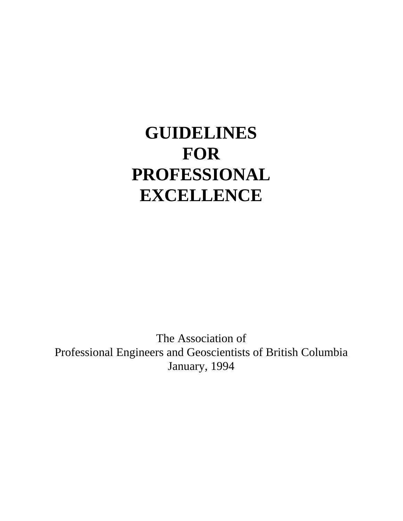# **GUIDELINES FOR PROFESSIONAL EXCELLENCE**

The Association of Professional Engineers and Geoscientists of British Columbia January, 1994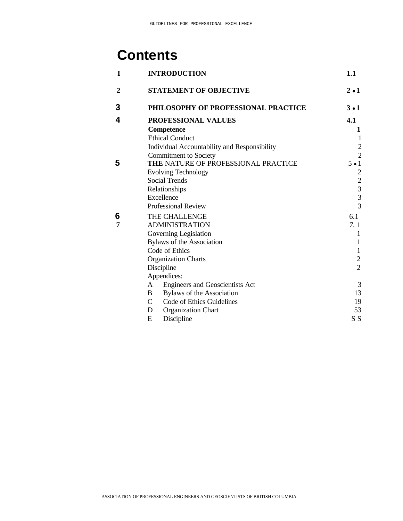# **Contents**

| I                |                                              | <b>INTRODUCTION</b>                 | 1.1                                        |
|------------------|----------------------------------------------|-------------------------------------|--------------------------------------------|
| $\boldsymbol{2}$ |                                              | <b>STATEMENT OF OBJECTIVE</b>       | $2 \cdot 1$                                |
| 3                |                                              | PHILOSOPHY OF PROFESSIONAL PRACTICE | $3 \cdot 1$                                |
| 4                | PROFESSIONAL VALUES                          |                                     | 4.1                                        |
|                  | Competence                                   |                                     | 1                                          |
|                  | <b>Ethical Conduct</b>                       | $\mathbf{1}$                        |                                            |
|                  | Individual Accountability and Responsibility | $\overline{c}$                      |                                            |
|                  | <b>Commitment to Society</b>                 |                                     | $\overline{2}$                             |
| 5                | THE NATURE OF PROFESSIONAL PRACTICE          | $5 \cdot 1$                         |                                            |
|                  | <b>Evolving Technology</b>                   | $\boldsymbol{2}$                    |                                            |
|                  | <b>Social Trends</b>                         |                                     |                                            |
|                  | Relationships                                |                                     | $\begin{array}{c} 2 \\ 3 \\ 3 \end{array}$ |
|                  | Excellence                                   |                                     |                                            |
|                  | <b>Professional Review</b>                   |                                     | $\overline{3}$                             |
| 6                |                                              | <b>THE CHALLENGE</b>                | 6.1                                        |
| 7                | <b>ADMINISTRATION</b>                        |                                     | 7.1                                        |
|                  | Governing Legislation                        | 1                                   |                                            |
|                  | <b>Bylaws of the Association</b>             |                                     | 1                                          |
|                  | Code of Ethics                               |                                     | $\mathbf{1}$                               |
|                  | <b>Organization Charts</b>                   |                                     | $\overline{2}$                             |
|                  | Discipline                                   | $\overline{2}$                      |                                            |
|                  | Appendices:                                  |                                     |                                            |
|                  | A                                            | Engineers and Geoscientists Act     | 3                                          |
|                  | B                                            | Bylaws of the Association           | 13                                         |
|                  | $\mathsf{C}$                                 | Code of Ethics Guidelines           | 19                                         |
|                  | D                                            | Organization Chart                  | 53                                         |
|                  | E                                            | Discipline                          | S <sub>S</sub>                             |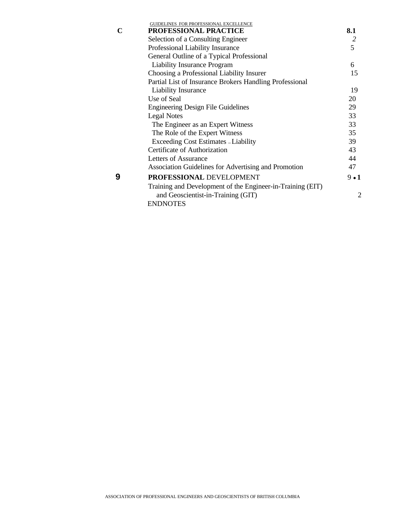| GUIDELINES FOR PROFESSIONAL EXCELLENCE                     |    |  |
|------------------------------------------------------------|----|--|
| <b>PROFESSIONAL PRACTICE</b>                               |    |  |
| Selection of a Consulting Engineer                         | 2  |  |
| Professional Liability Insurance                           | 5  |  |
| General Outline of a Typical Professional                  |    |  |
| Liability Insurance Program                                | 6  |  |
| Choosing a Professional Liability Insurer                  | 15 |  |
| Partial List of Insurance Brokers Handling Professional    |    |  |
| <b>Liability Insurance</b>                                 | 19 |  |
| Use of Seal                                                | 20 |  |
| <b>Engineering Design File Guidelines</b>                  | 29 |  |
| <b>Legal Notes</b>                                         | 33 |  |
| The Engineer as an Expert Witness                          | 33 |  |
| The Role of the Expert Witness                             | 35 |  |
| <b>Exceeding Cost Estimates - Liability</b>                | 39 |  |
| Certificate of Authorization                               | 43 |  |
| Letters of Assurance                                       | 44 |  |
| Association Guidelines for Advertising and Promotion       | 47 |  |
| PROFESSIONAL DEVELOPMENT                                   |    |  |
| Training and Development of the Engineer-in-Training (EIT) |    |  |
| and Geoscientist-in-Training (GIT)                         |    |  |
| <b>ENDNOTES</b>                                            |    |  |
|                                                            |    |  |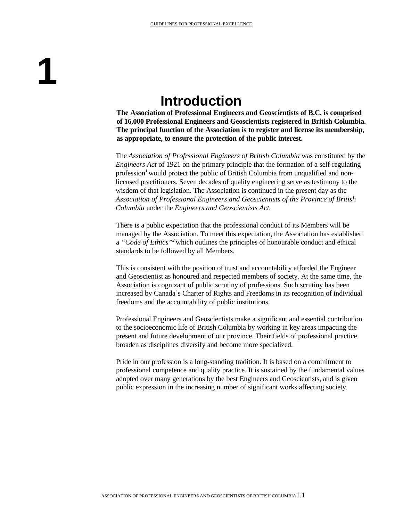# **1**

## **Introduction**

**The Association of Professional Engineers and Geoscientists of B.C. is comprised of 16,000 Professional Engineers and Geoscientists registered in British Columbia. The principal function of the Association is to register and license its membership, as appropriate, to ensure the protection of the public interest.**

The *Association of Profrssional Engineers of British Columbia* was constituted by the *Engineers Act* of 1921 on the primary principle that the formation of a self-regulating profession<sup>1</sup> would protect the public of British Columbia from unqualified and nonlicensed practitioners. Seven decades of quality engineering serve as testimony to the wisdom of that legislation. The Association is continued in the present day as the *Association of Professional Engineers and Geoscientists of the Province of British Columbia* under the *Engineers and Geoscientists Act.*

There is a public expectation that the professional conduct of its Members will be managed by the Association. To meet this expectation, the Association has established a "Code of Ethics"<sup>2</sup> which outlines the principles of honourable conduct and ethical standards to be followed by all Members.

This is consistent with the position of trust and accountability afforded the Engineer and Geoscientist as honoured and respected members of society. At the same time, the Association is cognizant of public scrutiny of professions. Such scrutiny has been increased by Canada\*s Charter of Rights and Freedoms in its recognition of individual freedoms and the accountability of public institutions.

Professional Engineers and Geoscientists make a significant and essential contribution to the socioeconomic life of British Columbia by working in key areas impacting the present and future development of our province. Their fields of professional practice broaden as disciplines diversify and become more specialized.

Pride in our profession is a long-standing tradition. It is based on a commitment to professional competence and quality practice. It is sustained by the fundamental values adopted over many generations by the best Engineers and Geoscientists, and is given public expression in the increasing number of significant works affecting society.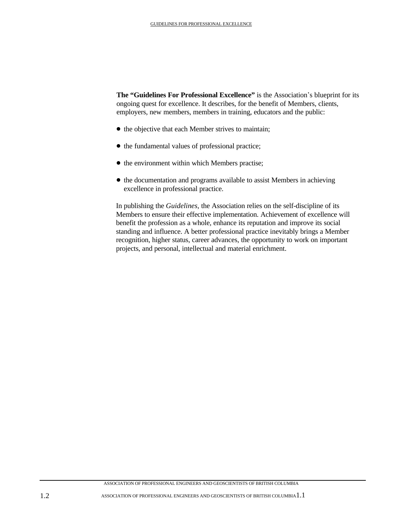**The "Guidelines For Professional Excellence"** is the Association's blueprint for its ongoing quest for excellence. It describes, for the benefit of Members, clients, employers, new members, members in training, educators and the public:

- the objective that each Member strives to maintain;
- $\bullet$  the fundamental values of professional practice;
- the environment within which Members practise;
- the documentation and programs available to assist Members in achieving excellence in professional practice.

In publishing the *Guidelines,* the Association relies on the self-discipline of its Members to ensure their effective implementation. Achievement of excellence will benefit the profession as a whole, enhance its reputation and improve its social standing and influence. A better professional practice inevitably brings a Member recognition, higher status, career advances, the opportunity to work on important projects, and personal, intellectual and material enrichment.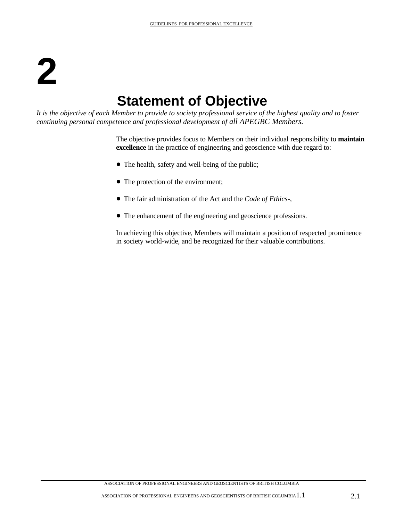# **2**

# **Statement of Objective**

*It is the objective of each Member to provide to society professional service of the highest quality and to foster continuing personal competence and professional development of all APEGBC Members.*

> The objective provides focus to Members on their individual responsibility to **maintain excellence** in the practice of engineering and geoscience with due regard to:

- The health, safety and well-being of the public;
- The protection of the environment;
- ! The fair administration of the Act and the *Code of Ethics-,*
- ! The enhancement of the engineering and geoscience professions.

In achieving this objective, Members will maintain a position of respected prominence in society world-wide, and be recognized for their valuable contributions.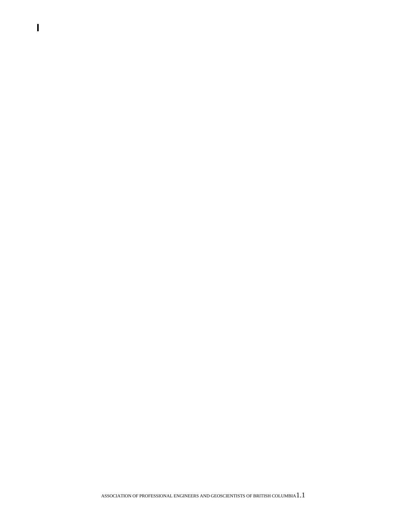**I**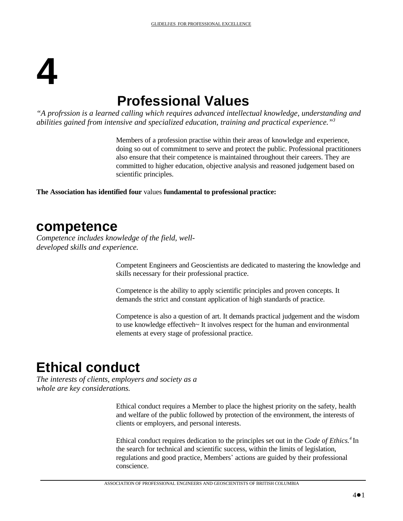# **4**

# **Professional Values**

*"A profrssion is a learned calling which requires advanced intellectual knowledge, understanding and abilities gained from intensive and specialized education, training and practical experience."<sup>3</sup>*

> Members of a profession practise within their areas of knowledge and experience, doing so out of commitment to serve and protect the public. Professional practitioners also ensure that their competence is maintained throughout their careers. They are committed to higher education, objective analysis and reasoned judgement based on scientific principles.

**The Association has identified four** values **fundamental to professional practice:**

### **competence**

*Competence includes knowledge of the field, welldeveloped skills and experience.*

> Competent Engineers and Geoscientists are dedicated to mastering the knowledge and skills necessary for their professional practice.

Competence is the ability to apply scientific principles and proven concepts. It demands the strict and constant application of high standards of practice.

Competence is also a question of art. It demands practical judgement and the wisdom to use knowledge effectiveh~ It involves respect for the human and environmental elements at every stage of professional practice.

# **Ethical conduct**

*The interests of clients, employers and society as a whole are key considerations.*

> Ethical conduct requires a Member to place the highest priority on the safety, health and welfare of the public followed by protection of the environment, the interests of clients or employers, and personal interests.

> Ethical conduct requires dedication to the principles set out in the *Code of Ethics.* In *<sup>4</sup>* the search for technical and scientific success, within the limits of legislation, regulations and good practice, Members' actions are guided by their professional conscience.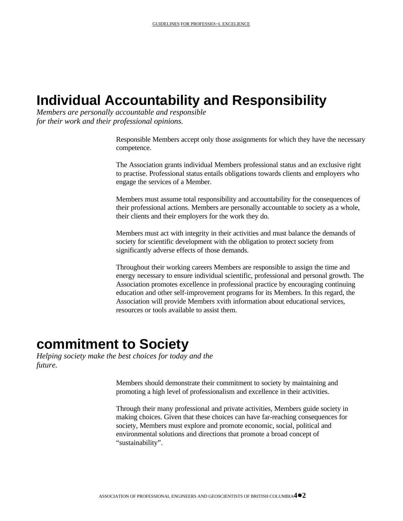# **Individual Accountability and Responsibility**

*Members are personally accountable and responsible for their work and their professional opinions.*

> Responsible Members accept only those assignments for which they have the necessary competence.

The Association grants individual Members professional status and an exclusive right to practise. Professional status entails obligations towards clients and employers who engage the services of a Member.

Members must assume total responsibility and accountability for the consequences of their professional actions. Members are personally accountable to society as a whole, their clients and their employers for the work they do.

Members must act with integrity in their activities and must balance the demands of society for scientific development with the obligation to protect society from significantly adverse effects of those demands.

Throughout their working careers Members are responsible to assign the time and energy necessary to ensure individual scientific, professional and personal growth. The Association promotes excellence in professional practice by encouraging continuing education and other self-improvement programs for its Members. In this regard, the Association will provide Members xvith information about educational services, resources or tools available to assist them.

## **commitment to Society**

*Helping society make the best choices for today and the future.*

> Members should demonstrate their commitment to society by maintaining and promoting a high level of professionalism and excellence in their activities.

Through their many professional and private activities, Members guide society in making choices. Given that these choices can have far-reaching consequences for society, Members must explore and promote economic, social, political and environmental solutions and directions that promote a broad concept of "sustainability".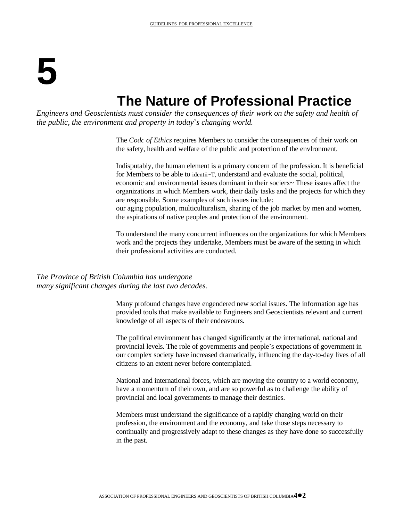# **5**

# **The Nature of Professional Practice**

*Engineers and Geoscientists must consider the consequences of their work on the safety and health of the public, the environment and property in today\*s changing world.*

> The *Codc of Ethics* requires Members to consider the consequences of their work on the safety, health and welfare of the public and protection of the envlronment.

Indisputably, the human element is a primary concern of the profession. It is beneficial for Members to be able to identii~T, understand and evaluate the social, political, economic and environmental issues dominant in their socierx~ These issues affect the organizations in which Members work, their daily tasks and the projects for which they are responsible. Some examples of such issues include: our aging population, multiculturalism, sharing of the job market by men and women, the aspirations of native peoples and protection of the environment.

To understand the many concurrent influences on the organizations for which Members work and the projects they undertake, Members must be aware of the setting in which their professional activities are conducted.

#### *The Province of British Columbia has undergone many significant changes during the last two decades.*

Many profound changes have engendered new social issues. The information age has provided tools that make available to Engineers and Geoscientists relevant and current knowledge of all aspects of their endeavours.

The political environment has changed significantly at the international, national and provincial levels. The role of governments and people\*s expectations of government in our complex society have increased dramatically, influencing the day-to-day lives of all citizens to an extent never before contemplated.

National and international forces, which are moving the country to a world economy, have a momentum of their own, and are so powerful as to challenge the ability of provincial and local governments to manage their destinies.

Members must understand the significance of a rapidly changing world on their profession, the environment and the economy, and take those steps necessary to continually and progressively adapt to these changes as they have done so successfully in the past.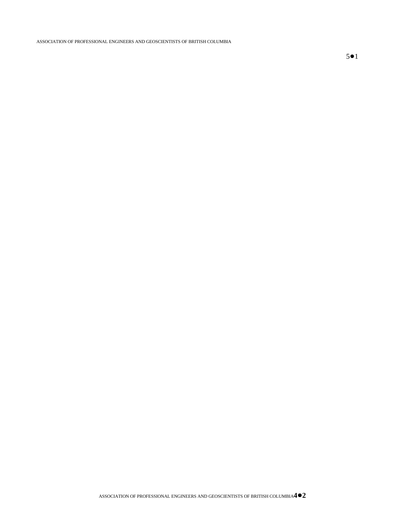ASSOCIATION OF PROFESSIONAL ENGINEERS AND GEOSCIENTISTS OF BRITISH COLUMBIA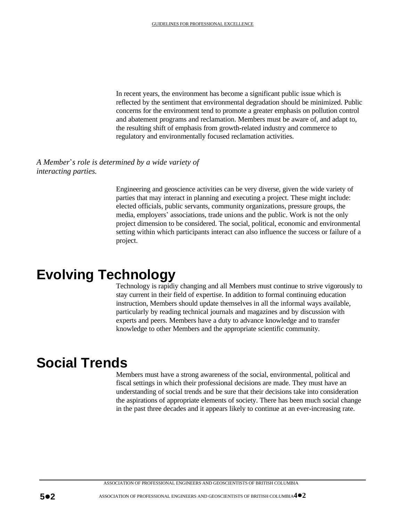In recent years, the environment has become a significant public issue which is reflected by the sentiment that environmental degradation should be minimized. Public concerns for the environment tend to promote a greater emphasis on pollution control and abatement programs and reclamation. Members must be aware of, and adapt to, the resulting shift of emphasis from growth-related industry and commerce to regulatory and environmentally focused reclamation activities.

#### *A Member\*s role is determined by a wide variety of interacting parties.*

Engineering and geoscience activities can be very diverse, given the wide variety of parties that may interact in planning and executing a project. These might include: elected officials, public servants, community organizations, pressure groups, the media, employers\* associations, trade unions and the public. Work is not the only project dimension to be considered. The social, political, economic and environmental setting within which participants interact can also influence the success or failure of a project.

# **Evolving Technology**

Technology is rapidiy changing and all Members must continue to strive vigorously to stay current in their field of expertise. In addition to formal continuing education instruction, Members should update themselves in all the informal ways available, particularly by reading technical journals and magazines and by discussion with experts and peers. Members have a duty to advance knowledge and to transfer knowledge to other Members and the appropriate scientific community.

## **Social Trends**

Members must have a strong awareness of the social, environmental, political and fiscal settings in which their professional decisions are made. They must have an understanding of social trends and be sure that their decisions take into consideration the aspirations of appropriate elements of society. There has been much social change in the past three decades and it appears likely to continue at an ever-increasing rate.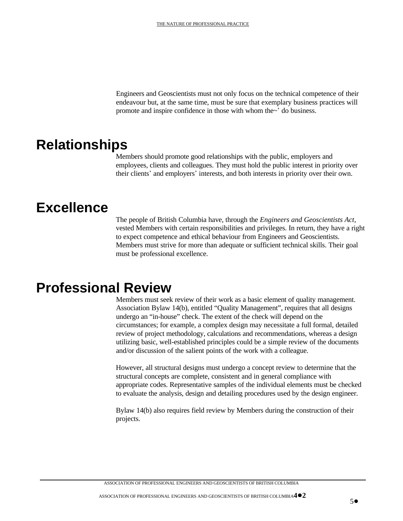Engineers and Geoscientists must not only focus on the technical competence of their endeavour but, at the same time, must be sure that exemplary business practices will promote and inspire confidence in those with whom the~\* do business.

## **Relationships**

Members should promote good relationships with the public, employers and employees, clients and colleagues. They must hold the public interest in priority over their clients' and employers' interests, and both interests in priority over their own.

## **Excellence**

The people of British Columbia have, through the *Engineers and Geoscientists Act,* vested Members with certain responsibilities and privileges. In return, they have a right to expect competence and ethical behaviour from Engineers and Geoscientists. Members must strive for more than adequate or sufficient technical skills. Their goal must be professional excellence.

## **Professional Review**

Members must seek review of their work as a basic element of quality management. Association Bylaw 14(b), entitled "Quality Management", requires that all designs undergo an "in-house" check. The extent of the check will depend on the circumstances; for example, a complex design may necessitate a full formal, detailed review of project methodology, calculations and recommendations, whereas a design utilizing basic, well-established principles could be a simple review of the documents and/or discussion of the salient points of the work with a colleague.

However, all structural designs must undergo a concept review to determine that the structural concepts are complete, consistent and in general compliance with appropriate codes. Representative samples of the individual elements must be checked to evaluate the analysis, design and detailing procedures used by the design engineer.

Bylaw 14(b) also requires field review by Members during the construction of their projects.

ASSOCIATION OF PROFESSIONAL ENGINEERS AND GEOSCIENTISTS OF BRITISH COLUMBIA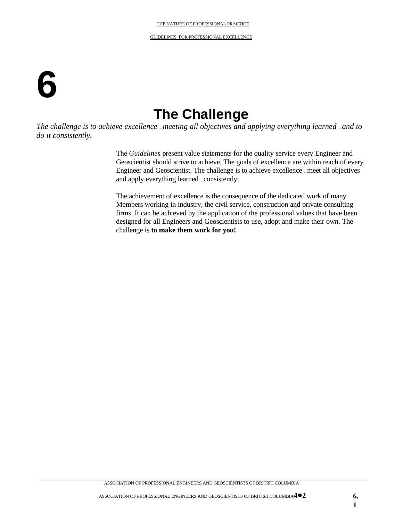# **6**

# **The Challenge**

*The challenge is to achieve excellence* **—** *meeting all objectives and applying everything learned* **—** *and to do it consistently.*

> The *Guidelines* present value statements for the quality service every Engineer and Geoscientist should strive to achieve. The goals of excellence are within reach of every Engineer and Geoscientist. The challenge is to achieve excellence **...** meet all objectives and apply everything learned ... consistently.

The achievement of excellence is the consequence of the dedicated work of many Members working in industry, the civil service, construction and private consulting firms. It can be achieved by the application of the professional values that have been designed for all Engineers and Geoscientists to use, adopt and make their own. The challenge is **to make them work for you!**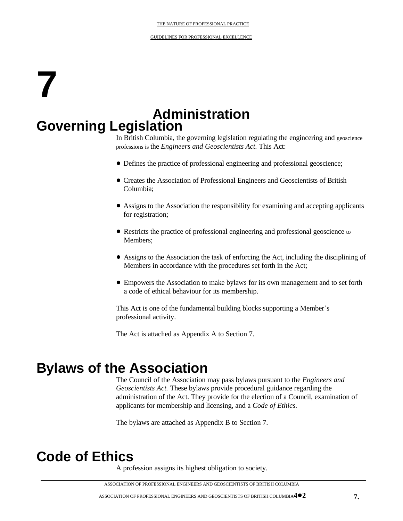# **7 Administration Governing Legislation**

In British Columbia, the governing legislation regulating the engincering and geoscience professions is the *Engineers and Geoscientists Act.* This Act:

- ! Defines the practice of professional engineering and professional geoscience;
- ! Creates the Association of Professional Engineers and Geoscientists of British Columbia;
- ! Assigns to the Association the responsibility for examining and accepting applicants for registration;
- ! Restricts the practice of professional engineering and professional geoscience to Members;
- ! Assigns to the Association the task of enforcing the Act, including the disciplining of Members in accordance with the procedures set forth in the Act;
- ! Empowers the Association to make bylaws for its own management and to set forth a code of ethical behaviour for its membership.

This Act is one of the fundamental building blocks supporting a Member's professional activity.

The Act is attached as Appendix A to Section 7.

## **Bylaws of the Association**

The Council of the Association may pass bylaws pursuant to the *Engineers and Geoscientists Act.* These bylaws provide procedural guidance regarding the administration of the Act. They provide for the election of a Council, examination of applicants for membership and licensing, and a *Code of Ethics.*

The bylaws are attached as Appendix B to Section 7.

## **Code of Ethics**

A profession assigns its highest obligation to society.

ASSOCIATION OF PROFESSIONAL ENGINEERS AND GEOSCIENTISTS OF BRITISH COLUMBIA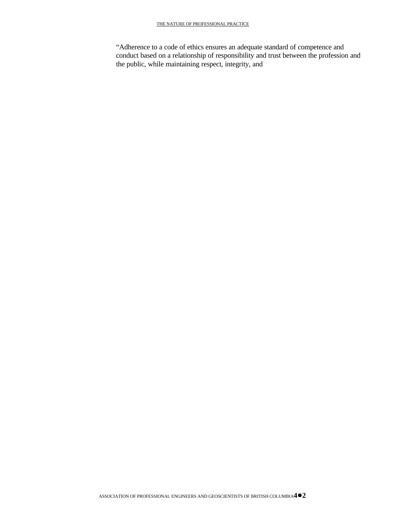#### THE NATURE OF PROFESSIONAL PRACTICE

"Adherence to a code of ethics ensures an adequate standard of competence and conduct based on a relationship of responsibility and trust between the profession and the public, while maintaining respect, integrity, and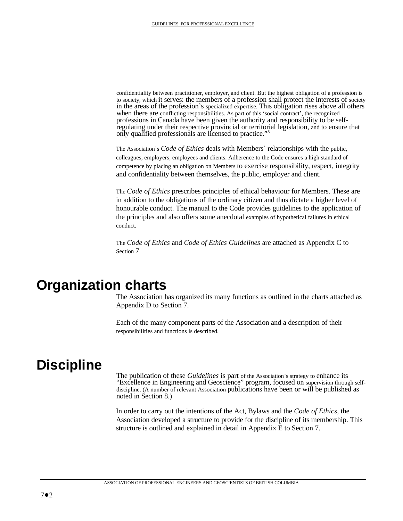confidentiality between practitioner, employer, and client. But the highest obligation of a profession is to society, which it serves: the members of a profession shall protect the interests of society in the areas of the profession's specialized expertise. This obligation rises above all others when there are conflicting responsibilities. As part of this 'social contract', the recognized professions in Canada have been given the authority and responsibility to be selfregulating under their respective provincial or territorial legislation, and to ensure that only qualified professionals are licensed to practice."<sup>5</sup>

The Association\*s *Code of Ethics* deals with Members\* relationships with the public, colleagues, employers, employees and clients. Adherence to the Code ensures a high standard of competence by placing an obligation on Members to exercise responsibility, respect, integrity and confidentiality between themselves, the public, employer and client.

The *Code of Ethics* prescribes principles of ethical behaviour for Members. These are in addition to the obligations of the ordinary citizen and thus dictate a higher level of honourable conduct. The manual to the Code provides guidelines to the application of the principles and also offers some anecdotal examples of hypothetical failures in ethical conduct.

The *Code of Ethics* and *Code of Ethics Guidelines* are attached as Appendix C to Section 7

## **Organization charts**

The Association has organized its many functions as outlined in the charts attached as Appendix D to Section 7.

Each of the many component parts of the Association and a description of their responsibilities and functions is described.

## **Discipline**

The publication of these *Guidelines* is part of the Association's strategy to enhance its "Excellence in Engineering and Geoscience" program, focused on supervision through selfdiscipline. (A number of relevant Association publications have been or will be published as noted in Section 8.)

In order to carry out the intentions of the Act, Bylaws and the *Code of Ethics,* the Association developed a structure to provide for the discipline of its membership. This structure is outlined and explained in detail in Appendix E to Section 7.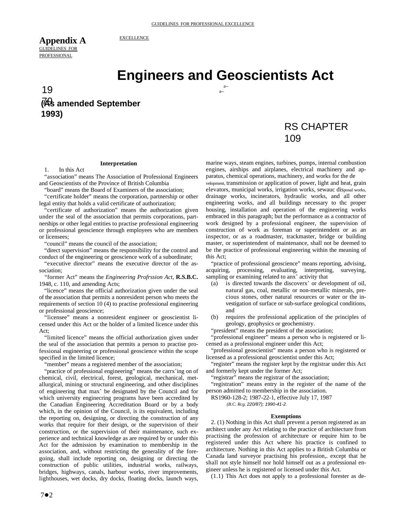#### EXCELLENCE

**Appendix A** GUIDELINES FOR PROFESSIONAL

#### **Engineers and Geoscientists Act** a--

a--

### 19 **(As amended September 1993)**

### RS CHAPTER 109

#### **Interpretation**

1. In this Act

"association" means The Association of Professional Engineers and Geoscientists of the Province of British Columbia

"board" means the Board of Examiners of the association;

"certificate holder" means the corporation, partnership or other legal entity that holds a valid certificate of authorization;

"certificate of authorization" means the authorization given under the seal of the association that permits corporations, partnerships or other legal entities to practise professional engineering or professional geoscience through employees who are members or licensees;

"council" means the council of the association;

"direct supervision" means the responsibility for the control and conduct of the engineering or geoscience work of a subordinate;

"executive director" means the executive director of the association;

"former Act" means the *Engineering Profrssion Act,* **R.S.B.C.** 1948, c. 110, and amending Acts;

"licence" means the official authorization given under the seal of the association that permits a nonresident person who meets the requirements of section 10 (4) to practise professional engineering or professional geoscience;

"licensee" means a nonresident engineer or geoscientist licensed under this Act or the holder of a limited licence under this Act;

"limited licence" means the official authorization given under the seal of the association that permits a person to practise professional engineering or professional geoscience within the scope specified in the limited licence;

"member" means a registered member of the association;

"practice of professional engineering" means the carrx'ing on of chemical, civil, electrical, forest, geological, mechanical, metallurgical, mining or structural engineering, and other disciplines of engineering that max\* be designated by the Council and for which university enginecring programs have been accredited by the Canadian Engineering Accreditation Board or by a body which, in the opinion of the Council, is its equivalent, including the reporting on, designing, or directing the construction of any works that require for their design, or the supervision of their construction, or the supervision of their maintenance, such experience and technical knowledge as are required by or under this Act for the admission by examination to membership in the association, and, without restricting the generality of the foregoing, shall include reporting on, designing or directing the construction of public utilities, industrial works, railways, bridges, highways, canals, harbour works, river improvements, lighthouses, wet docks, dry docks, floating docks, launch ways, marine ways, steam engines, turbines, pumps, internal combustion engines, airships and airplanes, electrical machinery and apparatus, chemical operations, machinery, and works for the de

velopment, transmission or application of power, light and heat, grain elevators, municipal works, irrigation works, sewauc disposal works, drainage works, incinerators, hydraulic works, and all other engineering works, and all buildings necessary to thc proper housing, installation and operation of the engineering works embraced in this paragraph; but the performance as a contractor of work designed by a professional engineer, the supervision of construction of work as foreman or superintendent or as an inspector, or as a roadmaster, trackmaster, bridge or building master, or superintendent of maintenance, shall not be deemed to be the practice of professional engineering within the meaning of this Act;

"practice of professional geoscience" means reporting, advising, acquiring, processing, evaluating, interpreting, surveying, sampling or examining related to anx' activity that

- (a) is directed towards the discoverx' or development of oil, natural gas, coal, metallic or non-metallic minerals, precious stones, other natural resources or water or the investigation of surface or sub-surface geological conditions, and
- requires the professional application of the principles of geology, geophysics or geochemistry.

"president" means the president of the association;

"professional engineer" means a person who is registered or licensed as a professional engineer under this Act;

"professional geoscientist" means a person who is registered or licensed as a professional geoscientist under this Act;

"register" means the register kept by the registrar under this Act and formerly kept under the former Act;

"registrar" means the registrar of the association;

"registration" means entry in the register of the name of the person admitted to membership in the association.

RS1960-128-2; 1987-22-1, effective July 17, 1987 *(B.C. Rcg. 220/87); 1990-41-2.*

#### **Exemptions**

2. (1) Nothing in this Act shall prevent a person registered as an architect under any Act relating to the practice of architecture from practising the profession of architecture or require him to be registered under this Act where his practice is confined to architecture. Nothing in this Act applies to a British Columbia or Canada land surveyor practising his profession,. except that he shall not style himself nor hold himself out as a professional engineer unless he is registered or licensed under this Act.

(1.1) This Act does not apply to a professional forester as de-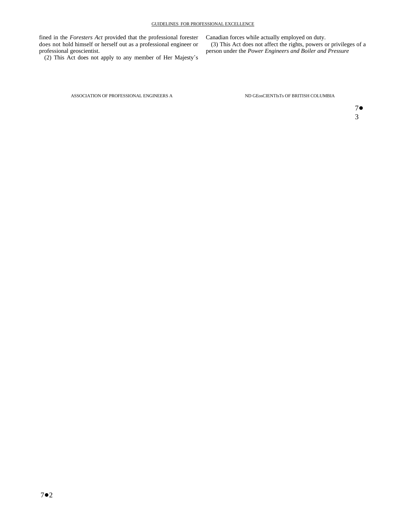fined in the *Foresters Act* provided that the professional forester Canadian forces while actually employed on duty.<br>does not hold himself or herself out as a professional engineer or (3) This Act does not affect the righ does not hold himself or herself out as a professional engineer or professional geoscientist.

(2) This Act does not apply to any member of Her Majesty\*s

person under the *Power Engineers and Boiler and Pressure* 

ASSOCIATION OF PROFESSIONAL ENGINEERS A ND GEOSCIENTISTS OF BRITISH COLUMBIA

 $7 \bullet$ 3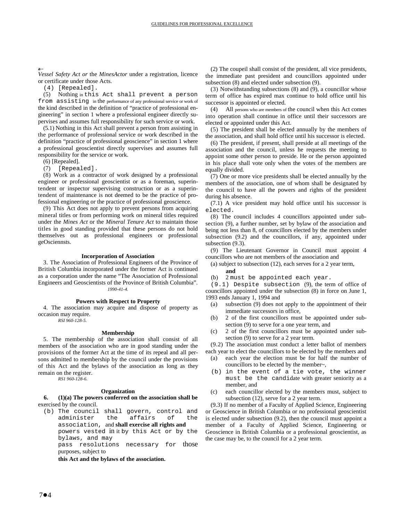#### **a--**

*Vessel Safety Act or* the *MinesActor* under a registration, licence or certificate under those Acts.

(4) [Repealed].

(5) Nothing in this Act shall prevent a person from assisting in the performance of any professional service or work of the kind described in the definition of "practice of professional engineering" in section 1 where a professional engineer directly supervises and assumes full responsibility for such service or work.

(5.1) Nothing in this Act shall prevent a person from assisting in the performance of professional service or work described in the definition "practice of professional geoscience" in section 1 where a professional geoscientist directly supervises and assumes full responsibility for the service or work.

(6) [Repealed].

(7) [Repealed].

(8) Work as a contractor of work designed by a professional engineer or professional geoscientist or as a foreman, superintendent or inspector supervising construction or as a superintendent of maintenance is not deemed to be the practice of professional engineering or the practice of professional geoscience.

(9) This Act does not apply to prevent persons from acquiring mineral titles or from performing work on mineral titles required under the *Mines Act* or the *Mineral Tenure Act* to maintain those titles in good standing provided that these persons do not hold themselves out as professional engineers or professional geOsciennsts.

#### **Incorporation of Association**

3. The Association of Professional Engineers of the Province of British Columbia incorporated under the former Act is continued as a corporation under the name "The Association of Professional Engineers and Geoscientists of the Province of British Columbia". *1990-41-4.*

#### **Powers with Respect to Property**

4. The association may acquire and dispose of property as occasion may require.

*RSI 960-128-5.*

#### **Membership**

5. The membership of the association shall consist of all members of the association who are in good standing under the provisions of the former Act at the time of its repeal and all persons admitted to membership by the council under the provisions of this Act and the bylaws of the association as long as they remain on the register.

*RS1 960-128-6.*

#### **Organization**

**6. (1)(a) The powers conferred on the association shall be** exercised by the council.

(b) The council shall govern, control and administer the affairs of the association, and **shall exercise all rights and** powers vested in it by this Act or by the bylaws, and may

pass resolutions necessary for those purposes, subject to

**this Act and the bylaws of the association.**

(2) The coupeil shall consist of the president, all vice presidents, the immediate past president and councillors appointed under subsection (8) and elected under subsection (9).

(3) Notwithstanding subsections (8) and (9), a councillor whose term of office has expired max continue to hold office until his successor is appointed or elected.

(4) All persons who are members of the council when this Act comes into operation shall continue in office until their successors are elected or appointed under this Act.

(5) The president shall be elected annually by the members of the association, and shall hold office until his successor is elected.

(6) The president, if present, shall preside at all meetings of the association and the council, unless he requests the meeting to appoint some other person to preside. He or the person appointed in his place shall vote only when the votes of the members are equally divided.

(7) One or more vice presidents shall be elected annually by the members of the association, one of whom shall be designated by the council to have all the powers and rights of the president during his absence.

(7.1) A vice president may hold office until his successor is elected.

(8) The council includes 4 councillors appointed under subsection (9), a further number, set by bylaw of the association and being not less than 8, of councillors elected by the members under subsection (9.2) and the councillors, if any, appointed under subsection  $(9.3)$ .

(9) The Lieutenant Governor in Council must appoint 4 councillors who are not members of the association and

(a) subject to subsection (12), each serves for a 2 year term,

(9.1) Despite subsection (9), the term of office of councillors appointed under the subsection (8) in force on June 1, 1993 ends January 1, 1994 and

- (a) subsection (9) does not apply to the appointment of their immediate successors in office,
- (b) 2 of the first councillors must be appointed under subsection (9) to serve for a one year term, and
- (c) 2 of the first councillors must be appointed under subsection (9) to serve for a 2 year term.

(9.2) The association must conduct a letter ballot of members each year to elect the councillors to be elected by the members and

- (a) each year the election must be for half the number of councillors to be elected by the member~,
- (b) in the event of a tie vote, the winner must be the candidate with greater seniority as a member, and
- (c) each councillor elected by the members must, subject to subsection (12), serve for a 2 year term.

(9.3) If no member of a Faculty of Applied Science, Engineering or Geoscience in British Columbia or no professional geoscientist is elected under subsection (9.2), then the council must appoint a member of a Faculty of Applied Science, Engineering or Geoscience in British Columbia or a professional geoscientist, as the case may be, to the council for a 2 year term.

**and**

<sup>2</sup> must be appointed each year.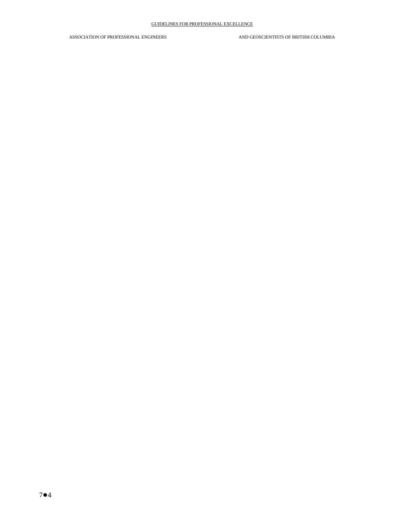${\large\bf AND}\ {\large\bf GEOSCIENTISTS} \ {\large\bf OF BRITISH}\ {\large\bf COLUMBIA}$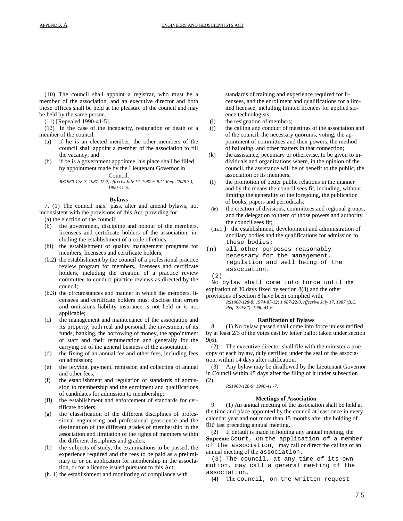(10) The council shall appoint a registrar, who must be a standards of training and experience required for limember of the association, and an executive director and both censees, and the enrollment and qualifications for a limthese offices shall be held at the pleasure of the council and may ited licensee, including limited licences for applied scibe held by the same person.  $\blacksquare$ 

(12) In the case of the incapacity, resignation or death of a (j) the calling and conduct of meetings of the association and member of the council, the necessary quorums, voting, the ap-

- council shall appoint a member of the association to fill of balloting, and other matters in that connection; the vacancy; and (k) the assistance, pecuniary or otherxvise, to be given to in-
- Council.

*RS1960-128-7, 1987-22-2, effrcrivrJidv 17, 1987 ~'B.C. Reg. 220/8 7.); 1990-41-5.*

#### **Bylaws**

7. (1) The council max\* pass, alter and amend bylaws, not lnconsistent with the provisions of this Act, providing for

(a) the election of the council;

- (b) the government, discipline and honour of the members, licensees and certificate holders of the association, including the establishment of a code of ethics;
- (bi) the establishment of quality management programs for members, licensees and certificate holders;
- (b.2) the establishment by the council of a professional practice review program for members, licensees and certificate holders, including the creation of a practice review committee to conduct practice reviews as directed by the council;
- (b.3) the cfrcumstances and manner in which the members, licensees and certificate holders must disclose that errors and omissions liability insurance is not held or is not applicable;
- (c) the management and maintenance of the association and its property, both real and personal, the investment of its funds, banking, the borrowing of money, the appointment of staff and their remuneration and generally for the carrying on of the general business of the association;
- (d) the fixing of an annual fee and other fees, including fees on admission;
- (e) the levying, payment, remission and collecting of annual and other fees;
- (f) the establishment and regulation of standards of admission to membership and the enrolment and qualifications of candidates for admission to membership;
- (fl) the establishment and enforcement of standards for certificate holders;
- (g) the classification of the different disciplines of professional engineering and professional geoscience and the designation of the different grades of membership in the association and limitation of the rights of members within the different disciplines and grades;
- (h) the subjects of study, the examinations to be passed, the experience required and the fees to be paid as a preliminary to or on application for membership in the assocIation, or for a licence issued pursuant to this Act;
- (h. 1) the establishment and monitoring of compliance with

- (11) [Repealed 1990-41-5]. (i) the resignation of members;
- (a) if he is an elected member, the other members of the pointment of committees and their powers, the method
- (b) if be is a government appointee, his place shall be filled dividuals and organizations where, in the opinion of the by appointment made by the Lieutenant Governor in council, the assistance will be of benefit to the pu council, the assistance will be of benefit to the public, the association or its members;
	- (I) the promotion of better public relations in the manner and by the means the council sees fit, including, without limiting the generality of the foregoing, the publication of books, papers and periodicals;
	- (in) the creation of divisions, committees and regional groups, and the delegation to them of those powers and authority the council sees fit;
	- (m.1 **)** the establishment, development and administration of ancillary bodies and the qualifications for admission to these bodies;
	- (n) all other purposes reasonably necessary for the management, regulation and well being of the association.

(2)

No bylaw shall come into force until the expiration of 30 days fixed by section 8(3) and the other provisions of section 8 have been complied with.

*RS1960-128-8; 1974-87-12; 1 987-22-3, rffecrive July 17, 1987 (B.C. Reg. 220/87); 1990-41-6.*

#### **Ratification of Bylaws**

8. (1) No bylaw passed shall come into force unless ratified by at least 2/3 of the votes cast by letter ballot taken under section 9(6).

(2) The executive director shall file with the minister a true copy of each bylaw, duly certified under the seal of the association, within 14 days after ratification.

(3) Any bylaw may be disallowed by the Lieutenant Governor in Council within 45 days after the filing of it under subsection (2).

*RS1960-128-9; 1990-41 -7.*

#### **Meetings of Association**

9. (1) An annual meeting of the association shall be held at the time and place appointed by the council at least once in every calendar year and not more than 15 months after the holding of the last preceding annual meeting.

(2) If default is made in holding any annual meeting, the **Supreme** Court, on the application of a member of the association, may call or direct the calling of an annual meeting of the association.

(3) The council, at any time of its own motion, may call a general meeting of the association.

**(4)** The council, on the written request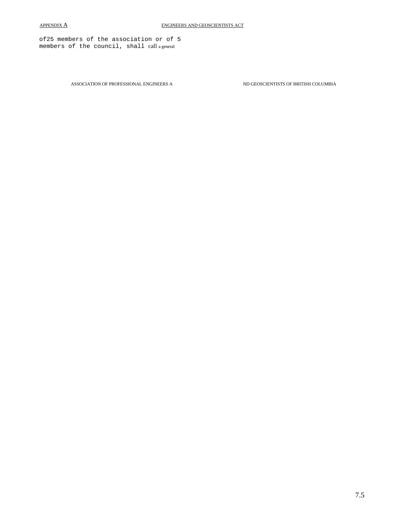of25 members of the association or of 5 members of the council, shall call a general

ASSOCIATION OF PROFESSIONAL ENGINEERS A ND GEOSCIENTISTS OF BRITISH COLUMBIA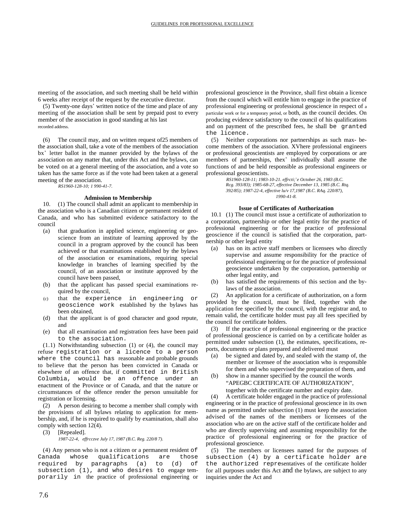meeting of the association, and such meeting shall be held within professional geoscience in the Province, shall first obtain a licence

taken has the same force as if the vote had been taken at a general professional geoscientists. meeting of the association.

*RS1960-128-10; 1 990-41-7.*

#### **Admission to Membership**

10. (1) The council shall admit an applicant to membership in the association who is a Canadian citizen or permanent resident of Canada, and who has submitted evidence satisfactory to the council

- (a) that graduation in applied science, engineering or geoscience from an institute of learning approved by the council in a program approved by the council has been achieved or that examinations established by the bylaws of the association or examinations, requiring special knowledge in branches of learning specified by the council, of an association or institute approved by the council have been passed,
- (b) that the applicant has passed special examinations required by the council,
- (c) that the experience in engineering or geoscience work established by the bylaws has been obtained,
- (d) that the applicant is of good character and good repute, and
- (e) that all examination and registration fees have been paid to the association.

(1.1) Notwithstanding subsection (1) or (4), the council may refuse registration or a licence to a person where the council has reasonable and probable grounds to believe that the person has been convicted in Canada or elsewhere of an offence that, if committed in British Columbia, would be an offence under an enactment of the Province or of Canada, and that the nature or circumstances of the offence render the person unsuitable for registration or licensing.

(2) A person desiring to become a member shall comply with the provisions of all bylaws relating to application for membership, and, if he is required to qualify by examination, shall also comply with section 12(4).

(3) [Repealed].

*1987-22-4, effrcczve July 17, 1987 (B.C. Reg. 220/8 7).*

(4) Any person who is not a citizen or a permanent resident of Canada whose qualifications are those required by paragraphs (a) to (d) of subsection (1), and who desires to engage temporarily in the practice of professional engineering or

6 weeks after receipt of the request by the executive director. from the council which will entitle him to engage in the practice of (5) Twenty-one days\* written notice of the time and place of any professional engineering or professional geoscience in respect of a meeting of the association shall be sent by prepaid post to every particular work or for a temporary period, or both, as the council decides. On member of the association in good standing at his last producing evidence satisfactory to the council of his qualifications recorded address. and on payment of the prescribed fees, he shall be granted the licence.

(6) The council may, and on written request of25 members of (5) Neither corporations nor partnerships as such max- bethe association shall, take a vote of the members of the association come members of the association. XVhere professional engineers bx' letter ballot in the manner provided by the bylaws of the or professional geoscientists are employed by corporations or are association on any matter that, under this Act and the bylaws, can members of partnerships, thex' individually shall assume the be voted on at a general meeting of the association, and a vote so functions of and be held responsible as professional engineers or

*RS1960-128-11; 1983-10-21. effrcti;\*e October 26, 1983 (B.C. Rcg. 393/83); 1985-68-27, effective December 13, 1985 (B.C. Rtq. 392/85); 1987-22-4, effective lu/v 17,1987 (B.C. RAq. 220/87), 1990-41-8.*

#### **Issue of Certificates of Authorization**

10.1 (1) The council must issue a certificate of authorization to a corporation, partnership or other legal entity for the practice of professional engineering or for the practice of professional geoscience if the council is satisfied that the corporation, partnership or other legal entity

- (a) has on its active staff members or licensees who directly supervise and assume responsibility for the practice of professional engineering or for the practice of professional geoscience undertaken by the corporation, partnership or other legal entity, and
- (b) has satisfied the requirements of this section and the bylaws of the association.

(2) An application for a certificate of authorization, on a form provided by the council, must be filed, together with the application fee specified by the council, with the registrar and, to remain valid, the certificate holder must pay all fees specified by the council for certificate holders.

(3) If the practice of professional engineering or the practice of professional geoscience is carried on by a certificate holder as permitted under subsection (1), the estimates, specifications, reports, documents or plans prepared and delivered must

- (a) be signed and dated by, and sealed with the stamp of, the member or licensee of the association who is responsible for them and who supervised the preparation of them, and
- (b) show in a manner specified by the council the words "APEGBC CERTIFICATE OF AUTHORIZATION",

together with the certificate number and expiry date.

(4) A certificate holder engaged in the practice of professional engineering or in the practice of professional geoscience in its own name as permitted under subsection (1) must keep the association advised of the names of the members or licensees of the association who are on the active staff of the certificate holder and who are directly supervising and assuming responsibility for the practice of professional engineering or for the practice of professional geoscience.

(5) The members or licensees named for the purposes of subsection (4) by a certificate holder are the authorized representatives of the certificate holder for all purposes under this Act and the bylaws, are subject to any inquiries under the Act and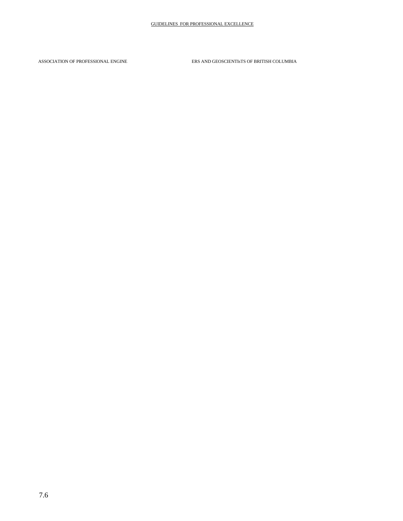ASSOCIATION OF PROFESSIONAL ENGINE ERS AND GEOSCIENTISTS OF BRITISH COLUMBIA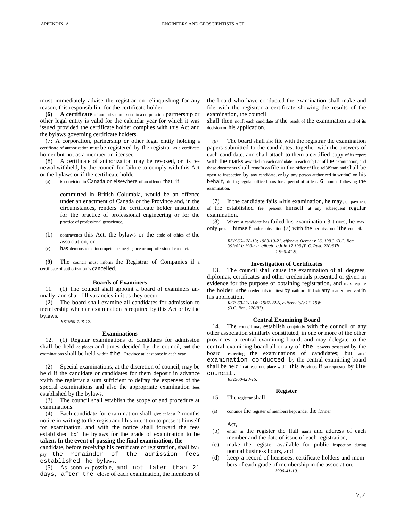must immediately advise the registrar on relinquishing for any the board who have conducted the examination shall make and reason, this responsibilin- for the certificate holder. file with the registrar a certificate showing the results of the

**(6) A certificate** of authorization issued to a corporation, partnership or examination, the council other legal entity is valid for the calendar year for which it was shall then notift each candidate of the result of the examination and of its issued provided the certificate holder complies with this Act and decision on his application. the bylaws governing certificate holders.

(7; A corporation, partnership or other legal entity holding a *(6)* The board shall also file with the registrar the examination certificate of authorization must be registered by the registrar as a certificate papers submitted to the candidates, together with the answers of holder but not as a member or licensee. each candidate, and shall attach to them a certified copy of its report

newal withheld, by the council for failure to comply with this Act these documents shall remaIn on file in the office of the rel3iStrar, and shall be

committed in British Columbia, would be an offence for the practice of professional engineering or for the examination.

- (b) contravenes this Act, the bylaws or the code of ethics of the association, or
- (c) has demonstrated incompetence, negligence or unprofessional conduct.

**(9)** The council must inform the Registrar of Companies if a certificate of authorization is cancelled.

#### **Boards of Examiners**

11. (1) The council shall appoint a board of examiners annually, and shall fill vacancies in it as they occur.

(2) The board shall examine all candidates for admission to membership when an examination is required by this Act or by the bylaws.

*RS1960-128-12.*

#### **Examinations**

12. (1) Regular examinations of candidates for admission shall be held at places and times decided by the council, and the examinations shall be held within the Province at least once in each year.

(2) Special examinations, at the discretion of council, may be held if the candidate or candidates for them deposit in advance xvith the registrar a sum sufficient to defray the expenses of the special examinations and also the appropriate examination fees established by the bylaws.

(3) The council shall establish the scope of and procedure at examinations.

(4) Each candidate for examination shall give at least 2 months notice in writing to the registrar of his intention to present himself for examination, and with the notice shall forward the fees established bx\* the bylaws for the grade of examination **to be taken. In the event of passing the final examination, the**

candidate, before receiving his certificate of registration, shall by t pay the remainder of the admission fees established **-** he bylaws.

(5) As soon as possible, and not later than 21 days, after the close of each examination, the members of

(8) A certificate of authorization may be revoked, or its re- with the marks awarded to each candidate in each subjLct of the examination, and or the bylaws or if the certificate holder open to inspection by any candidate, or by any person authorized in writinG on his<br>(a) is convicted in Canada or elsewhere of an offence that, if behalf, during regular office hou (a) is convicted in Canada or elsewhere of an offence that, if behalf, during regular office hours for a period of at least **6** months following the examination.

under an enactment of Canada or the Province and, in the  $(7)$  If the candidate fails in his examination, he may, on payment circumstances, renders the certificate holder unsuitable of the established fee, present himself at any subsequent regular

practice of professional geoscience,  $(8)$  Where a candidate has failed his examination 3 times, he max<sup>\*</sup> only present himself under subsection (7) with the permission of the council.

> *RS1966-128-13; 1983-10-21. effrchve Ocrob~r 26, 198.3 (B.C. Rca. 393/83); 198-~-~ ejfcctn\*eJulv 17 198 (B.C. Rt-a. 220/8Th 1 990-41-9.*

#### **Investigation of Certificates**

13. The council shall cause the examination of all degrees, diplomas, certificates and other credentials presented or given in evidence for the purpose of obtaining registration, and max require the holder of the credentials to attest by oath or affidavit any matter involved in his application.

*RS1960-128-14~ 1987-22-6, cJftcriv lu/v 17, 19W\* ;B.C. Rn~. 220/87).*

#### **Central Examining Board**

14. The council may establish conjointly with the council or any other association similarly constituted, in one or more of the other provinces, a central examining board, and may delegate to the central examining board all or any of the powers possessed by the board respecting the examinations of candidates; but anx' examination conducted by the central examining board shall be held in at least one place within this Province, if so requested by the council.

*RS1960-!28-15.*

#### **Register** 15. The registrar shall

(a) continue the register of members kept under the ft)rmer

Act,

- (b) enter in the register the flaIl name and address of each member and the date of issue of each registration,
- (c) make the register available for public inspection during normal business hours, and
- (d) keep a record of licensees, certificate holders and members of each grade of membership in the association. *1990-41-10.*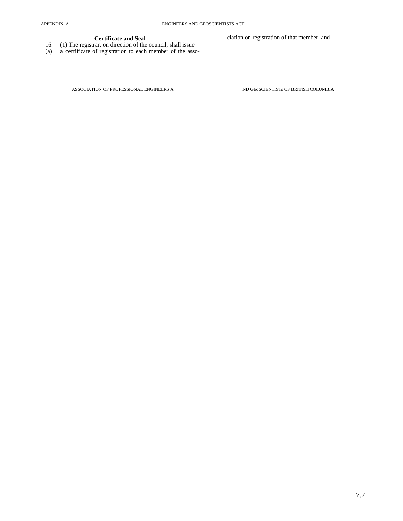#### **Certificate and Seal**

- 16. (1) The registrar, on direction of the council, shall issue
- (a) a certificate of registration to each member of the asso-

ASSOCIATION OF PROFESSIONAL ENGINEERS A ND GEoSCIENTISTs OF BRITISH COI,UMBIA

ciation on registration of that member, and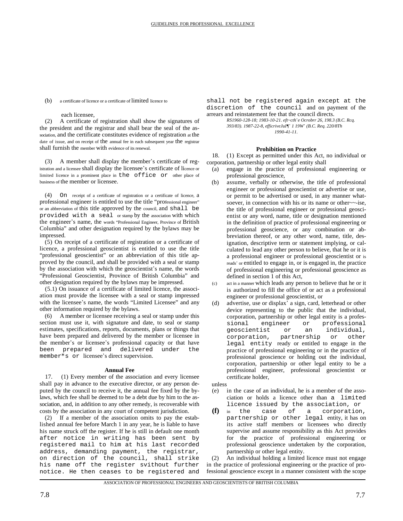#### each licensee,

(2) A certificate of registration shall show the signatures of the president and the registrar and shall bear the seal of the association, and the certificate constitutes evidence of registration at the date of issue, and on receipt of the annual fee in each subsequent year the registrar shall furnish the member with evidence of its renewal.

(3) A member shall display the member's certificate of registration and a licensee shall display the licensee's certificate of licence or limited licence in a prominent place in the office or other place of business of the member or licensee.

(4) On receipt of a certificate of registration or a certificate of licence, a professional engineer is entitled to use the title "professional engineer" or an abbreviation of this title approved by the council, and shall be provided with a seal or stamp by the association with which the engineer's name, the words "Professional Engineer, Province of British Columbia" and other designation required by the bylaws may be impressed.

 $(5)$  On receipt of a certificate of registration or a certificate of licence, a professional geoscientist is entitled to use the title "professional geoscientist" or an abbreviation of this title approved by the council, and shall be provided with a seal or stamp by the association with which the geoscientist's name, the words "Professional Geoscientist, Province of British Columbia" and other designation required by the bylaws may be impressed.

(5.1) On issuance of a certificate of limited licence, the association must provide the licensee with a seal or stamp impressed with the licensee's name, the words "Limited Licensee" and any other information required by the bylaws.

(6) A member or licensee receiving a seal or stamp under this section must use it, with signature and date, to seal or stamp estimates, specifications, reports, documents, plans or things that have been prepared and delivered by the member or licensee in the member's or licensee's professional capacity or that have been prepared and delivered under the member\*s or licensee's direct supervision.

#### **Annual Fee**

17. (1) Every member of the association and every licensee shall pay in advance to the executive director, or any person deputed by the council to receive it, the annual fee fixed by the bylaws, which fee shall be deemed to be a debt due by him to the association, and, in addition to any other remedy, is recoverable with costs by the association in any court of competent jurisdiction.

(2) If a member of the association omits to pay the established annual fee before March 1 in any year, he is liable to have his name struck off the register. If he is still in default one month after notice in writing has been sent by registered mail to him at his last recorded address, demanding payment, the registrar, on direction of the council, shall strike his name off the register svithout further notice. He then ceases to be registered and

(b) a certificate of licence or a certificate of limited licence to shall not be registered again except at the discretion of the council and on payment of the arrears and reinstatement fee that the council directs.

> *RS1960-128-18; 1983-10-21. eft~cth\*e Ocrobrr 26, 198.3 (B.C. Rcq. 393/83). 1987-22-8, efficriveJuI¶\* 1 19W\* (B.C. Req. 220/8Th 1990-41-11.*

#### **Prohibition on Practice**

18. (1) Except as permitted under this Act, no individual or corporation, partnership or other legal entity shall

- (a) engage in the practice of professional engineering or professional geoscience,
- (b) assume, verbally or otherwise, the title of professional engineer or professional geoscientist or advertise or use, or permit to be advertised or used, in any manner whatsoever, in connection with his or its name or other~~-ise, the title of professional engineer or professional geoscientist or any word, name, title or designation mentioned in the definition of practice of professional engineering or professional geoscience, or any combination or abbreviation thereof, or any other word, name, title, designation, descriptive term or statement implying, or calculated to lead any other person to believe, that he or it is a professional engineer or professional geoscientist or is reads' or entitled to engage in, or is engaged in, the practice of professional engineering or professional geoscience as defined in section 1 of this Act,
- (c) act in a manner which leads any person to believe that he or it is authorized to fill the office of or act as a professional engineer or professional geoscientist, or
- (d) advertise, use or displax\* a sign, card, letterhead or other device representing to the public that the individual, corporation, partnership or other legal entity is a professional engineer or professional geoscientist or an individual, corporation, partnership or other legal entity ready or entitled to engage in the practice of professional engineering or in the practice of professional geoscience or holding out the individual, corporation, partnership or other legal entity to be a professional engineer, professional geoscientist or certificate holder,

unless

- (e) in the case of an individual, he is a member of the association or holds a licence other than a limited licence issued by the association, or
- **(f)** in the case of a corporation, partnership or other legal entity, it has on its active staff members or licensees who directly supervise and assume responsibility as this Act provides for the practice of professional engineering or professional geoscience undertaken by the corporation, partnership or other legal entity.

(2) An individual holding a limited licence must not engage in the practice of professional engineering or the practice of professional geoscience except in a manner consistent with the scope

ASSOCIATION OF PROFESSIONAL ENGINEERS AND GEOSCIENTISTS OF BRITISH COLUMBIA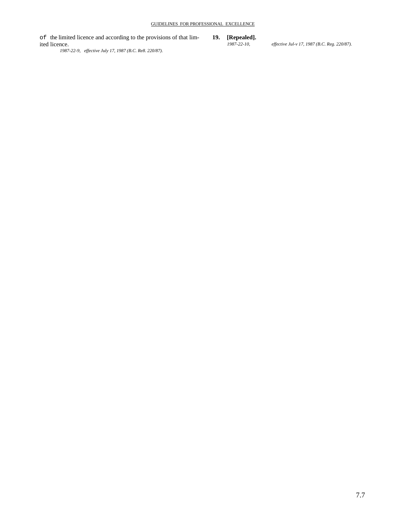of the limited licence and according to the provisions of that lim- **19. [Repealed].** ited licence.

*1987-22-9, effective July 17, 1987 (B.C. Re8. 220/87).*

*1987-22-10, effective Jul-v 17, 1987 (B.C. Reg. 220/87).*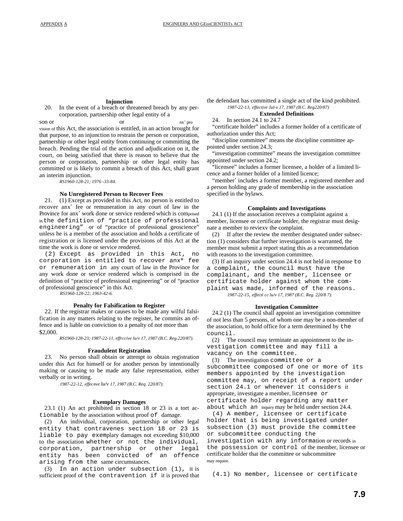#### **Injunction**

20. In the event of a breach or threatened breach by any percorporation, partnership other legal entity of a

son or **a** or **a** nx<sup>\*</sup> pro vision of this Act, the association is entitled, in an action brought for that purpose, to an injunction to restrain the person or corporation, partnership or other legal entity from continuing or committing the breach. Pending the trial of the action and adjudication on it, the court, on being satisfied that there is reason to believe that the person or corporation, partnership or other legal entity has committed or is likely to commit a breach of this Act, shall grant an interim injunction.

*RS1960-128-21; 1976 -33-84.*

#### **No Unregistered Person to Recover Fees**

21. (1) Except as provided in this Act, no person is entitled to recover anx' fee or remuneration in any court of law in the Province for anx' work done or service rendered which is comprised in the definition of "practice of professional engineering" or of "practice of professional geoscience" unless he is a member of the association and holds a certificate of registration or is licensed under the provisions of this Act at the time the work is done or service rendered.

(2) Except as provided in this Act, no corporation is entitled to recover anx\* fee or remuneration in any court of law in the Province for any work done or service rendered which is comprised in the definition of "practice of professional engineering" or of "practice of professional geoscience" in this Act.

*RS1960-128-22; 1963-42-6.*

#### **Penalty for Falsification to Register**

22. If the registrar makes or causes to be made any wilful falsification in any matters relating to the register, he commits an offence and is liable on conviction to a penalty of not more than \$2,000.

*RS1960-128-23; 1987-22-11, effrccive lu/v 17, 1987 (B.C. Reg.220/87).*

#### **Fraudulent Registration**

23. No person shall obtain or attempt to obtain registration under this Act for himself or for another person by intentionally making or causing to be made any false representation, either verbally or in writing.

*1987-22-12, effecnve lu/v 17, 1987 (B.C. Req. 220/87).*

#### **Exemplary Damages**

23.1 (1) An act prohibited in section 18 or 23 is a tort actionable by the association without proof of damage.

(2) An individual, corporation, partnership or other legal entity that contravenes section 18 or 23 is liable to pay exemplary damages not exceeding \$10,000 to the association whether or not the individual, corporation, partnership or other legal entity has been convicted of an offence arising from the same circumstances.

(3) In an action under subsection (1), it is sufficient proof of the contravention if it is proved that the defendant has committed a single act of the kind prohibited. *1987-22-13, effective Jul-v 17, 1987 (B.C. Reg220/87)*

**Extended Definitions** 24. In section 24.1 to 24.7

"certificate holder" includes a former holder of a certificate of authorization under this Act;

"discipline committee" means the discipline committee appointed under section 24.3;

"investigation committee" means the investigation committee appointed under section 24.2;

"licensee" includes a former licensee, a holder of a limited licence and a former holder of a limited licence;

"member" includes a former member, a registered member and a person holding any grade of membership in the association specified in the bylaws.

#### **Complaints and Investigations**

24.1 (1) If the association receives a complaint against a member, licensee or certificate holder, the registrar must designate a member to reviexv the complaint.

(2) If after the review the member designated under subsection (1) considers that further investigation is warranted, the member must submit a report stating this as a recommendation with reasons to the investigation committee.

(3) If an inquiry under section 24.4 is not held in response to a complaint, the council must have the complainant, and the member, licensee or certificate holder against whom the complaint was made, informed of the reasons. *1987-22-15, effecti cc lu/v 17, 1987 (B.C. Reg. 220/8 7).*

#### **Investigation Committee**

24.2 (1) The council shall appoint an investigation committee of not less than 5 persons, of whom one may be a non-memher of the association, to hold office for a term determined by the council.

(2) The council may terminate an appointment to the investigation committee and may fill a vacancy on the committee.

(3) The investigation committee or a subcommittee composed of one or more of its members appointed by the investigation committee may, on receipt of a report under section 24.1 or whenever it considers it appropriate, investigate a member, licensee or certificate holder regarding any matter about which an inquiry may be held under section 24.4.

(4) A member, licensee or certificate holder that is being investigated under subsection (3) must provide the committee or subcommittee conducting the investigation with any information or records in the possession or control of the member, licensee or certificate holder that the committee or subcommittee may require.

(4.1) No member, licensee or certificate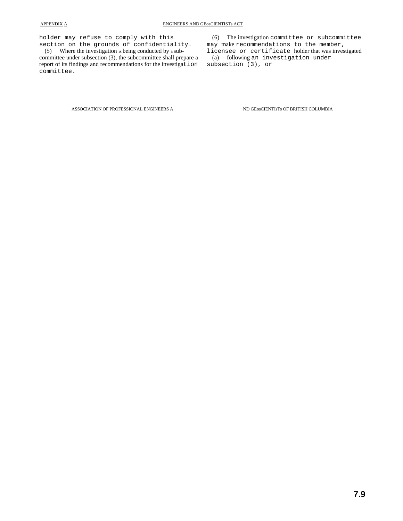holder may refuse to comply with this (6) The investigation committee or subcommittee section on the grounds of confidentiality. may make recommendations to the member, section on the grounds of confidentiality.<br>
(5) Where the investigation is being conducted by a sub-

committee under subsection (3), the subcommittee shall prepare a (a) following an inversion of its findings and recommendations for the investigation subsection (3), or report of its findings and recommendations for the investigation committee.

licensee or certificate holder that was investigated (a) following an investigation under

ASSOCIATION OF PROFESSIONAL ENGINEERS A ND GEosCIENTIsTs OF BRITISH COLUMBIA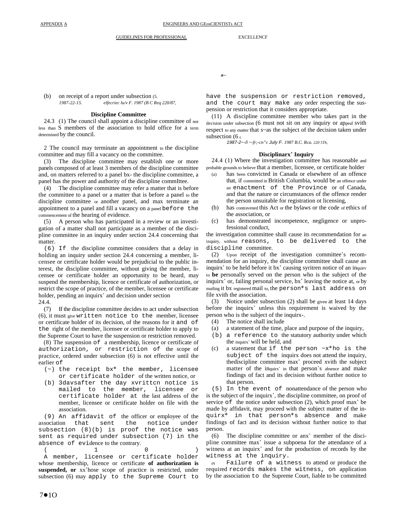GUIDELINES FOR PROFESSIONAL EXCELLENCF

**a--**

*1987-22-15. elfecriec lu/v F. 1987 (B C Req 220/87,*

#### **Discipline Committee**

24.3 (1) The council shall appoint a discipline committee of nor less than S members of the association to hold office for a term determined by the council.

2 The council may terminate an appointment to the discipline committee and may fill a vacancy on the committee.

(3) The discipline committee may establish one or more panels composed of at least 3 members of the discipline committee and, on matters referred to a panel bx- the discipline committee, a panel has the power and authority of the discipline commIttee.

(4) The discipline committee may refer a matter that is before the committee to a panel or a matter that is before a panel to the discipline committee or another panel, and max terminate an appointment to a panel and fill a vacancy on a panel before the commencement of the hearing of evidence.

(5) A person who has participated in a review or an investigation of a matter shall not participate as a member of the discipline committee in an inquiry under section 24.4 concerning that matter.

(6) If the discipline committee considers that a delay in holding an inquiry under section 24.4 concerning a member, licensee or certificate holder would be prejudicial to the public interest, the discipline committee, without giving the member, licensee or certificate holder an opportunity to be heard, may suspend the membership, licence or certificate of authorization, or restrict the scope of practice, of the member, licensee or certificate holder, pending an inquirx' and decision under section 24.4.

(7) If the discipline committee decides to act under subsection (6), it must give written notice to the member, licensee or certificate holder of its decision, of the reasons for it and of the right of the member, licensee or certificate holder to apply to the Supreme Court to have the suspension or restriction removed.

(8) The suspension of a membership, licence or certificate of authorization, or restriction of the scope of practice, ordered under subsection (6) is not effective until the earlier of

- (~) the receipt bx\* the member, licensee or certificate holder of the written notice, or
- (b) 3davsafter the day xvrittcn notice is mailed to the member, licensee or certificate holder at the last address of the member, licensee or certificate holder on file with the association.

(9) An affidavit of the officer or employee of the association that sent the notice under subsection (8)(b) is proof the notice was sent as required under subsection (7) in the absence of evidence to the contrary.

 $( \qquad \qquad 1 \qquad \qquad 0 \qquad \qquad )$ A member, licensee or certificate holder whose membership, licence or certificate **of authorization is** suspended, or xx'hose scope of practice is restricted, under subsection (6) may apply to the Supreme Court to

(b) on receipt of a report under subsection (5. have the suspension or restriction removed, and the court may make any order respecting the suspension or restriction that it considers appropriate.

(11) A discipline committee member who takes part in the decision under subsection (6 must not sit on any inquiry or appeal svith respect to any matter that s~as the subject of the decision taken under subsection (6 **(.**

*1987-2~-/i ~-fr;-cn"c July F. 1987 B.C. Rca. 220 5Th,*

#### **Disciplinarx**\* **Inquiry**

24.4 (1) Where the investigation committee has reasonable and probable grounds to believe that a member, licensee, or certificate holder

- (a) has been convicted in Canada or elsewhere of an offence that, if committed in British Columbia, would be an offence under an enactment of the Province or of Canada, and that the nature or circumstances of the offence render the person unsuitable for registration ot licensing,
- (b) has contravened this Act or the bylaws or the code of ethics of the association, or
- (c) has demonstrated incompetence, negligence or unprofessional conduct,

the investigation committee shall cause its recommendation for an inquiry, without reasons, to be delivered to the discipline committee.

(2) Upon receipt of the investigation committee\*s recommendation for an inquiry, the discipline committee shall cause an inquirx' to be held before it bx' causing syritren notice of an inquirv to **be** personally served on the person who is the subject of the inquirx' or, failing personal service, bx' leaving the notice at, or by mailing it bx registered mail to, the person\*s last address on file xvith the association.

(3) Notice under subsection (2) shall be given at least 14 days before the inquirx' unless this requirement is waived by the person who is the subject of the inquirx-.

- (4) The notice shall include
- (a) a statement of the time, place and purpose of the inquiry,
- (b) a reference to the statutory authority under which the inquirx' will be held, and
- (c) a statement that if the person  $-x^*$ ho is the subject of the inquirx does not attend the inquiry, thediscipline committee max' proceed xvith the subject matter of the inquirx' in that person's absence and make findings of fact and its decision without further notice to that person.

(5) In the event of nonattendance of the person who is the subject of the inquirx', the discipline committee, on proof of service  $\circ$  f the notice under subsection (2), which proof max' be made by affidavit, may proceed with the subject matter of the inquirx\* in that person\*s absence and make findings of fact and its decision without further notice to that person.

(6) The discipline committee or anx\* member of the discipline committee max' issue a subpoena for the attendance of a witness at an inquirx' and for the production of records by the witness at the inquiry.

**(7)** Failure of a witness to attend or produce the required records makes the witness, on application by the association to the Supreme Court, liable to be committed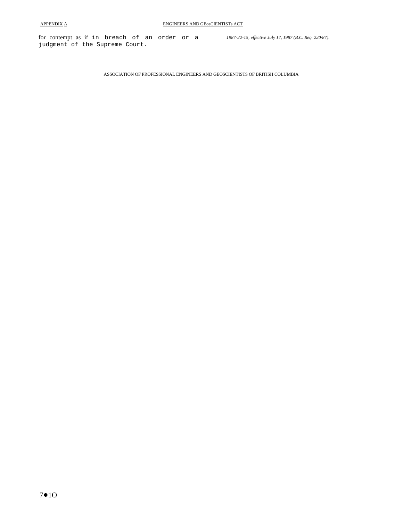for contempt as if in breach of an order or a *1987-22-15, effective July 17, 1987 (B.C. Req. 220/87).* judgment of the Supreme Court.

ASSOCIATION OF PROFESSIONAL ENGINEERS AND GEOSCIENTISTS OF BRITISH COLUMBIA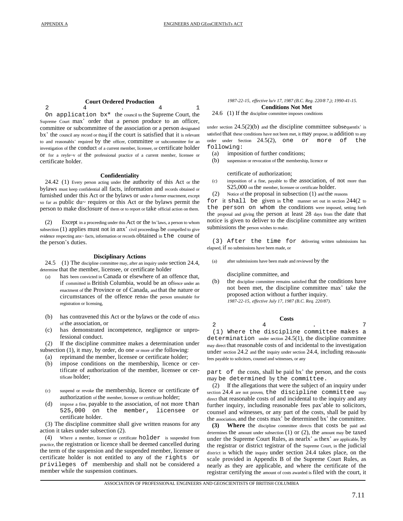#### **Court Ordered Production**

2 4 . 4 1 On application  $bx^*$  the council to the Supreme Court, the Supreme Court max' order that a person produce to an officer, committee or subcommittee of the association or a person designated bx' the council any record or thing if the court is satisfied that it is relevant to and reasonablx' required by the officer, committee or subcommittee for an investigation of the conduct of a current member, licensee, or certificate holder or for a reyIe~v of the professional practice of a current member, licensee or certificate holder.

#### **Confidentiality**

24.42 (1) Every person acting under the authority of this Act or the bylaws must keep confidential all facts, information and records obtained or furnished under this Act or the bylaws or under a former enactment, except so far as public du~ requires or this Act or the bylaws permit the person to make disclosure of them or to report or take official action on them.

(2) Except in a proceeding under this Act or the bx\*laws, a person to whom subsection  $(1)$  applies must not in anx<sup> $\cdot$ </sup> civil proceedings be compelled to give evidence respecting anx~ facts, information or records obtained in the course of the person's duties.

#### **Disciplinary Actions**

24.5 (1) The discipline committee may, after an inquiry under section 24.4, determine that the member, licensee, or certificate holder

- (a) has been convicted in Canada or elsewhere of an offence that, if committed in British Columbia, would be an offence under an enactment of the Province or of Canada, and that the nature or circumstances of the offence render the person unsuitable for registration or licensing,
- (b) has contravened this Act or the bylaws or the code of ethics of the association, or
- (c) has demonstrated incompetence, negligence or unprofessional conduct.
- If the discipline committee makes a determination under subsection (1), it may, by order, do one or more of the following:
	- (a) reprimand the member, licensee or certificate holder;
	- (b) impose conditions on the membership, licence or certificate of authorization of the member, licensee or certificate holder;
	- (c) suspend or revoke the membership, licence or certificate of authorization of the member, licensee or certificate holder;
	- (d) impose a fine, payable to the association, of not more than 525,000 on the member, licensee or certificate holder.

(3) The discipline committee shall give written reasons for any action it takes under subsection (2).

(4) Where a member, licensee or certificate holder is suspended from practice, the registration or licence shall be deemed cancelled during the term of the suspension and the suspended member, licensee or certificate holder is not entitled to any of the rights or privileges of membership and shall not be considered a member while the suspension continues.

#### *1987-22-15, effective lu/v 17, 1987 (B.C. Reg. 220/8 7,); 1990-41-15.* **Conditions Not Met**

#### 24.6 (1) If the discipline committee imposes conditions

under section  $24.5(2)(b)$  and the discipline committee subsequently' is satisfied that these conditions have not been met, it may propose, in addition to any order under Section 24.5(2), one or more of the following:

- (a) imposition of further conditions;
- (b) suspension or revocation of the membership, licence or

certificate of authorization;

- (c) imposition of a fine, payable to the association, of not more than S25,000 on the member, licensee or certificate holder.
- (2) Notice of the proposal in subsection (1) and the reasons

for it shall be given in the manner set out in section 244(2 to the person on whom the conditions were imposed, setting forth the proposal and giving the person at least 28 days from the date that notice is given to deliver to the discipline committee any written submissions the person wishes to make.

(3) After the time for delivering written submissions has elapsed, if no submissions have been made, or

(a) after submissions have been made and reviewed by the

discipline committee, and

(b) the discipline committee remains satisfied that the conditions have not been met, the discipline committee max' take the proposed action without a further inquiry. *1987-22-15, effective July 17, 1987 (B.C. Req. 220/87).*

#### **Costs**

2 4 1 7 (1) Where the discipline committee makes a determination under section 24.5(1), the discipline committee may direct that reasonable costs of and incidental to the investigation under section 24.2 and the inquiry under section 24.4, including reasonable fees payable to solicitors, counsel and witnesses, or any

part of the costs, shall be paid bx' the person, and the costs may be determined by the committee.

(2) If the allegations that were the subject of an inquiry under section 24.4 are not proven, the discipline committee may direct that reasonable costs of and incidental to the inquiry and any further inquiry, including reasonable fees pax'able to solicitors, counsel and witnesses, or any part of the costs, shall be paid by the association, and the costs max<sup>'</sup> be determined bx' the committee.

**(3) Where** the discipline committee directs that costs be paid and determines the amount under subsection  $(1)$  or  $(2)$ , the amount may be taxed under the Supreme Court Rules, as nearly, as they are applicable, by the registrar or district tegistrar of the Supreme Court, in the judicial district in which the inquiry under section 24.4 takes place, on the scale provided in Appendix B of the Supreme Court Rules, as nearly as they are applicable, and where the certificate of the registrar certifying the amount of costs awarded is filed with the court, it

ASSOCIATION OF PROFESSIONAL ENGINEERS AND GEOSCIENTISTS OF BRITISH COLUMBIA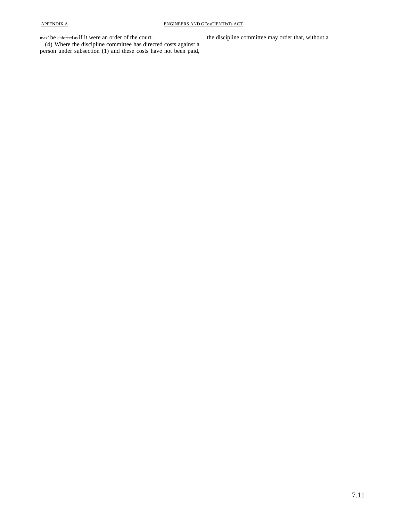max' be enforced as if it were an order of the court. the discipline committee may order that, without a

(4) Where the discipline committee has directed costs against a person under subsection (1) and these costs have not been paid,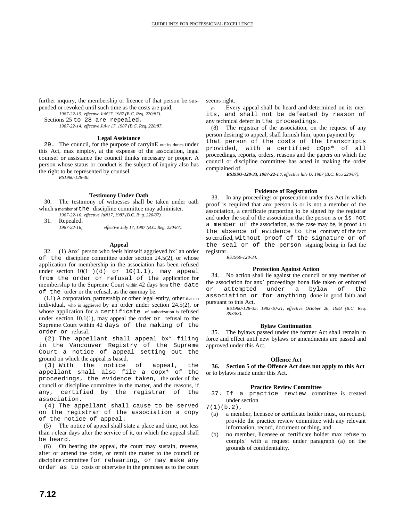further inquiry, the membership or licence of that person be suspended or revoked until such time as the costs are paid.

*1987-22-15, effeenve JuN17, 1987 (B.C. Reg. 220/87).* Sections 25 to 28 are repealed. *1987-22-14. effecuve Jul-v 17, 1987 (B.C. Req. 220/87,.*

#### **Legal Assistance**

29. The council, for the purpose of carryinE out its duties under this Act, max employ, at the expense of the association, legal counsel or assistance the council thinks necessary or proper. A person whose status or conduct is the subject of inquiry also has the right to be represented by counsel.

*RS1960-128-30.*

#### **Testimony Under Oath**

30. The testimony of witnesses shall be taken under oath which a member of the discipline committee may administer.

*1987-22-16, effective JuN17, 1987 (B.C. R~g. 220/87).* 31. Repealed.<br> $1987-22-16$ 

*1987-22-16, effective July 17, 1987 (B.C. Reg. 220/87).*

#### **Appeal**

32. (1) Anx' person who feels himself aggrieved bx' an order of the discipline committee under section 24.5(2), or whose application for membership in the association has been refused under section  $10(1)$   $(d)$  or  $10(1.1)$ , may appeal from the order or refusal of the application for membership to the Supreme Court within 42 days from the date of the order or the refusal, as the case may be.

(1.1) A corporation, partnership or other legal entity, other than an individual, who is aggrieved by an order under section 24.5(2), or whose application for a certificate of authorization is refused under section 10.1(1), may appeal the order or refusal to the Supreme Court within 42 days of the making of the order or refusal.

(2) The appellant shall appeal bx\* filing in the Vancouver Registry of the Supreme Court a notice of appeal setting out the ground on which the appeal is based.

(3) With the notice of appeal, the appellant shall also file a copx\* of the proceedings, the evidence taken, the order of the council or discipline committee in the matter, and the reasons, if any, certified by the registrar of the association.

(4) The appellant shall cause to be served on the registrar of the association a copy of the notice of appeal.

(5) The notice of appeal shall state a place and time, not less than **<sup>7</sup>**clear days after the service of it, on which the appeal shall be heard.

(6) On hearing the appeal, the court may sustain, reverse, alter or amend the order, or remit the matter to the council or discipline committee for rehearing, or may make any order as to costs or otherwise in the premises as to the court seems right.

**(7)** Every appeal shall be heard and determined on its merits, and shall not be defeated by reason of any technical defect in the proceedings.

(8) The registrar of the association, on the request of any person desiring to appeal, shall furnish him, upon payment by that person of the costs of the transcripts provided, with a certified cOpx\* of all proceedings, reports, orders, reasons and the papers on which the council or discipline committee has acted in making the order complained of.

*RSI9SO-128-33, 1987-22-1 7, effective lu/v U. 1987 )B.C. Rca 220/87).*

#### **Evidence of Registration**

33. In any proceedings or prosecution under this Act in which proof is required that anx person is or is not a member of the association, a certificate purporting to be signed by the registrar and under the seal of the association that the person is or is not a member of the association, as the case may be, is proof in the absence of evidence to the contrary of the fact so certified, without proof of the signature or of the seal or of the person signing being in fact the registrar.

*RS1960-128-34.*

#### **Protection Against Action**

34. No action shall lie against the council or any member of the association for anx' proceedings bona fide taken or enforced or attempted under a bylaw of the association or for anything done in good faith and pursuant to this Act.

*RS1960-128-35; 1983-10-21, effective October 26, 1983 (B.C. Req. 393/83).*

#### **Bylaw Continuation**

35. The bylaws passed under the former Act shall remain in force and effect until new bylaws or amendments are passed and approved under this Act.

#### **Offence Act**

**36. Section 5 of the Offence Act does not apply to this Act** or to bylaws made under this Act.

#### **Practice Review Committee**

37. If a practice review committee is created under section

7(1)(b.2),

- (a) a member, licensee or certificate holder must, on request, provide the practice review committee with any relevant information, record, document or thing, and
- (b) no member, licensee or certificate holder max refuse to complx\* with a request under paragraph (a) on the grounds of confidentiality.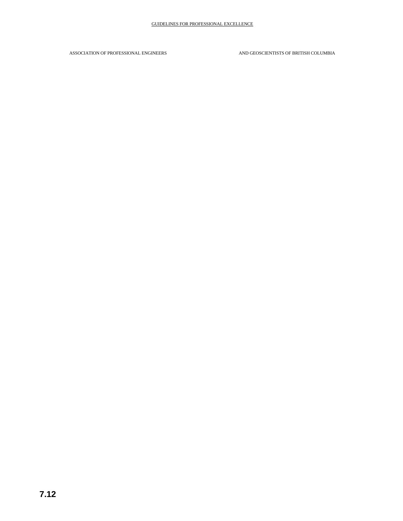${\large\bf AND GEOSCIATION OF PROFESSION AL ENGINEERS} {\large\bf AND GEOSCIENTISTS OF BRITISH COLUMBIA}$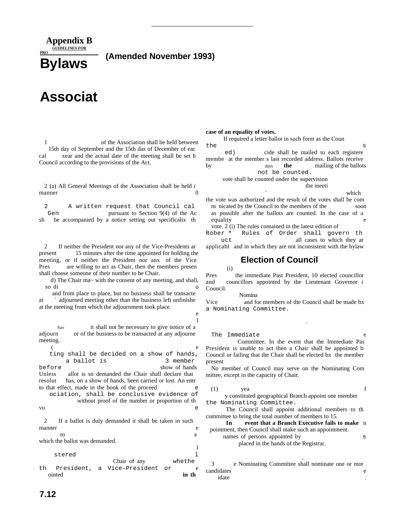**Appendix B GUIDELINES FOR**

**Bylaws**

**PRO**

## **(Amended November 1993)**

## **Associat**

1 of the Association shall be held between 15th day of September and the 15th das of Decemher of eac cal xear and the actual date of the meeting shall be set b Council according to the provisions of the Act.

2 (a) All General Meetings of the Association shall be held i manner 0

2 If neither the President nor any of the Vice-Presidents ar applicabl and in which they are not inconsistent with the bylaw present 15 minutes after the time appointed for holding the meeting, or if neither the President nor anx of the Vice Pres are willing to act as Chair, then the members presen shall choose someone of their number to be Chair.

d) The Chair ma~ with the consent of any meeting, and shall, so di o

 and from place to place, but no business shall be transacte at  $\cdot$  adjourned meeting other than the business left unfinishe at the meeting from which the adjournment took place.

 Sav it shall not be necessary to give notice of a adjourn or of the business to be transacted at any adjourne meeting.

 $\epsilon$ ting shall be decided on a show of hands, a ballot is 3 member before show of hands

Unless allot is so demanded the Chair shall declare that resolut has, on a show of hands, been carried or lost. An entr to that effect, made in the book of the proceed e

ociation, shall be conclusive evidence of without proof of the number or proportion of th vo e

2 If a ballot is duly demanded it shall be taken in such manner e

 to a which the ballot was demanded.

| stered |                                   |        |
|--------|-----------------------------------|--------|
|        | Chair of any                      | whethe |
|        | th President, a Vice-President or | e      |
| ointed |                                   | in th  |

**case of an equality of votes.**

If required a letter ballot in such form as the Coun the state of the state  $\mathbf s$ 

ed) cide shall be mailed to each registere membe at the member s last recorded address. Ballots receive by days **the** mailing of the ballots not be counted.

 vote shall be counted under the supervision the meeti

\* **-** which

the vote was authorized and the result of the votes shall be com 2 A written request that Council cal m nicated by the Council to the members of the soon Gen pursuant to Section 9(4) of the Ac as possible after the ballots are counted. In the case of a sh be accompanied by a notice setting out specificalix the equality equality equality equality equality equality

vote. 2 (i) The rules contained in the latest edition of Rober \* Rules of Order shall govern th uct all cases to which they ar

## **. Election of Council**

(i)

e l

l

Pres the immediate Past President, 10 elected councillor and councillors appointed by the Lieutenant Governor i councillors appointed by the Lieutenant Governor i Council.

Nomina Vice and for members of the Council shall be made bx a Nominating Committee.

— The Immediate

 Committee. In the event that the Immediate Pas President is unable to act then a Chair shall be appointed b Council or failing that the Chair shall be elected bx the member present

No member of Council may serve on the Nominating Com mittee, except in the capacity of Chair.

(1) yea f

y constituted geographical Branch appoint one member the Nominating Committee.

The Council shall appoint additional members to th committee to bring the total number of members to 15.

**In event that a Branch Executive fails to make** n pointment, then Council shall make such an appointment. names of persons appointed by s

placed in the hands of the Registrar.

3 e Nominating Committee shall nominate one or mor candidates e idate .

**—**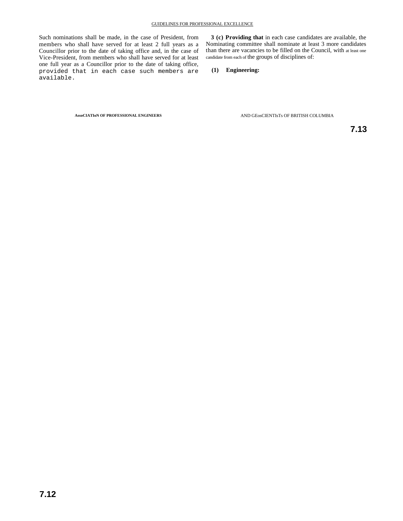Such nominations shall be made, in the case of President, from members who shall have served for at least 2 full years as a Councillor prior to the date of taking office and, in the case of Vice-President, from members who shall have served for at least one full year as a Councillor prior to the date of taking office, provided that in each case such members are available.

**3 (c) Providing that** in each case candidates are available, the Nominating committee shall nominate at least 3 more candidates than there are vacancies to be filled on the Council, with at least one candidate from each of the groups of disciplines of:

**(1) Engineering:**

**ASSOCIATION OF PROFESSIONAL ENGINEERS** AND GEOSCIENTISTS OF BRITISH COLUMBIA

**7.13**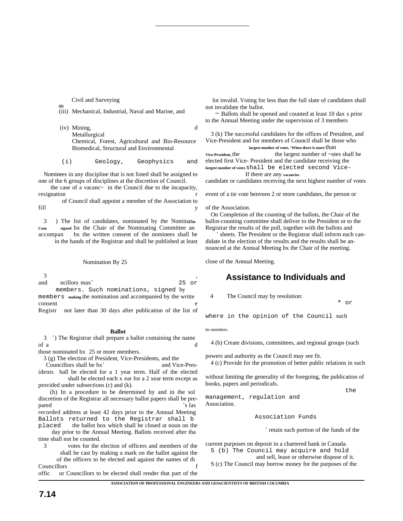Civil and Surveying

## **(ii)** (iii) Mechanical, Industrial, Naval and Marine, and

(iv) Mining, d Metallurgical Chemical, Forest, Agricultural and Bio-Resource Biomedical, Structural and Environmental -

(i) Geology, Geophysics and

Nominees in any discipline that is not listed shall be assigned to If there are any vacancies one of the 6 groups of disciplines at the discretion of Council. candidate or candidates receiving the no

the case of a vacanc~ in the Council due to the incapacity, resignation r event of a tie vote benveen 2 or more candidates, the person or

 of Council shall appoint a member of the Association to fill y of the Association.

**Com signed** bx the Chair of the Nominating Committee an Registrar the results of the poll, together with the ballots and

Nomination By 25

 $3 \qquad \qquad ,$ and ncillors max<sup>\*</sup> 25 or members. Such nominations, signed by members **making** the nomination and accompanied by the writte consent extent of the consent of the consent of the consent of the consent of the consent of the consent of the consent of the consent of the consent of the consent of the consent of the consent of the consent of the conse Registr not later than 30 days after publication of the list of

#### **Ballot**

3 \*) The Registrar shall prepare a ballot containing the name of a d

those nominated bx 25 or more members.

3 (g) The election of President, Vice-Presidents, and the

Councillors shall be bx' idents hall be elected for a 1 year term. Half of the elected shall be elected each x ear for a 2 xear term except as

provided under subsections (c) and (k). (h) In a procedure to be determined by and in the sol

discretion of the Registrar all necessary ballot papers shall be prepared \*s las recorded address at least 42 days prior to the Annual Meeting Ballots returned to the Registrar shall b

placed the ballot box which shall be closed at noon on the day prior to the Annual Meeting. Ballots received after tha time shall not be counted.

3 votes for the election of officers and members of the shall be cast by making a mark on the ballot against the of the officers to be elected and against the names of th

Councillors f offic or Councillors to be elected shall render that part of the

lot invalid. Voting for less than the full slate of candidates shall not invalidate the ballot.

 $\sim$  Ballots shall be opened and counted at least 10 dax s prior to the Annual Meeting under the supervision of 3 members

3 (k) The successful candidates for the offices of President, and Vice-President and for members of Council shall be those who

**largest number of votes. 'When there is more** than

Vice-President, the the largest number of ~otes shall be elected first Vice- President and the candidate receiving the **largest number of votes** shall be elected second Vice-

candidate or candidates receiving the next highest number of votes

On Completion of the counting of the ballots, the Chair of the 3 ) The list of candidates, nominated by the Nominat**in** ballot-counting committee shall deliver to the President or to the

accompan bx the written consent of the nominees shall be  $\cdot$  sheets. The President or the Registrar shall inform each can-<br>in the hands of the Registrar and shall be published at least didate in the election of the result didate in the election of the results and the results shall be announced at the Annual Meeting bx the Chair of the meeting.

close of the Annual Meeting.

## **Assistance to Individuals and**

4 The Council may by resolution:

\* or

where in the opinion of the Council such

its members.

4 (b) Create divisions, committees, and regional groups (such

powers and authority as the Council may see fit. 4 (c) Provide for the promotion of better public relations in such

without limiting the generality of the foregoing, the publication of books, papers and periodicals.

the

management, regulation and Association.

Association Funds

\* retain such portion of the funds of the

current purposes on deposit in a chartered bank in Canada. 5 (b) The Council may acquire and hold

and sell, lease or otherwise dispose of it.

S (c) The Council may borrow money for the purposes of the

**ASSOCIATION OF PROFESSIONAL ENGINEERS AND GEOsCIENTISTS OF BRITISH COLUMBIA**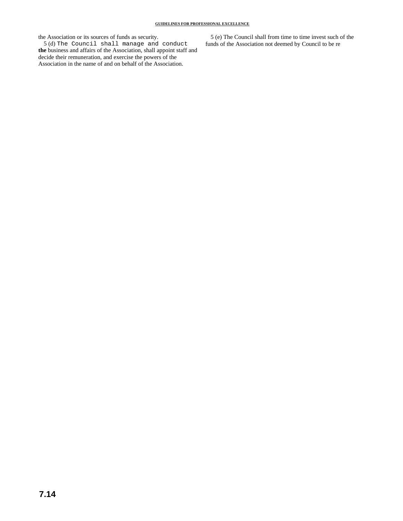5 (d) The Council shall manage and conduct **the** business and affairs of the Association, shall appoint staff and decide their remuneration, and exercise the powers of the Association in the name of and on behalf of the Association.

the Association or its sources of funds as security. 5 (e) The Council shall from time to time invest such of the funds of the Association not deemed by Council to be re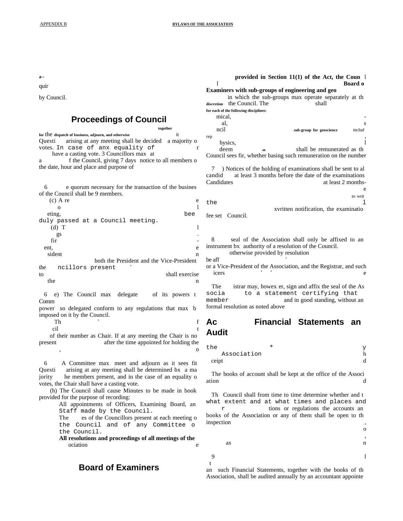**a--**

quir

by Council.

## **Proceedings of Council**

**together for** the **dispatch of business, adjourn, and otherwise** it Questi arising at any meeting shall be decided a majority o votes. In case of anx equality of have a casting vote. 3 Councillors max at a f the Council, giving 7 days notice to all members o the date, hour and place and purpose of

6 e quorum necessary for the transaction of the busines of the Council shall be 9 members.

| $(c)$ A re |                                   |                                           |
|------------|-----------------------------------|-------------------------------------------|
|            |                                   |                                           |
| eting,     |                                   | bee                                       |
|            | duly passed at a Council meeting. |                                           |
| $(d)$ T    |                                   |                                           |
| gs         |                                   |                                           |
| fir        |                                   |                                           |
| ent.       |                                   | e                                         |
| sident     |                                   | n                                         |
|            |                                   | both the President and the Vice-President |
| the        | ncillors present                  |                                           |
| tο         |                                   | shall exercise                            |
| the        |                                   | n                                         |
|            |                                   |                                           |

6 e) The Council max delegate of its powers t Comm

power so delegated conform to any regulations that max b imposed on it by the Council.

The state  $\mathbf f$  f cil the contract of the contract of the contract of the contract of the contract of the contract of the contract of the contract of the contract of the contract of the contract of the contract of the contract of the contra of their number as Chair. If at any meeting the Chair is no present after the time appointed for holding the

,  $\hspace{1.6cm}$   $\hspace{1.6cm}$   $\hspace{1.6cm}$   $\hspace{1.6cm}$   $\hspace{1.6cm}$   $\hspace{1.6cm}$   $\hspace{1.6cm}$   $\hspace{1.6cm}$   $\hspace{1.6cm}$   $\hspace{1.6cm}$   $\hspace{1.6cm}$   $\hspace{1.6cm}$   $\hspace{1.6cm}$   $\hspace{1.6cm}$   $\hspace{1.6cm}$   $\hspace{1.6cm}$   $\hspace{1.6cm}$   $\hspace{1.6cm}$   $\hs$ 

6 A Committee max meet and adjourn as it sees fit Questi arising at any meeting shall be determined bx a ma jority he members present, and in the case of an equality o votes, the Chair shall have a casting vote.

 (h) The Council shall cause Minutes to be made in book provided for the purpose of recording:

> All appointments of Officers, Examining Board, an Staff made by the Council.

> The es of the Councillors present at each meeting o the Council and of any Committee o the Council.

> **All resolutions and proceedings of all meetings of the** ociation e

## **Board of Examiners**

#### **provided in Section 11(1) of the Act, the Coun** l l **Board o**

**Examiners with sub-groups of engineering and geo**

 in which the sub-groups max operate separately at th discretion the Council. The shall **for each of the following disciplines:** mical, al, s

|        | ncil                |     | sub-group for geoscience                                                                                                            | includ |
|--------|---------------------|-----|-------------------------------------------------------------------------------------------------------------------------------------|--------|
| rep    |                     |     |                                                                                                                                     |        |
|        | hysics.             |     |                                                                                                                                     |        |
|        | deem                | All | shall be remunerated as the                                                                                                         |        |
| $\sim$ | $\sim$ 1. $\sim$ 0. |     | $\mathbf{1}$ and $\mathbf{1}$ and $\mathbf{1}$ and $\mathbf{1}$ and $\mathbf{1}$ and $\mathbf{1}$ and $\mathbf{1}$ and $\mathbf{1}$ |        |

Council sees fir, whether basing such remuneration on the number

7 ) Notices of the holding of examinations shall be sent to al candid at least 3 months before the date of the examinations Candidates at least 2 months-

e to writ the latter than  $\frac{1}{2}$ xvritten notification, the examinatio fee set Council.

8 seal of the Association shall only be affixed to an instrument bx authority of a resolution of the Council. otherwise provided by resolution

be aff

or a Vice-President of the Association, and the Registrar, and such icers \* \* e

The istrar may, howex er, sign and affix the seal of the As socia to a statement certifying that member and in good standing, without an formal resolution as noted above

## **Ac Financial Statements an Audit**

| the         | ∗ |  |
|-------------|---|--|
| Association |   |  |
| ceipt       |   |  |

The books of account shall be kept at the office of the Associ ation d

Th Council shall from time to time determine whether and t what extent and at what times and places and r tions or regulations the accounts an books of the Association or any of them shall be open to th inspection ,

|   |    | $\overline{O}$ |
|---|----|----------------|
|   |    | ,              |
|   | as | $\mathbf n$    |
|   |    |                |
| 9 |    |                |
| t |    |                |

an such Financial Statements, together with the books of th Association, shall be audited annually by an accountant appointe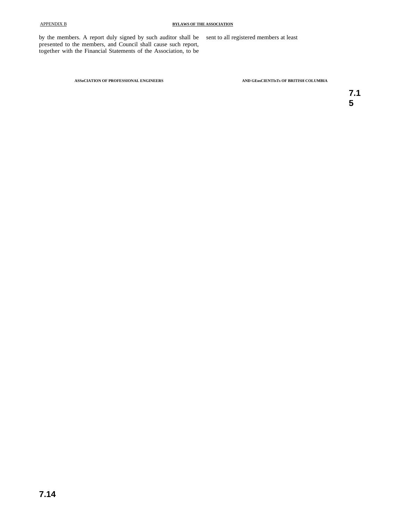by the members. A report duly signed by such auditor shall be sent to all registered members at least presented to the members, and Council shall cause such report, together with the Financial Statements of the Association, to be

**ASSoCIATION OF PROFESSIONAL ENGINEERS AND GEosCIENTIsTs OF BRITISH COLUMBIA**

**7.1 5**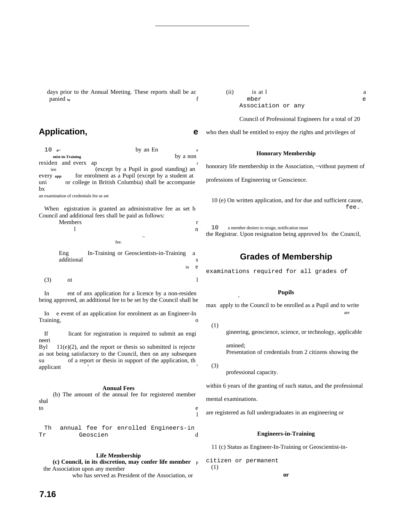days prior to the Annual Meeting. These reports shall be ac (ii) is at l a panied **by f c** mber **example the contract of the example of the example of**  $\mathbf{r}$  **and**  $\mathbf{r}$  **and**  $\mathbf{r}$  **and**  $\mathbf{r}$  **and**  $\mathbf{r}$  **and**  $\mathbf{r}$  **and**  $\mathbf{r}$  **and**  $\mathbf{r}$  **and**  $\mathbf{r}$  **and**  $\mathbf{r}$  **and**  $\mathbf{r}$  **and** 

## **Application, e**

10 **a~** by an En **<sup>r</sup> ntist-in-Training** by a non residen and everx ap ien (except by a Pupil in good standing) an every **app** for enrolment as a Pupil (except by a student at uni or college in British Columbia) shall be accompanie bx

an examination of credentials fee as set

When egistration is granted an administrative fee as set b Council and additional fees shall be paid as follows:

- Members r
	- $\ln$  fee.
- Eng In-Training or Geoscientists-in-Training a additional second second second second second second second second second second second second second second second second second second second second second second second second second second second second second second s in e
- $(3)$  ot l

In ent of anx application for a licence by a non-residen being approved, an additional fee to be set by the Council shall be

In e event of an application for enrolment as an Engineer-In Training,  $\qquad \qquad \text{or} \qquad \qquad \text{or} \qquad \qquad \text{or} \qquad \qquad \text{or} \qquad \qquad \text{or} \qquad \text{or} \qquad \text{or} \qquad \text{or} \qquad \text{or} \qquad \text{or} \qquad \text{or} \qquad \text{or} \qquad \text{or} \qquad \text{or} \qquad \text{or} \qquad \text{or} \qquad \text{or} \qquad \text{or} \qquad \text{or} \qquad \text{or} \qquad \text{or} \qquad \text{or} \qquad \text{or} \qquad \text{or} \qquad \$ 

If licant for registration is required to submit an engi neeri

Byl  $11(e)(2)$ , and the report or thesis so submitted is rejecte as not being satisfactory to the Council, then on any subsequen su of a report or thesis in support of the application, th applicant

#### **Annual Fees**

 (b) The amount of the annual fee for registered member shal to e

Th annual fee for enrolled Engineers-in Tr Geoscien d

#### **Life Membership**

 **(c) Council, in its discretion, may confer life member** p the Association upon any member

who has served as President of the Association, or

Association or any

Council of Professional Engineers for a total of 20

who then shall be entitled to enjoy the rights and privileges of

#### **Honorary Membership**

honorary life membership in the Association, ~vithout payment of

professions of Engineering or Geoscience.

10 (e) On written application, and for due and sufficient cause, fee.

10 a member desires to resign, notification must the Registrar. Upon resignation being approved bx the Council,

## **Grades of Membership**

examinations required for all grades of

#### **Pupils**

max apply to the Council to be enrolled as a Pupil and to write are

(1) gineering, geoscience, science, or technology, applicable

> amined; Presentation of credentials from 2 citizens showing the

professional capacity.

\*

within 6 years of the granting of such status, and the professional mental examinations.

are registered as full undergraduates in an engineering or

#### **Engineers-in-Training**

11 (c) Status as Engineer-In-Training or Geoscientist-in-

citizen or permanent (1)

l

(3)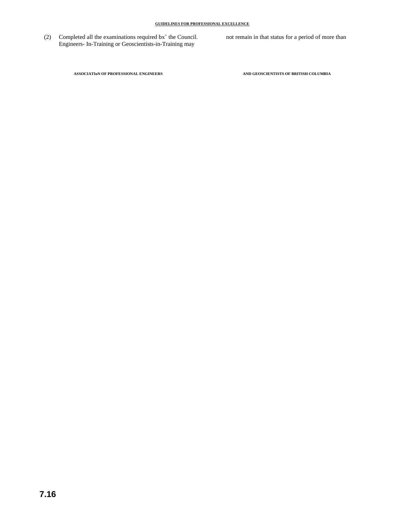(2) Completed all the examinations required bx\* the Council. not remain in that status for a period of more than Engineers- In-Training or Geoscientists-in-Training may

**ASSOCIATIoN OF PROFESSIONAL ENGINEERS AND GEOSCIENTISTS OF BRITISH COLUMBIA**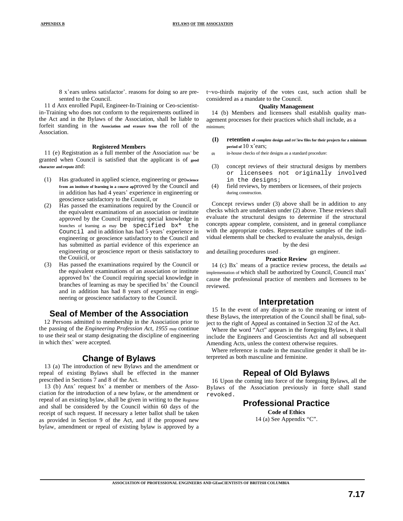sented to the Council. considered as a mandate to the Council.

11 d Anx enrolled Pupil, Engineer-In-Training or Ceo-scientistin-Training who does not conform to the requirements outlined in the Act and in the Bylaws of the Association, shall be liable to forfeit standing in the **Association and erasure from** the roll of the Association.

#### **Registered Members**

11 (e) Registration as a full member of the Association max\* be granted when Council is satisfied that the applicant is of **good character and repute** and:

- (1) Has graduated in applied science, engineering or geo**science from an institute of learning in a course ap**proved by the Council and in addition has had 4 years' experience in engineering or geoscience satisfactory to the Council, or
- (2) Has passed the examinations required by the Council or the equivalent examinations of an association or institute approved by the Council requiring special knowledge in branches of learning as may be specified bx\* the Council and in addition has had 5 years' experience in engineering or geoscience satisfactory to the Council and has submitted as partial evidence of this experience an engineering or geoscience report or thesis satisfactory to the Couiicil, or
- (3) Has passed the examinations required by the Council or the equivalent examinations of an association or institute approved bx\* the Council requiring special knowledge in branches of learning as may be specified bx\* the Council and in addition has had 8 years of experience in engineering or geoscience satisfactory to the Council.

## **Seal of Member of the Association**

12 Persons admitted to membership in the Association prior to the passing of the *Engineering Profession Act, 1955* may continue to use their seal or stamp designating the discipline of engineering in which thex' were accepted.

## **Change of Bylaws**

13 (a) The introduction of new Bylaws and the amendment or repeal of existing Bylaws shall be effected in the manner prescribed in Sections 7 and 8 of the Act.

13 (b) Anx' request bx' a member or members of the Association for the introduction of a new bylaw, or the amendment or repeal of an existing bylaw, shall be given in writing to the Registrar and shall be considered by the Council within 60 days of the receipt of such request. If necessary a letter ballot shall be taken as provided in Section 9 of the Act, and if the proposed new bylaw, amendment or repeal of existing bylaw is approved by a

8 x'ears unless satisfactor'. reasons for doing so are pre- t~vo-thirds majority of the votes cast, such action shall be

### **Quality Management**

14 (b) Members and licensees shall establish quality management processes for their practices which shall include, as a minimum;

- **(I) retention of complete design and re\**\***iew files for their projects for a minimum period of 10 x'ears;**
- **(2)** in-house checks of their designs as a standard procedure:
- (3) concept reviews of their structural designs by members or licensees not originally involved in the designs;
- (4) field reviews, by members or licensees, of their projects during construction.

Concept reviews under (3) above shall be in addition to any checks which are undertaken under (2) above. These reviews shall evaluate the structural designs to determine if the structural concepts appear complete, consistent, and in general compliance with the appropriate codes. Representative samples of the individual elements shall be checked to evaluate the analysis, design

#### by the desi

and detailing procedures used **procedure** gn engineer.

#### **Practice Review**

14 (c) Bx' means of a practice review process, the details and implementation of which shall be authorized by Council, Council max' cause the professional practice of members and licensees to be reviewed.

### **Interpretation**

15 In the event of any dispute as to the meaning or intent of these Bylaws, the interpretation of the Council shall be final, subject to the right of Appeal as contained in Section 32 of the Act.

Where the word "Act" appears in the foregoing Bylaws, it shall include the Engineers and Geoscientists Act and all subsequent Amending Acts, unless the context otherwise requires.

Where reference is made in the masculine gender it shall be interpreted as both masculine and feminine.

## **Repeal of Old Bylaws**

16 Upon the coming into force of the foregoing Bylaws, all the Bylaws of the Association previously in force shall stand revoked.

## **Professional Practice**

**Code of Ethics** 14 (a) See Appendix "C".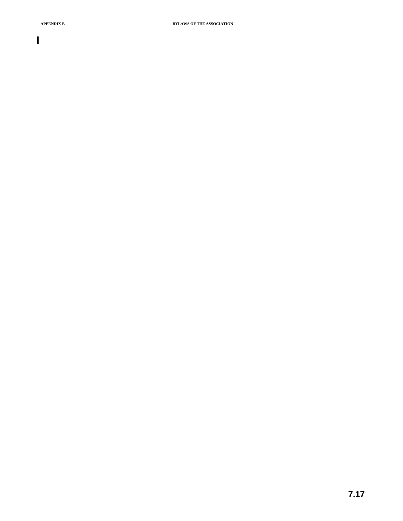**I**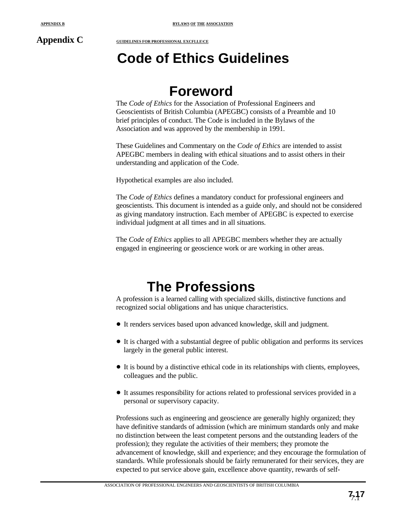**Appendix C GUIDELINES FOR PROFESSIONAL EXCFLLE\CE** 

# **Code of Ethics Guidelines**

## **Foreword**

The *Code of Ethics* for the Association of Professional Engineers and Geoscientists of British Columbia (APEGBC) consists of a Preamble and 10 brief principles of conduct. The Code is included in the Bylaws of the Association and was approved by the membership in 1991.

These Guidelines and Commentary on the *Code of Ethics* are intended to assist APEGBC members in dealing with ethical situations and to assist others in their understanding and application of the Code.

Hypothetical examples are also included.

The *Code of Ethics* defines a mandatory conduct for professional engineers and geoscientists. This document is intended as a guide only, and should not be considered as giving mandatory instruction. Each member of APEGBC is expected to exercise individual judgment at all times and in all situations.

The *Code of Ethics* applies to all APEGBC members whether they are actually engaged in engineering or geoscience work or are working in other areas.

## **The Professions**

A profession is a learned calling with specialized skills, distinctive functions and recognized social obligations and has unique characteristics.

- ! It renders services based upon advanced knowledge, skill and judgment.
- ! It is charged with a substantial degree of public obligation and performs its services largely in the general public interest.
- ! It is bound by a distinctive ethical code in its relationships with clients, employees, colleagues and the public.
- ! It assumes responsibility for actions related to professional services provided in a personal or supervisory capacity.

Professions such as engineering and geoscience are generally highly organized; they have definitive standards of admission (which are minimum standards only and make no distinction between the least competent persons and the outstanding leaders of the profession); they regulate the activities of their members; they promote the advancement of knowledge, skill and experience; and they encourage the formulation of standards. While professionals should be fairly remunerated for their services, they are expected to put service above gain, excellence above quantity, rewards of self-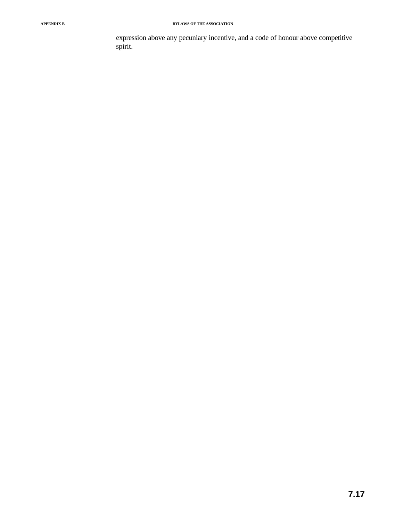## **APPENDIX B BYLAWS OF THE ASSOCIATION**

expression above any pecuniary incentive, and a code of honour above competitive spirit.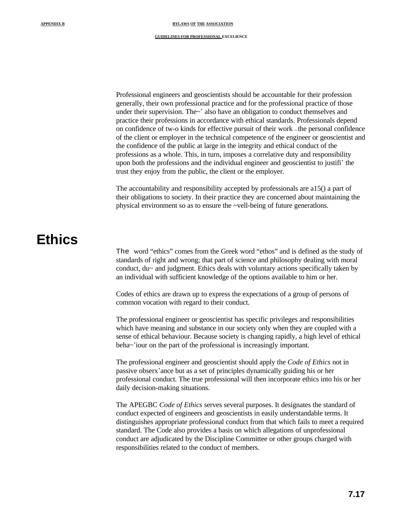Professional engineers and geoscientists should be accountable for their profession generally, their own professional practice and for the professional practice of those under their supervision. The~<sup>\*</sup> also have an obligation to conduct themselves and practice their professions in accordance with ethical standards. Professionals depend on confidence of tw-o kinds for effective pursuit of their work **—** the personal confidence of the client or employer in the technical competence of the engineer or geoscientist and the confidence of the public at large in the integrity and ethical conduct of the professions as a whole. This, in turn, imposes a correlative duty and responsibility upon both the professions and the individual engineer and geoscientist to justifi\* the trust they enjoy from the public, the client or the employer.

The accountability and responsibility accepted by professionals are a15() a part of their obligations to society. In their practice they are concerned about maintaining the physical environment so as to ensure the ~vell-being of future generatlons.

# **Ethics**

The word "ethics" comes from the Greek word "ethos" and is defined as the study of standards of right and wrong; that part of science and philosophy dealing with moral conduct, du~ and judgment. Ethics deals with voluntary actions specifically taken by an individual with sufficient knowledge of the options available to him or her.

Codes of ethics are drawn up to express the expectations of a group of persons of common vocation with regard to their conduct.

The professional engineer or geoscientist has specific privileges and responsibilities which have meaning and substance in our society only when they are coupled with a sense of ethical behaviour. Because society is changing rapidly, a high level of ethical beha~\*iour on the part of the professional is increasingly important.

The professional engineer and geoscientist should apply the *Code of Ethics* not in passive obserx\*ance but as a set of principles dynamically guiding his or her professional conduct. The true professional will then incorporate ethics into his or her daily decision-making situations.

The APEGBC *Code of Ethics* serves several purposes. It designates the standard of conduct expected of engineers and geoscientists in easily understandable terms. It distinguishes appropriate professional conduct from that which fails to meet a required standard. The Code also provides a basis on which allegations of unprofessional conduct are adjudicated by the Discipline Committee or other groups charged with responsibilities related to the conduct of members.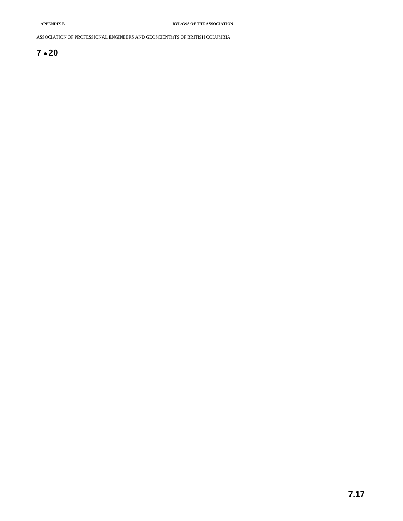ASSOCIATION OF PROFESSIONAL ENGINEERS AND GEOSCIENTisTS OF BRITISH COLUMBIA

## **7** ! **20**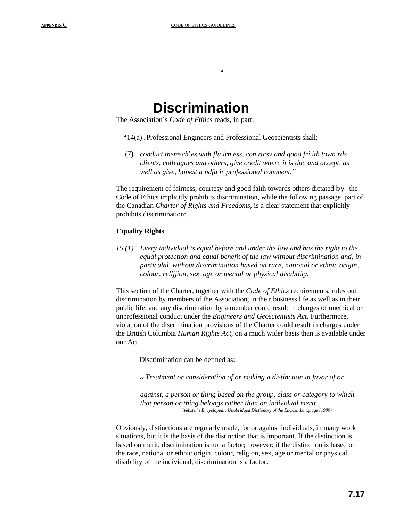## **Discrimination**

The Association's *Code of Ethics* reads, in part:

"14(a) Professional Engineers and Professional Geoscientists shall:

**a--**

(7) *conduct themsch\*es with flu irn ess, con rtcsv and qood fri ith town rds clients, colleagues and others, give credit wherc it is duc and accept, as well as give, honest a ndfa ir professional comment,"*

The requirement of fairness, courtesy and good faith towards others dictated by the Code of Ethics implicitly prohibits discrimination, while the following passage, part of the Canadian *Charter of Rights and Freedoms,* is a clear statement that explicitly prohibits discrimination:

## **Equality Rights**

*15.(1) Every individual is equal before and under the law and has the right to the equal protection and equal benefit of the law without discrimination and, in particulal, without discrimination based on race, national or ethnic origin, colour, relljjion, sex, age or mental or physical disability.*

This section of the Charter, together with the *Code of Ethics* requirements, rules out discrimination by members of the Association, in their business life as well as in their public life, and any discrimination by a member could result in charges of unethical or unprofessional conduct under the *Engineers and Geoscientists Act.* Furthermore, violation of the discrimination provisions of the Charter could result in charges under the British Columbia *Human Rights Act,* on a much wider basis than is available under our Act.

Discrimination can be defined as:

*cc Treatment or consideration of or making a distinction in favor of or*

*against, a person or thing based on the group, class or category to which that person or thing belongs rather than on individual merit. Webster\*s Encyclopedic Unabridqed Dictionary of the Enq/ish Lanquage (1989)*

Obviously, distinctions are regularly made, for or against individuals, in many work situations, but it is the basis of the distinction that is important. If the distinction is based on merit, discrimination is not a factor; however; if the distinction is based on the race, national or ethnic origin, colour, religion, sex, age or mental or physical disability of the individual, discrimination is a factor.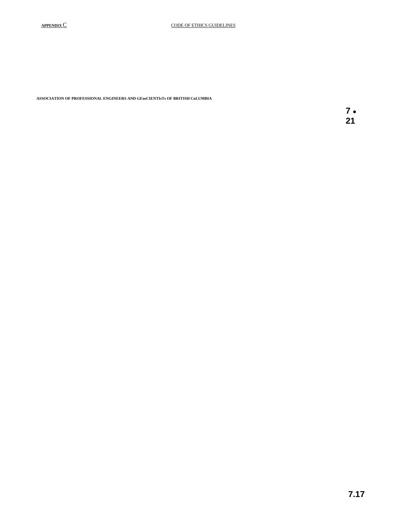**ASSOCIATION OF PROFESSIONAL ENGINEERS AND GEosCIENTIsTs OF BRITISH CoLUMBIA**

**7** ! **21**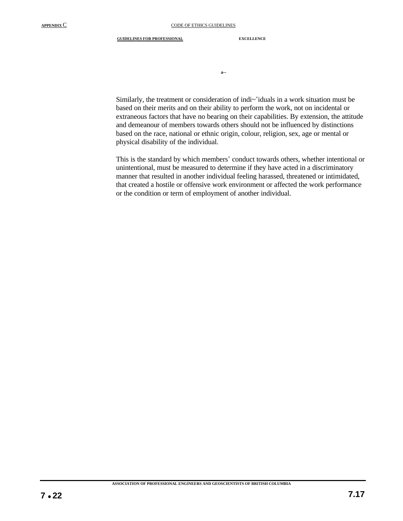**GUIDELINES FOR PROFESSIONAL EXCELLENCE**

**a--**

Similarly, the treatment or consideration of indi~'iduals in a work situation must be based on their merits and on their ability to perform the work, not on incidental or extraneous factors that have no bearing on their capabilities. By extension, the attitude and demeanour of members towards others should not be influenced by distinctions based on the race, national or ethnic origin, colour, religion, sex, age or mental or physical disability of the individual.

This is the standard by which members' conduct towards others, whether intentional or unintentional, must be measured to determine if they have acted in a discriminatory manner that resulted in another individual feeling harassed, threatened or intimidated, that created a hostile or offensive work environment or affected the work performance or the condition or term of employment of another individual.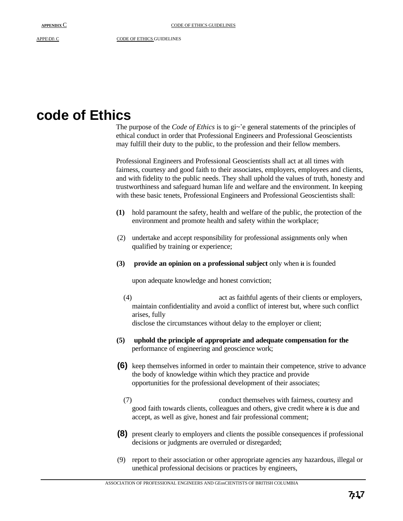APPE\DI\ C CODE OF ETHICS GUIDELINES

## **code of Ethics**

The purpose of the *Code of Ethics* is to gi~'e general statements of the principles of ethical conduct in order that Professional Engineers and Professional Geoscientists may fulfill their duty to the public, to the profession and their fellow members.

Professional Engineers and Professional Geoscientists shall act at all times with fairness, courtesy and good faith to their associates, employers, employees and clients, and with fidelity to the public needs. They shall uphold the values of truth, honesty and trustworthiness and safeguard human life and welfare and the environment. In keeping with these basic tenets, Professional Engineers and Professional Geoscientists shall:

- **(1)** hold paramount the safety, health and welfare of the public, the protection of the environment and promote health and safety within the workplace;
- (2) undertake and accept responsibility for professional assignments only when qualified by training or experience;

### **(3) provide an opinion on a professional subject** only when **it** is founded

upon adequate knowledge and honest conviction;

- (4) act as faithful agents of their clients or employers, maintain confidentiality and avoid a conflict of interest but, where such conflict arises, fully disclose the circumstances without delay to the employer or client;
- **(5) uphold the principle of appropriate and adequate compensation for the** performance of engineering and geoscience work;
- **(6)** keep themselves informed in order to maintain their competence, strive to advance the body of knowledge within which they practice and provide opportunities for the professional development of their associates;
	- (7) conduct themselves with fairness, courtesy and good faith towards clients, colleagues and others, give credit where **it** is due and accept, as well as give, honest and fair professional comment;
- **(8)** present clearly to employers and clients the possible consequences if professional decisions or judgments are overruled or disregarded;
- (9) report to their association or other appropriate agencies any hazardous, illegal or unethical professional decisions or practices by engineers,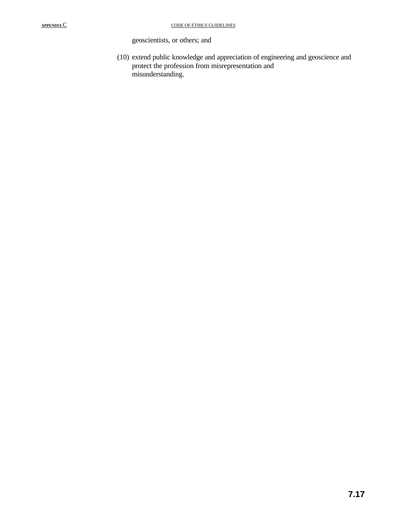geoscientists, or others; and

(10) extend public knowledge and appreciation of engineering and geoscience and protect the profession from misrepresentation and misunderstanding.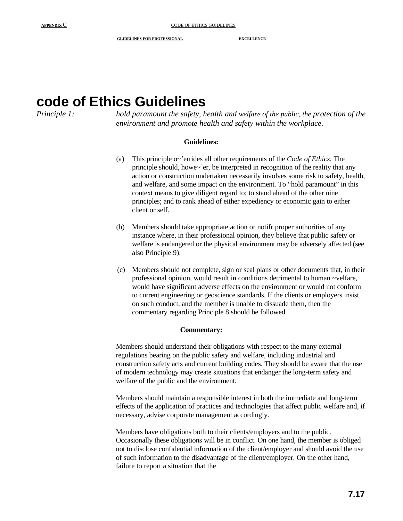**GLIDELINES FOR PROFESSIONAL EXCELLENCE**

## **code of Ethics Guidelines**

*Principle 1: hold paramount the safety, health and welfare of the public, the protection of the environment and promote health and safety within the workplace.*

### **Guidelines:**

- (a) This principle o~\*errides all other requirements of the *Code of Ethics.* The principle should, howe~\*er, be interpreted in recognition of the reality that any action or construction undertaken necessarily involves some risk to safety, health, and welfare, and some impact on the environment. To "hold paramount" in this context means to give diligent regard to; to stand ahead of the other nine principles; and to rank ahead of either expediency or economic gain to either client or self.
- (b) Members should take appropriate action or notifr proper authorities of any instance where, in their professional opinion, they believe that public safety or welfare is endangered or the physical environment may be adversely affected (see also Principle 9).
- (c) Members should not complete, sign or seal plans or other documents that, in their professional opinion, would result in conditions detrimental to human ~velfare, would have significant adverse effects on the environment or would not conform to current engineering or geoscience standards. If the clients or employers insist on such conduct, and the member is unable to dissuade them, then the commentary regarding Principle 8 should be followed.

### **Commentary:**

Members should understand their obligations with respect to the many external regulations bearing on the public safety and welfare, including industrial and construction safety acts and current building codes. They should be aware that the use of modern technology may create situations that endanger the long-term safety and welfare of the public and the environment.

Members should maintain a responsible interest in both the immediate and long-term effects of the application of practices and technologies that affect public welfare and, if necessary, advise corporate management accordingly.

Members have obligations both to their clients/employers and to the public. Occasionally these obligations will be in conflict. On one hand, the member is obliged not to disclose confidential information of the client/employer and should avoid the use of such information to the disadvantage of the client/employer. On the other hand, failure to report a situation that the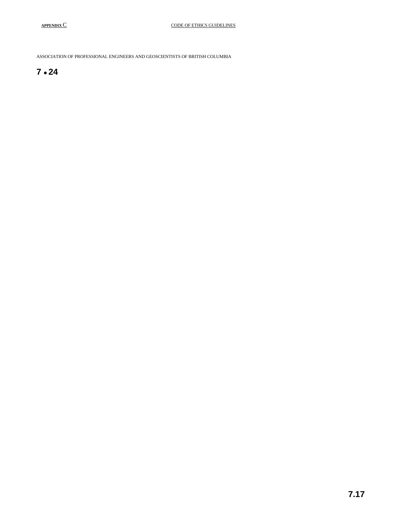ASSOCIATION OF PROFESSIONAL ENGINEERS AND GEOSCIENTISTS OF BRITISH COLUMBIA

## **7** ! **24**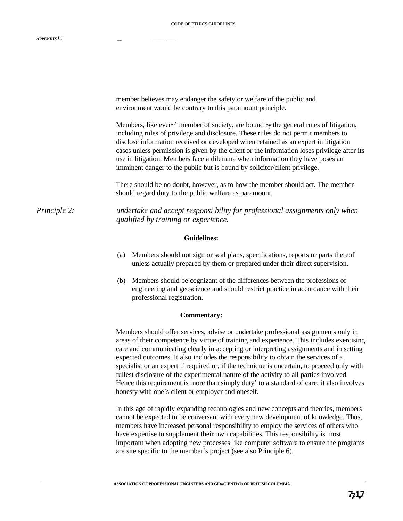|              | member believes may endanger the safety or welfare of the public and<br>environment would be contrary to this paramount principle.                                                                                                                                                                                                                                                                                                                                                                                             |
|--------------|--------------------------------------------------------------------------------------------------------------------------------------------------------------------------------------------------------------------------------------------------------------------------------------------------------------------------------------------------------------------------------------------------------------------------------------------------------------------------------------------------------------------------------|
|              | Members, like ever~' member of society, are bound by the general rules of litigation,<br>including rules of privilege and disclosure. These rules do not permit members to<br>disclose information received or developed when retained as an expert in litigation<br>cases unless permission is given by the client or the information loses privilege after its<br>use in litigation. Members face a dilemma when information they have poses an<br>imminent danger to the public but is bound by solicitor/client privilege. |
|              | There should be no doubt, however, as to how the member should act. The member<br>should regard duty to the public welfare as paramount.                                                                                                                                                                                                                                                                                                                                                                                       |
| Principle 2: | undertake and accept responsi bility for professional assignments only when<br>qualified by training or experience.                                                                                                                                                                                                                                                                                                                                                                                                            |
|              | <b>Guidelines:</b>                                                                                                                                                                                                                                                                                                                                                                                                                                                                                                             |
|              | Members should not sign or seal plans, specifications, reports or parts thereof<br>(a)<br>unless actually prepared by them or prepared under their direct supervision.                                                                                                                                                                                                                                                                                                                                                         |
|              | Members should be cognizant of the differences between the professions of<br>(b)<br>engineering and geoscience and should restrict practice in accordance with their<br>professional registration.                                                                                                                                                                                                                                                                                                                             |
|              | <b>Commentary:</b>                                                                                                                                                                                                                                                                                                                                                                                                                                                                                                             |
|              | Members should offer services, advise or undertake professional assignments only in<br>areas of their competence by virtue of training and experience. This includes exercising<br>care and communicating clearly in accepting or interpreting assignments and in setting<br>expected outcomes. It also includes the responsibility to obtain the services of a<br>specialist or an expert if required or, if the technique is uncertain, to proceed only with                                                                 |

fullest disclosure of the experimental nature of the activity to all parties involved. Hence this requirement is more than simply duty' to a standard of care; it also involves honesty with one's client or employer and oneself.

In this age of rapidly expanding technologies and new concepts and theories, members cannot be expected to be conversant with every new development of knowledge. Thus, members have increased personal responsibility to employ the services of others who have expertise to supplement their own capabilities. This responsibility is most important when adopting new processes like computer software to ensure the programs are site specific to the member's project (see also Principle 6).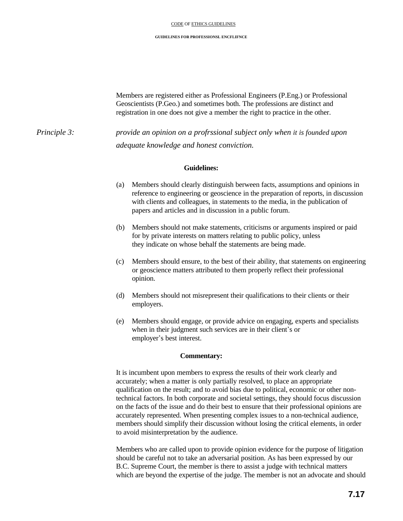#### CODE OF ETHICS GUIDELINES

#### **GUIDELINES FOR PROFESSIONSL ENCFLIFNCE**

Members are registered either as Professional Engineers (P.Eng.) or Professional Geoscientists (P.Geo.) and sometimes both. The professions are distinct and registration in one does not give a member the right to practice in the other.

*Principle 3: provide an opinion on a profrssional subject only when it is founded upon adequate knowledge and honest conviction.*

## **Guidelines:**

- (a) Members should clearly distinguish berween facts, assumptions and opinions in reference to engineering or geoscience in the preparation of reports, in discussion with clients and colleagues, in statements to the media, in the publication of papers and articles and in discussion in a public forum.
- (b) Members should not make statements, criticisms or arguments inspired or paid for by private interests on matters relating to public policy, unless they indicate on whose behalf the statements are being made.
- (c) Members should ensure, to the best of their ability, that statements on engineering or geoscience matters attributed to them properly reflect their professional opinion.
- (d) Members should not misrepresent their qualifications to their clients or their employers.
- (e) Members should engage, or provide advice on engaging, experts and specialists when in their judgment such services are in their client's or employer's best interest.

### **Commentary:**

It is incumbent upon members to express the results of their work clearly and accurately; when a matter is only partially resolved, to place an appropriate qualification on the result; and to avoid bias due to political, economic or other nontechnical factors. In both corporate and societal settings, they should focus discussion on the facts of the issue and do their best to ensure that their professional opinions are accurately represented. When presenting complex issues to a non-technical audience, members should simplify their discussion without losing the critical elements, in order to avoid misinterpretation by the audience.

Members who are called upon to provide opinion evidence for the purpose of litigation should be careful not to take an adversarial position. As has been expressed by our B.C. Supreme Court, the member is there to assist a judge with technical matters which are beyond the expertise of the judge. The member is not an advocate and should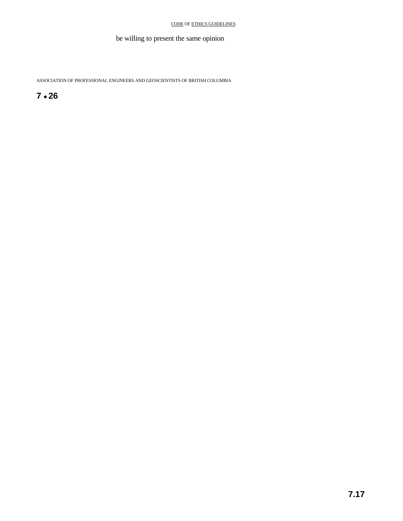## CODE OF ETHICS GUIDELINES

## be willing to present the same opinion

ASSOCIATION OF PROFESSIONAL ENGINEERS AND GEOSCIENTISTS OF BRITISH COLUMBIA

## **7** ! **26**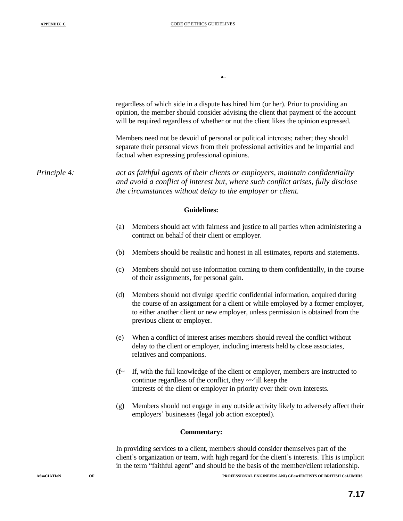|              | $a-$                                                                                                                                                                                                                                                                                                                                                      |
|--------------|-----------------------------------------------------------------------------------------------------------------------------------------------------------------------------------------------------------------------------------------------------------------------------------------------------------------------------------------------------------|
|              | regardless of which side in a dispute has hired him (or her). Prior to providing an<br>opinion, the member should consider advising the client that payment of the account<br>will be required regardless of whether or not the client likes the opinion expressed.<br>Members need not be devoid of personal or political interests; rather; they should |
|              | separate their personal views from their professional activities and be impartial and<br>factual when expressing professional opinions.                                                                                                                                                                                                                   |
| Principle 4: | act as faithful agents of their clients or employers, maintain confidentiality<br>and avoid a conflict of interest but, where such conflict arises, fully disclose<br>the circumstances without delay to the employer or client.                                                                                                                          |
|              | <b>Guidelines:</b>                                                                                                                                                                                                                                                                                                                                        |
|              | Members should act with fairness and justice to all parties when administering a<br>(a)<br>contract on behalf of their client or employer.                                                                                                                                                                                                                |
|              | Members should be realistic and honest in all estimates, reports and statements.<br>(b)                                                                                                                                                                                                                                                                   |
|              | Members should not use information coming to them confidentially, in the course<br>(c)<br>of their assignments, for personal gain.                                                                                                                                                                                                                        |
|              | Members should not divulge specific confidential information, acquired during<br>(d)<br>the course of an assignment for a client or while employed by a former employer,<br>to either another client or new employer, unless permission is obtained from the<br>previous client or employer.                                                              |
|              | When a conflict of interest arises members should reveal the conflict without<br>(e)<br>delay to the client or employer, including interests held by close associates,<br>relatives and companions.                                                                                                                                                       |
|              | If, with the full knowledge of the client or employer, members are instructed to<br>$(f\sim$<br>continue regardless of the conflict, they $\sim$ 'ill keep the<br>interests of the client or employer in priority over their own interests.                                                                                                               |
|              | Members should not engage in any outside activity likely to adversely affect their<br>(g)<br>employers' businesses (legal job action excepted).                                                                                                                                                                                                           |
|              | <b>Commentary:</b>                                                                                                                                                                                                                                                                                                                                        |
|              | In providing services to a client, members should consider themselves part of the<br>client's organization or team, with high regard for the client's interests. This is implicit<br>in the term "faithful agent" and should be the basis of the member/client relationship.                                                                              |

**ASsoCIATIoN OF PROFESSIONAL ENGINEERS ANI) GEoscIENTISTS OF BRITISH CoI.UMIIIS**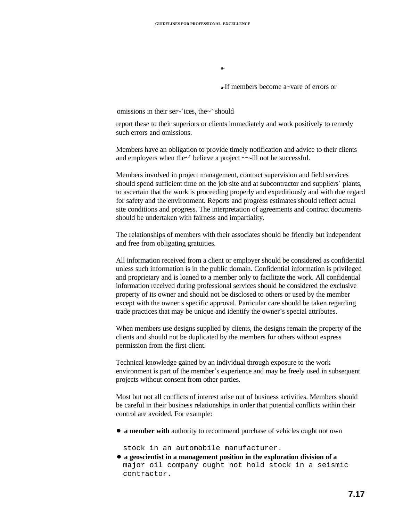**a-**

**a-**If members become a~vare of errors or

omissions in their ser~\*ices, the~\* should

report these to their superiors or clients immediately and work positively to remedy such errors and omissions.

Members have an obligation to provide timely notification and advice to their clients and employers when the~' believe a project ~~-ill not be successful.

Members involved in project management, contract supervision and field services should spend sufficient time on the job site and at subcontractor and suppliers' plants, to ascertain that the work is proceeding properly and expeditiously and with due regard for safety and the environment. Reports and progress estimates should reflect actual site conditions and progress. The interpretation of agreements and contract documents should be undertaken with fairness and impartiality.

The relationships of members with their associates should be friendly but independent and free from obligating gratuities.

All information received from a client or employer should be considered as confidential unless such information is in the public domain. Confidential information is privileged and proprietary and is loaned to a member only to facilitate the work. All confidential information received during professional services should be considered the exclusive property of its owner and should not be disclosed to others or used by the member except with the owner s specific approval. Particular care should be taken regarding trade practices that may be unique and identify the owner's special attributes.

When members use designs supplied by clients, the designs remain the property of the clients and should not be duplicated by the members for others without express permission from the first client.

Technical knowledge gained by an individual through exposure to the work environment is part of the member's experience and may be freely used in subsequent projects without consent from other parties.

Most but not all conflicts of interest arise out of business activities. Members should be careful in their business relationships in order that potential conflicts within their control are avoided. For example:

! **a member with** authority to recommend purchase of vehicles ought not own

stock in an automobile manufacturer.

! **a geoscientist in a management position in the exploration division of a** major oil company ought not hold stock in a seismic contractor.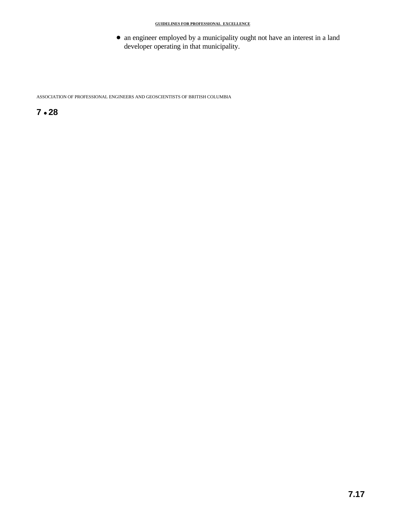$\bullet\,$  an engineer employed by a municipality ought not have an interest in a land developer operating in that municipality.

ASSOCIATION OF PROFESSIONAL ENGINEERS AND GEOSCIENTISTS OF BRITISH COLUMBIA

**7** ! **28**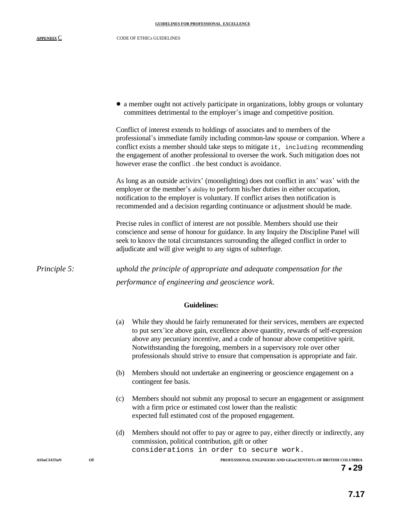**APPENDIX** C CODE OF ETHICS GUIDELINES

|              | • a member ought not actively participate in organizations, lobby groups or voluntary<br>committees detrimental to the employer's image and competitive position.                                                                                                                                                                                                                                                            |
|--------------|------------------------------------------------------------------------------------------------------------------------------------------------------------------------------------------------------------------------------------------------------------------------------------------------------------------------------------------------------------------------------------------------------------------------------|
|              | Conflict of interest extends to holdings of associates and to members of the<br>professional's immediate family including common-law spouse or companion. Where a<br>conflict exists a member should take steps to mitigate it, including recommending<br>the engagement of another professional to oversee the work. Such mitigation does not<br>however erase the conflict – the best conduct is avoidance.                |
|              | As long as an outside activirx' (moonlighting) does not conflict in anx' wax' with the<br>employer or the member's ability to perform his/her duties in either occupation,<br>notification to the employer is voluntary. If conflict arises then notification is<br>recommended and a decision regarding continuance or adjustment should be made.                                                                           |
|              | Precise rules in conflict of interest are not possible. Members should use their<br>conscience and sense of honour for guidance. In any Inquiry the Discipline Panel will<br>seek to knoxy the total circumstances surrounding the alleged conflict in order to<br>adjudicate and will give weight to any signs of subterfuge.                                                                                               |
| Principle 5: | uphold the principle of appropriate and adequate compensation for the                                                                                                                                                                                                                                                                                                                                                        |
|              | performance of engineering and geoscience work.                                                                                                                                                                                                                                                                                                                                                                              |
|              | <b>Guidelines:</b>                                                                                                                                                                                                                                                                                                                                                                                                           |
|              | While they should be fairly remunerated for their services, members are expected<br>(a)<br>to put serx'ice above gain, excellence above quantity, rewards of self-expression<br>above any pecuniary incentive, and a code of honour above competitive spirit.<br>Notwithstanding the foregoing, members in a supervisory role over other<br>professionals should strive to ensure that compensation is appropriate and fair. |
|              | Members should not undertake an engineering or geoscience engagement on a<br>(b)<br>contingent fee basis.                                                                                                                                                                                                                                                                                                                    |
|              | Members should not submit any proposal to secure an engagement or assignment<br>(c)<br>with a firm price or estimated cost lower than the realistic<br>expected full estimated cost of the proposed engagement.                                                                                                                                                                                                              |
|              | Members should not offer to pay or agree to pay, either directly or indirectly, any<br>(d)<br>commission, political contribution, gift or other                                                                                                                                                                                                                                                                              |

considerations in order to secure work. **ASSoCIATIoN OF PROFESSIONAL ENGINEERS AND GEosCIENTISTs OF BRITISH COLUMBIA**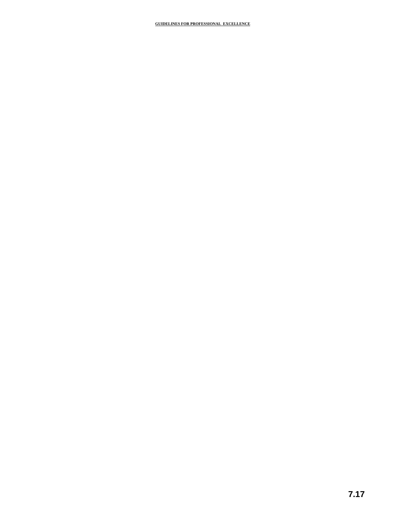**GUIDELINES FOR PROFESSIONAL EXCELLENCE**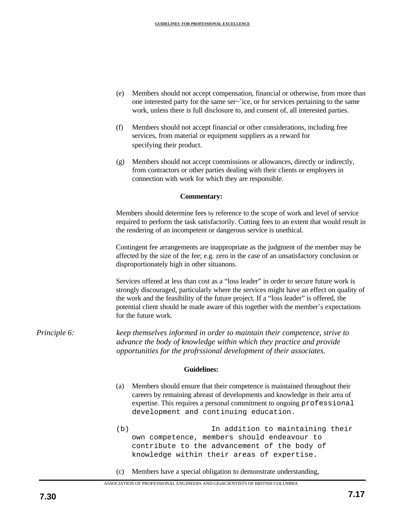|              | (e) | Members should not accept compensation, financial or otherwise, from more than<br>one interested party for the same ser~'ice, or for services pertaining to the same<br>work, unless there is full disclosure to, and consent of, all interested parties.                                                                                                                                      |
|--------------|-----|------------------------------------------------------------------------------------------------------------------------------------------------------------------------------------------------------------------------------------------------------------------------------------------------------------------------------------------------------------------------------------------------|
|              | (f) | Members should not accept financial or other considerations, including free<br>services, from material or equipment suppliers as a reward for<br>specifying their product.                                                                                                                                                                                                                     |
|              | (g) | Members should not accept commissions or allowances, directly or indirectly,<br>from contractors or other parties dealing with their clients or employers in<br>connection with work for which they are responsible.                                                                                                                                                                           |
|              |     | <b>Commentary:</b>                                                                                                                                                                                                                                                                                                                                                                             |
|              |     | Members should determine fees by reference to the scope of work and level of service<br>required to perform the task satisfactorily. Cutting fees to an extent that would result in<br>the rendering of an incompetent or dangerous service is unethical.                                                                                                                                      |
|              |     | Contingent fee arrangements are inappropriate as the judgment of the member may be<br>affected by the size of the fee; e.g. zero in the case of an unsatisfactory conclusion or<br>disproportionately high in other situanons.                                                                                                                                                                 |
|              |     | Services offered at less than cost as a "loss leader" in order to secure future work is<br>strongly discouraged, particularly where the services might have an effect on quality of<br>the work and the feasibility of the future project. If a "loss leader" is offered, the<br>potential client should be made aware of this together with the member's expectations<br>for the future work. |
| Principle 6: |     | keep themselves informed in order to maintain their competence, strive to<br>advance the body of knowledge within which they practice and provide<br>opportunities for the profrssional development of their associates.                                                                                                                                                                       |
|              |     | <b>Guidelines:</b>                                                                                                                                                                                                                                                                                                                                                                             |
|              | (a) | Members should ensure that their competence is maintained throughout their<br>careers by remaining abreast of developments and knowledge in their area of<br>expertise. This requires a personal commitment to ongoing professional<br>development and continuing education.                                                                                                                   |
|              | (b) | In addition to maintaining their                                                                                                                                                                                                                                                                                                                                                               |

- own competence, members should endeavour to contribute to the advancement of the body of knowledge within their areas of expertise.
- (c) Members have a special obligation to demonstrate understanding,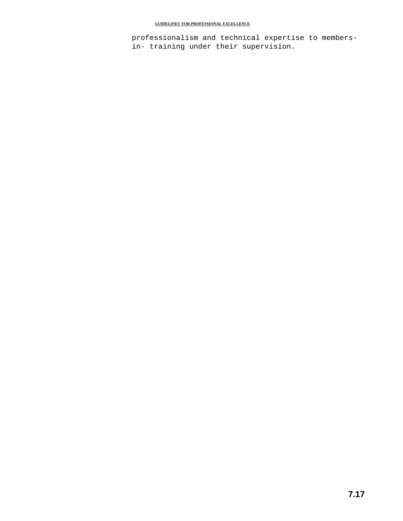professionalism and technical expertise to membersin- training under their supervision.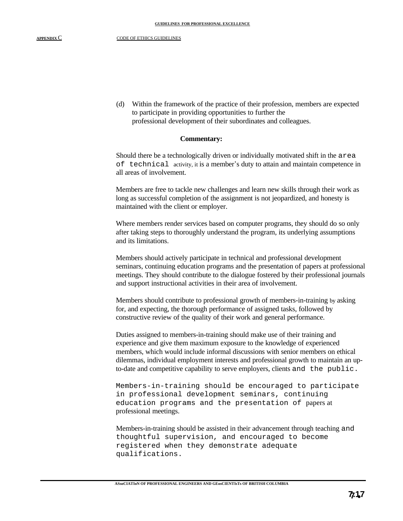**APPENDIX** C CODE OF ETHICS GUIDELINES

(d) Within the framework of the practice of their profession, members are expected to participate in providing opportunities to further the professional development of their subordinates and colleagues.

### **Commentary:**

Should there be a technologically driven or individually motivated shift in the area of technical activity, it is a member\*s duty to attain and maintain competence in all areas of involvement.

Members are free to tackle new challenges and learn new skills through their work as long as successful completion of the assignment is not jeopardized, and honesty is maintained with the client or employer.

Where members render services based on computer programs, they should do so only after taking steps to thoroughly understand the program, its underlying assumptions and its limitations.

Members should actively participate in technical and professional development seminars, continuing education programs and the presentation of papers at professional meetings. They should contribute to the dialogue fostered by their professional journals and support instructional activities in their area of involvement.

Members should contribute to professional growth of members-in-training by asking for, and expecting, the thorough performance of assigned tasks, followed by constructive review of the quality of their work and general performance.

Duties assigned to members-in-training should make use of their training and experience and give them maximum exposure to the knowledge of experienced members, which would include informal discussions with senior members on ethical dilemmas, individual employment interests and professional growth to maintain an upto-date and competitive capability to serve employers, clients and the public.

Members-in-training should be encouraged to participate in professional development seminars, continuing education programs and the presentation of papers at professional meetings.

Members-in-training should be assisted in their advancement through teaching and thoughtful supervision, and encouraged to become registered when they demonstrate adequate qualifications.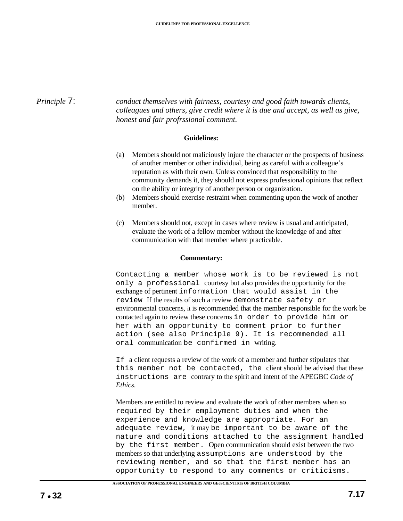*Principle* 7: *conduct themselves with fairness, courtesy and good faith towards clients, colleagues and others, give credit where it is due and accept, as well as give, honest and fair profrssional comment.*

# **Guidelines:**

- (a) Members should not maliciously injure the character or the prospects of business of another member or other individual, being as careful with a colleague\*s reputation as with their own. Unless convinced that responsibility to the community demands it, they should not express professional opinions that reflect on the ability or integrity of another person or organization.
- (b) Members should exercise restraint when commenting upon the work of another member.
- (c) Members should not, except in cases where review is usual and anticipated, evaluate the work of a fellow member without the knowledge of and after communication with that member where practicable.

# **Commentary:**

Contacting a member whose work is to be reviewed is not only a professional courtesy but also provides the opportunity for the exchange of pertinent information that would assist in the review If the results of such a review demonstrate safety or environmental concerns, it is recommended that the member responsible for the work be contacted again to review these concerns in order to provide him or her with an opportunity to comment prior to further action (see also Principle 9). It is recommended all oral communication be confirmed in writing.

If a client requests a review of the work of a member and further stipulates that this member not be contacted, the client should be advised that these instructions are contrary to the spirit and intent of the APEGBC *Code of Ethics.*

Members are entitled to review and evaluate the work of other members when so required by their employment duties and when the experience and knowledge are appropriate. For an adequate review, it may be important to be aware of the nature and conditions attached to the assignment handled by the first member. Open communication should exist between the two members so that underlying assumptions are understood by the reviewing member, and so that the first member has an opportunity to respond to any comments or criticisms.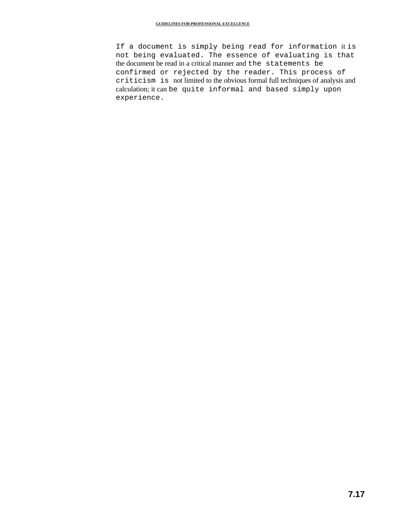If a document is simply being read for information it is not being evaluated. The essence of evaluating is that the document be read in a critical manner and the statements be confirmed or rejected by the reader. This process of criticism is not limited to the obvious formal full techniques of analysis and calculation; it can be quite informal and based simply upon experience.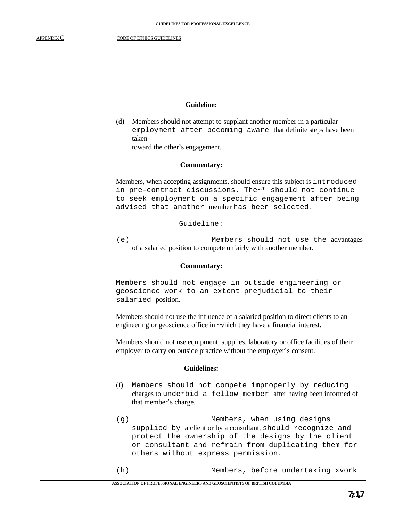#### APPENDIX C CODE OF ETHICS GUIDELINES

# **Guideline:**

(d) Members should not attempt to supplant another member in a particular employment after becoming aware that definite steps have been taken

toward the other's engagement.

#### **Commentary:**

Members, when accepting assignments, should ensure this subject is introduced in pre-contract discussions. The~\* should not continue to seek employment on a specific engagement after being advised that another member has been selected.

#### Guideline:

(e) Members should not use the advantages of a salaried position to compete unfairly with another member.

#### **Commentary:**

Members should not engage in outside engineering or geoscience work to an extent prejudicial to their salaried position.

Members should not use the influence of a salaried position to direct clients to an engineering or geoscience office in ~vhich they have a financial interest.

Members should not use equipment, supplies, laboratory or office facilities of their employer to carry on outside practice without the employer's consent.

### **Guidelines:**

- (f) Members should not compete improperly by reducing charges to underbid a fellow member after having been informed of that member's charge.
- (g) Members, when using designs supplied by a client or by a consultant, should recognize and protect the ownership of the designs by the client or consultant and refrain from duplicating them for others without express permission.
- (h) Members, before undertaking xvork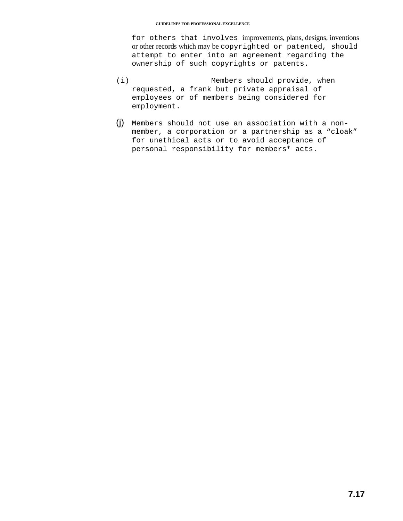for others that involves improvements, plans, designs, inventions or other records which may be copyrighted or patented, should attempt to enter into an agreement regarding the ownership of such copyrights or patents.

- (i) Members should provide, when requested, a frank but private appraisal of employees or of members being considered for employment.
- (j) Members should not use an association with a nonmember, a corporation or a partnership as a "cloak" for unethical acts or to avoid acceptance of personal responsibility for members\* acts.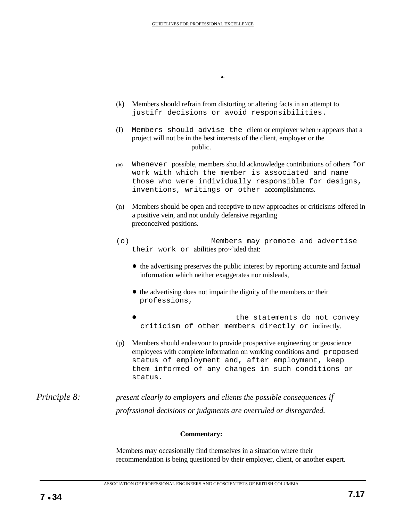(k) Members should refrain from distorting or altering facts in an attempt to justifr decisions or avoid responsibilities.

**a-**

- (I) Members should advise the client or employer when it appears that a project will not be in the best interests of the client, employer or the public.
- (in) Whenever possible, members should acknowledge contributions of others for work with which the member is associated and name those who were individually responsible for designs, inventions, writings or other accomplishments.
- (n) Members should be open and receptive to new approaches or criticisms offered in a positive vein, and not unduly defensive regarding preconceived positions.
- (o) Members may promote and advertise their work or abilities pro~'ided that:
	- the advertising preserves the public interest by reporting accurate and factual information which neither exaggerates nor misleads,
	- the advertising does not impair the dignity of the members or their professions,
	- the statements do not convey criticism of other members directly or indirectly.
- (p) Members should endeavour to provide prospective engineering or geoscience employees with complete information on working conditions and proposed status of employment and, after employment, keep them informed of any changes in such conditions or status.
- *Principle 8: present clearly to employers and clients the possible consequences if profrssional decisions or judgments are overruled or disregarded.*

# **Commentary:**

Members may occasionally find themselves in a situation where their recommendation is being questioned by their employer, client, or another expert.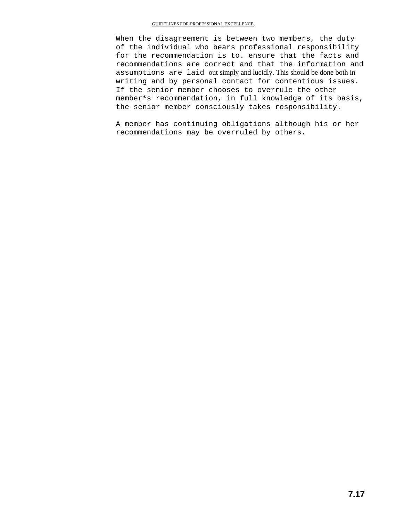When the disagreement is between two members, the duty of the individual who bears professional responsibility for the recommendation is to. ensure that the facts and recommendations are correct and that the information and assumptions are laid out simply and lucidly. This should be done both in writing and by personal contact for contentious issues. If the senior member chooses to overrule the other member\*s recommendation, in full knowledge of its basis, the senior member consciously takes responsibility.

A member has continuing obligations although his or her recommendations may be overruled by others.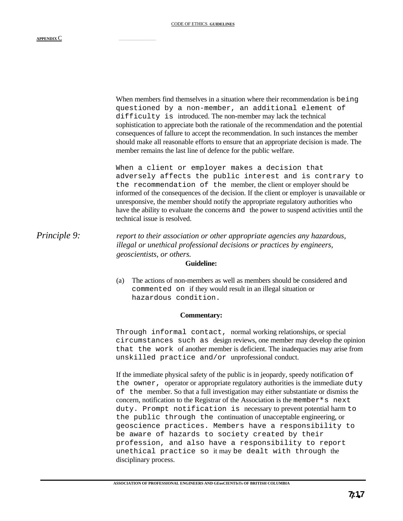When members find themselves in a situation where their recommendation is being questioned by a non-member, an additional element of difficulty is introduced. The non-member may lack the technical sophistication to appreciate both the rationale of the recommendation and the potential consequences of fallure to accept the recommendation. In such instances the member should make all reasonable efforts to ensure that an appropriate decision is made. The member remains the last line of defence for the public welfare.

When a client or employer makes a decision that adversely affects the public interest and is contrary to the recommendation of the member, the client or employer should be informed of the consequences of the decision. If the client or employer is unavailable or unresponsive, the member should notify the appropriate regulatory authorities who have the ability to evaluate the concerns and the power to suspend activities until the technical issue is resolved.

# *Principle 9: report to their association or other appropriate agencies any hazardous, illegal or unethical professional decisions or practices by engineers, geoscientists, or others.*

#### **Guideline:**

(a) The actions of non-members as well as members should be considered and commented on if they would result in an illegal situation or hazardous condition.

# **Commentary:**

Through informal contact, normal working relationships, or special circumstances such as design reviews, one member may develop the opinion that the work of another member is deficient. The inadequacies may arise from unskilled practice and/or unprofessional conduct.

If the immediate physical safety of the public is in jeopardy, speedy notification of the owner, operator or appropriate regulatory authorities is the immediate duty of the member. So that a full investigation may either substantiate or dismiss the concern, notification to the Registrar of the Association is the member\*s next duty. Prompt notification is necessary to prevent potential harm to the public through the continuation of unacceptable engineering, or geoscience practices. Members have a responsibility to be aware of hazards to society created by their profession, and also have a responsibility to report unethical practice so it may be dealt with through the disciplinary process.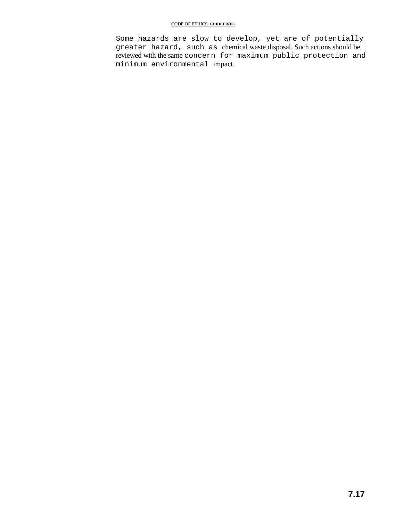Some hazards are slow to develop, yet are of potentially greater hazard, such as chemical waste disposal. Such actions should be reviewed with the same concern for maximum public protection and minimum environmental impact.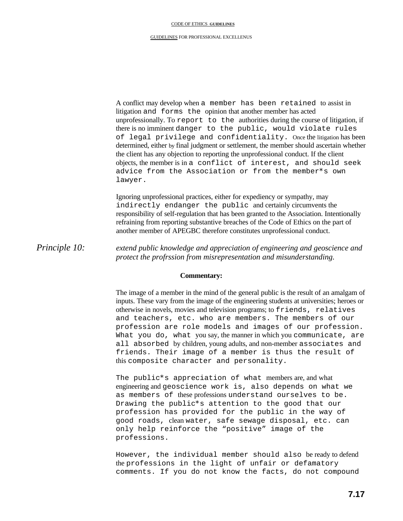A conflict may develop when a member has been retained to assist in litigation and forms the opinion that another member has acted unprofessionally. To report to the authorities during the course of litigation, if there is no imminent danger to the public, would violate rules of legal privilege and confidentiality. Once the litigation has been determined, either by final judgment or settlement, the member should ascertain whether the client has any objection to reporting the unprofessional conduct. If the client objects, the member is in a conflict of interest, and should seek advice from the Association or from the member\*s own lawyer.

Ignoring unprofessional practices, either for expediency or sympathy, may indirectly endanger the public and certainly circumvents the responsibility of self-regulation that has been granted to the Association. Intentionally refraining from reporting substantive breaches of the Code of Ethics on the part of another member of APEGBC therefore constitutes unprofessional conduct.

*Principle 10: extend public knowledge and appreciation of engineering and geoscience and protect the profrssion from misrepresentation and misunderstanding.*

#### **Commentary:**

The image of a member in the mind of the general public is the result of an amalgam of inputs. These vary from the image of the engineering students at universities; heroes or otherwise in novels, movies and television programs; to friends, relatives and teachers, etc. who are members. The members of our profession are role models and images of our profession. What you do, what you say, the manner in which you communicate, are all absorbed by children, young adults, and non-member associates and friends. Their image of a member is thus the result of this composite character and personality.

The public\*s appreciation of what members are, and what engineering and geoscience work is, also depends on what we as members of these professions understand ourselves to be. Drawing the public\*s attention to the good that our profession has provided for the public in the way of good roads, clean water, safe sewage disposal, etc. can only help reinforce the "positive" image of the professions.

However, the individual member should also be ready to defend the professions in the light of unfair or defamatory comments. If you do not know the facts, do not compound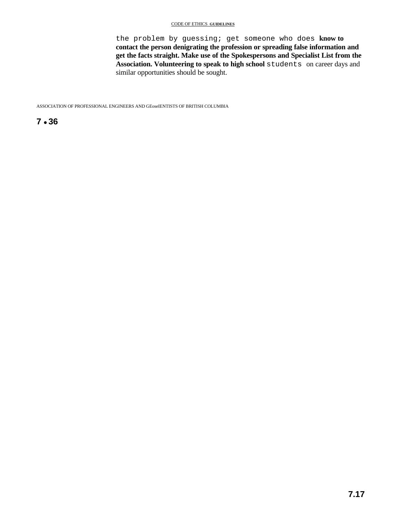the problem by guessing; get someone who does **know to contact the person denigrating the profession or spreading false information and get the facts straight. Make use of the Spokespersons and Specialist List from the Association. Volunteering to speak to high school** students on career days and similar opportunities should be sought.

ASSOCIATION OF PROFESSIONAL ENGINEERS AND GEoseIENTISTS OF BRITISH COLUMBIA

**7** ! **36**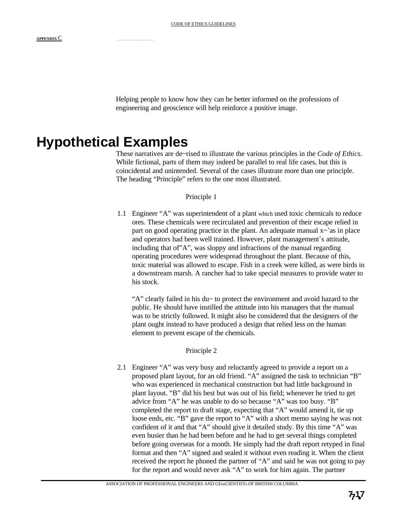Helping people to know how they can be better informed on the professions of engineering and geoscience will help reinforce a positive image.

# **Hypothetical Examples**

These narratives are de~rised to illustrate the various principles in the *Code of Ethics.* While fictional, parts of them may indeed be parallel to real life cases, but this is coincidental and unintended. Several of the cases illustrate more than one principle. The heading "Principle" refers to the one most illustrated.

#### Principle 1

1.1 Engineer "A" was superintendent of a plant which used toxic chemicals to reduce ores. These chemicals were recirculated and prevention of their escape relied in part on good operating practice in the plant. An adequate manual  $x \sim a$  as in place and operators had been well trained. However, plant management's attitude, including that of"A", was sloppy and infractions of the manual regarding operating procedures were widespread throughout the plant. Because of this, toxic material was allowed to escape. Fish in a creek were killed, as were birds in a downstream marsh. A rancher had to take special measures to provide water to his stock.

"A" clearly failed in his du~ to protect the environment and avoid hazard to the public. He should have instilled the attitude into his managers that the manual was to be strictly followed. It might also be considered that the designers of the plant ought instead to have produced a design that relied less on the human element to prevent escape of the chemicals.

# Principle 2

2.1 Engineer "A" was very busy and reluctantly agreed to provide a report on a proposed plant layout, for an old friend. "A" assigned the task to technician "B" who was experienced in mechanical construction but had little background in plant layout. "B" did his best but was out of his field; whenever he tried to get advice from "A" he was unable to do so because "A" was too busy. "B" completed the report to draft stage, expecting that "A" would amend it, tie up loose ends, etc. "B" gave the report to "A" with a short memo saying he was not confident of it and that "A" should give it detailed study. By this time "A" was even busier than he had been before and he had to get several things completed before going overseas for a month. He simply had the draft report retyped in final format and then "A" signed and sealed it without even reading it. When the client received the report he phoned the partner of "A" and said he was not going to pay for the report and would never ask "A" to work for him again. The partner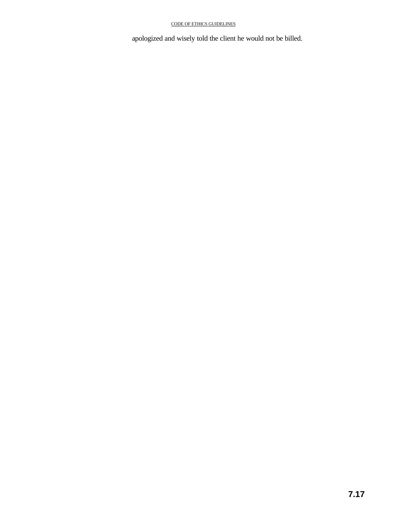apologized and wisely told the client he would not be billed.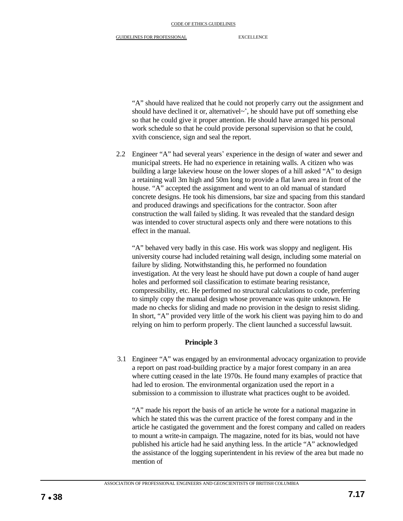"A" should have realized that he could not properly carry out the assignment and should have declined it or, alternativel~', he should have put off something else so that he could give it proper attention. He should have arranged his personal work schedule so that he could provide personal supervision so that he could, xvith conscience, sign and seal the report.

2.2 Engineer "A" had several years' experience in the design of water and sewer and municipal streets. He had no experience in retaining walls. A citizen who was building a large lakeview house on the lower slopes of a hill asked "A" to design a retaining wall 3m high and 50m long to provide a flat lawn area in front of the house. "A" accepted the assignment and went to an old manual of standard concrete designs. He took his dimensions, bar size and spacing from this standard and produced drawings and specifications for the contractor. Soon after construction the wall failed by sliding. It was revealed that the standard design was intended to cover structural aspects only and there were notations to this effect in the manual.

"A" behaved very badly in this case. His work was sloppy and negligent. His university course had included retaining wall design, including some material on failure by sliding. Notwithstanding this, he performed no foundation investigation. At the very least he should have put down a couple of hand auger holes and performed soil classification to estimate bearing resistance, compressibility, etc. He performed no structural calculations to code, preferring to simply copy the manual design whose provenance was quite unknown. He made no checks for sliding and made no provision in the design to resist sliding. In short, "A" provided very little of the work his client was paying him to do and relying on him to perform properly. The client launched a successful lawsuit.

# **Principle 3**

3.1 Engineer "A" was engaged by an environmental advocacy organization to provide a report on past road-building practice by a major forest company in an area where cutting ceased in the late 1970s. He found many examples of practice that had led to erosion. The environmental organization used the report in a submission to a commission to illustrate what practices ought to be avoided.

"A" made his report the basis of an article he wrote for a national magazine in which he stated this was the current practice of the forest company and in the article he castigated the government and the forest company and called on readers to mount a write-in campaign. The magazine, noted for its bias, would not have published his article had he said anything less. In the article "A" acknowledged the assistance of the logging superintendent in his review of the area but made no mention of

ASSOCIATION OF PROFESSIONAL ENGINEERS AND GEOSCIENTISTS OF BRITISH COLUMBIA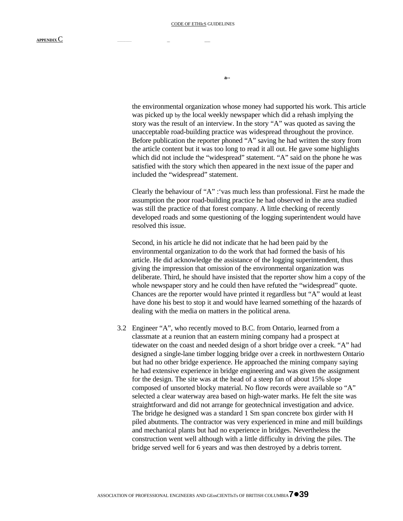**a--**

the environmental organization whose money had supported his work. This article was picked up by the local weekly newspaper which did a rehash implying the story was the result of an interview. In the story "A" was quoted as saving the unacceptable road-building practice was widespread throughout the province. Before publication the reporter phoned "A" saving he had written the story from the article content but it was too long to read it all out. He gave some highlights which did not include the "widespread" statement. "A" said on the phone he was satisfied with the story which then appeared in the next issue of the paper and included the "widespread" statement.

Clearly the behaviour of "A" :'vas much less than professional. First he made the assumption the poor road-building practice he had observed in the area studied was still the practice of that forest company. A little checking of recently developed roads and some questioning of the logging superintendent would have resolved this issue.

Second, in his article he did not indicate that he had been paid by the environmental organization to do the work that had formed the basis of his article. He did acknowledge the assistance of the logging superintendent, thus giving the impression that omission of the environmental organization was deliberate. Third, he should have insisted that the reporter show him a copy of the whole newspaper story and he could then have refuted the "widespread" quote. Chances are the reporter would have printed it regardless but "A" would at least have done his best to stop it and would have learned something of the hazards of dealing with the media on matters in the political arena.

3.2 Engineer "A", who recently moved to B.C. from Ontario, learned from a classmate at a reunion that an eastern mining company had a prospect at tidewater on the coast and needed design of a short bridge over a creek. "A" had designed a single-lane timber logging bridge over a creek in northwestern Ontario but had no other bridge experience. He approached the mining company saying he had extensive experience in bridge engineering and was given the assignment for the design. The site was at the head of a steep fan of about 15% slope composed of unsorted blocky material. No flow records were available so "A" selected a clear waterway area based on high-water marks. He felt the site was straightforward and did not arrange for geotechnical investigation and advice. The bridge he designed was a standard 1 Sm span concrete box girder with H piled abutments. The contractor was very experienced in mine and mill buildings and mechanical plants but had no experience in bridges. Nevertheless the construction went well although with a little difficulty in driving the piles. The bridge served well for 6 years and was then destroyed by a debris torrent.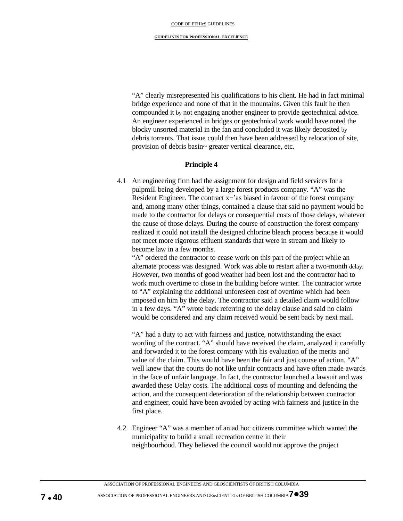"A" clearly misrepresented his qualifications to his client. He had in fact minimal bridge experience and none of that in the mountains. Given this fault he then compounded it by not engaging another engineer to provide geotechnical advice. An engineer experienced in bridges or geotechnical work would have noted the blocky unsorted material in the fan and concluded it was likely deposited by debris torrents. That issue could then have been addressed by relocation of site, provision of debris basin~ greater vertical clearance, etc.

# **Principle 4**

4.1 An engineering firm had the assignment for design and field services for a pulpmill being developed by a large forest products company. "A" was the Resident Engineer. The contract  $x \sim a$  as biased in favour of the forest company and, among many other things, contained a clause that said no payment would be made to the contractor for delays or consequential costs of those delays, whatever the cause of those delays. During the course of construction the forest company realized it could not install the designed chlorine bleach process because it would not meet more rigorous effluent standards that were in stream and likely to become law in a few months.

"A" ordered the contractor to cease work on this part of the project while an alternate process was designed. Work was able to restart after a two-month delay. However, two months of good weather had been lost and the contractor had to work much overtime to close in the building before winter. The contractor wrote to "A" explaining the additional unforeseen cost of overtime which had been imposed on him by the delay. The contractor said a detailed claim would follow in a few days. "A" wrote back referring to the delay clause and said no claim would be considered and any claim received would be sent back by next mail.

"A" had a duty to act with fairness and justice, notwithstanding the exact wording of the contract. "A" should have received the claim, analyzed it carefully and forwarded it to the forest company with his evaluation of the merits and value of the claim. This would have been the fair and just course of action. "A" well knew that the courts do not like unfair contracts and have often made awards in the face of unfair language. In fact, the contractor launched a lawsuit and was awarded these Uelay costs. The additional costs of mounting and defending the action, and the consequent deterioration of the relationship between contractor and engineer, could have been avoided by acting with fairness and justice in the first place.

4.2 Engineer "A" was a member of an ad hoc citizens committee which wanted the municipality to build a small recreation centre in their neighbourhood. They believed the council would not approve the project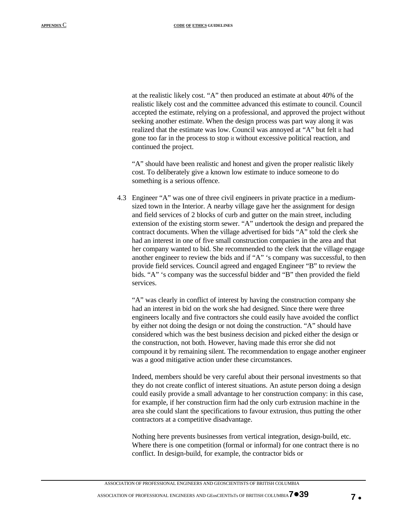at the realistic likely cost. "A" then produced an estimate at about 40% of the realistic likely cost and the committee advanced this estimate to council. Council accepted the estimate, relying on a professional, and approved the project without seeking another estimate. When the design process was part way along it was realized that the estimate was low. Council was annoyed at "A" but felt it had gone too far in the process to stop it without excessive political reaction, and continued the project.

"A" should have been realistic and honest and given the proper realistic likely cost. To deliberately give a known low estimate to induce someone to do something is a serious offence.

4.3 Engineer "A" was one of three civil engineers in private practice in a mediumsized town in the Interior. A nearby village gave her the assignment for design and field services of 2 blocks of curb and gutter on the main street, including extension of the existing storm sewer. "A" undertook the design and prepared the contract documents. When the village advertised for bids "A" told the clerk she had an interest in one of five small construction companies in the area and that her company wanted to bid. She recommended to the clerk that the village engage another engineer to review the bids and if "A" 's company was successful, to then provide field services. Council agreed and engaged Engineer "B" to review the bids. "A" 's company was the successful bidder and "B" then provided the field services.

"A" was clearly in conflict of interest by having the construction company she had an interest in bid on the work she had designed. Since there were three engineers locally and five contractors she could easily have avoided the conflict by either not doing the design or not doing the construction. "A" should have considered which was the best business decision and picked either the design or the construction, not both. However, having made this error she did not compound it by remaining silent. The recommendation to engage another engineer was a good mitigative action under these circumstances.

Indeed, members should be very careful about their personal investments so that they do not create conflict of interest situations. An astute person doing a design could easily provide a small advantage to her construction company: in this case, for example, if her construction firm had the only curb extrusion machine in the area she could slant the specifications to favour extrusion, thus putting the other contractors at a competitive disadvantage.

Nothing here prevents businesses from vertical integration, design-build, etc. Where there is one competition (formal or informal) for one contract there is no conflict. In design-build, for example, the contractor bids or

ASSOCIATION OF PROFESSIONAL ENGINEERS AND GEOSCIENTISTS OF BRITISH COLUMBIA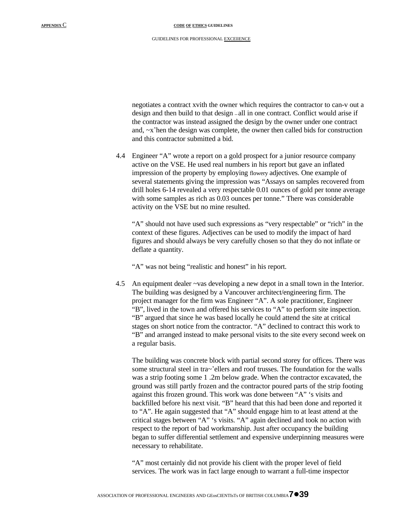negotiates a contract xvith the owner which requires the contractor to can-v out a design and then build to that design **—** all in one contract. Conflict would arise if the contractor was instead assigned the design by the owner under one contract and,  $\sim$ x'hen the design was complete, the owner then called bids for construction and this contractor submitted a bid.

4.4 Engineer "A" wrote a report on a gold prospect for a junior resource company active on the VSE. He used real numbers in his report but gave an inflated impression of the property by employing flowery adjectives. One example of several statements giving the impression was "Assays on samples recovered from drill holes 6-14 revealed a very respectable 0.01 ounces of gold per tonne average with some samples as rich as 0.03 ounces per tonne." There was considerable activity on the VSE but no mine resulted.

"A" should not have used such expressions as "very respectable" or "rich" in the context of these figures. Adjectives can be used to modify the impact of hard figures and should always be very carefully chosen so that they do not inflate or deflate a quantity.

"A" was not being "realistic and honest" in his report.

4.5 An equipment dealer ~vas developing a new depot in a small town in the Interior. The building was designed by a Vancouver architect/engineering firm. The project manager for the firm was Engineer "A". A sole practitioner, Engineer "B", lived in the town and offered his services to "A" to perform site inspection. "B" argued that since he was based locally he could attend the site at critical stages on short notice from the contractor. "A" declined to contract this work to "B" and arranged instead to make personal visits to the site every second week on a regular basis.

The building was concrete block with partial second storey for offices. There was some structural steel in tra~'ellers and roof trusses. The foundation for the walls was a strip footing some 1 .2m below grade. When the contractor excavated, the ground was still partly frozen and the contractor poured parts of the strip footing against this frozen ground. This work was done between "A" 's visits and backfilled before his next visit. "B" heard that this had been done and reported it to "A". He again suggested that "A" should engage him to at least attend at the critical stages between "A" 's visits. "A" again declined and took no action with respect to the report of bad workmanship. Just after occupancy the building began to suffer differential settlement and expensive underpinning measures were necessary to rehabilitate.

"A" most certainly did not provide his client with the proper level of field services. The work was in fact large enough to warrant a full-time inspector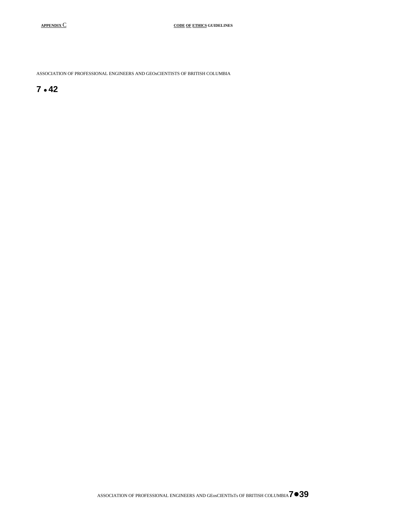**7** ! **42**

ASSOCIATION OF PROFESSIONAL ENGINEERS AND GEOsCIENTISTS OF BRITISH COLUMBIA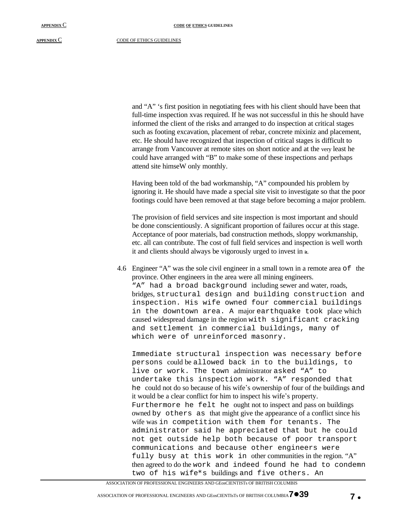**APPENDIX** C CODE OF ETHICS GUIDELINES

and "A" 's first position in negotiating fees with his client should have been that full-time inspection xvas required. If he was not successful in this he should have informed the client of the risks and arranged to do inspection at critical stages such as footing excavation, placement of rebar, concrete mixiniz and placement, etc. He should have recognized that inspection of critical stages is difficult to arrange from Vancouver at remote sites on short notice and at the very least he could have arranged with "B" to make some of these inspections and perhaps attend site himseW only monthly.

Having been told of the bad workmanship, "A" compounded his problem by ignoring it. He should have made a special site visit to investigate so that the poor footings could have been removed at that stage before becoming a major problem.

The provision of field services and site inspection is most important and should be done conscientiously. A significant proportion of failures occur at this stage. Acceptance of poor materials, bad construction methods, sloppy workmanship, etc. all can contribute. The cost of full field services and inspection is well worth it and clients should always be vigorously urged to invest in **it.**

4.6 Engineer "A" was the sole civil engineer in a small town in a remote area of the province. Other engineers in the area were all mining engineers. "A" had a broad background including sewer and water, roads, bridges, structural design and building construction and inspection. His wife owned four commercial buildings in the downtown area. A major earthquake took place which caused widespread damage in the region with significant cracking and settlement in commercial buildings, many of which were of unreinforced masonry.

Immediate structural inspection was necessary before persons could be allowed back in to the buildings, to live or work. The town administrator asked "A" to undertake this inspection work. "A" responded that he could not do so because of his wife's ownership of four of the buildings and it would be a clear conflict for him to inspect his wife's property. Furthermore he felt he ought not to inspect and pass on buildings owned by others as that might give the appearance of a conflict since his wife was in competition with them for tenants. The administrator said he appreciated that but he could not get outside help both because of poor transport communications and because other engineers were fully busy at this work in other communities in the region. "A" then agreed to do the work and indeed found he had to condemn two of his wife\*s buildings and five others. An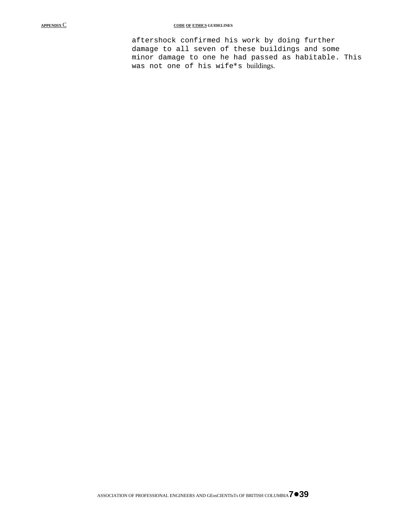# **APPENDIX** C **CODE OF ETHICS GUIDELINES**

aftershock confirmed his work by doing further damage to all seven of these buildings and some minor damage to one he had passed as habitable. This was not one of his wife\*s buildings.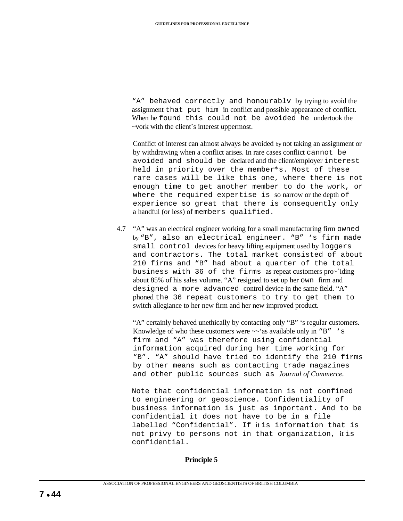"A" behaved correctly and honourably by trying to avoid the assignment that put him in conflict and possible appearance of conflict. When he found this could not be avoided he undertook the ~vork with the client's interest uppermost.

Conflict of interest can almost always be avoided by not taking an assignment or by withdrawing when a conflict arises. In rare cases conflict cannot be avoided and should be declared and the client/employer interest held in priority over the member\*s. Most of these rare cases will be like this one, where there is not enough time to get another member to do the work, or where the required expertise is so narrow or the depth of experience so great that there is consequently only a handful (or less) of members qualified.

4.7 "A" was an electrical engineer working for a small manufacturing firm owned by "B", also an electrical engineer. "B" 's firm made small control devices for heavy lifting equipment used by loggers and contractors. The total market consisted of about 210 firms and "B" had about a quarter of the total business with 36 of the firms as repeat customers pro~'iding about 85% of his sales volume. "A" resigned to set up her own firm and designed a more advanced control device in the same field. "A" phoned the 36 repeat customers to try to get them to switch allegiance to her new firm and her new improved product.

"A" certainly behaved unethically by contacting only "B" 's regular customers. Knowledge of who these customers were  $\sim$  as available only in "B" 's firm and "A" was therefore using confidential information acquired during her time working for "B". "A" should have tried to identify the 210 firms by other means such as contacting trade magazines and other public sources such as *Journal of Commerce.*

Note that confidential information is not confined to engineering or geoscience. Confidentiality of business information is just as important. And to be confidential it does not have to be in a file labelled "Confidential". If it is information that is not privy to persons not in that organization, it is confidential.

# **Principle 5**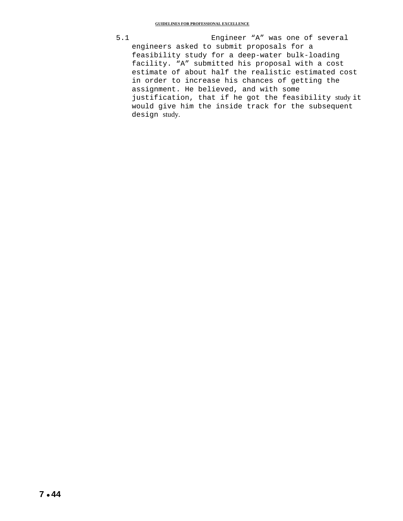5.1 Engineer "A" was one of several engineers asked to submit proposals for a feasibility study for a deep-water bulk-loading facility. "A" submitted his proposal with a cost estimate of about half the realistic estimated cost in order to increase his chances of getting the assignment. He believed, and with some justification, that if he got the feasibility study it would give him the inside track for the subsequent design study.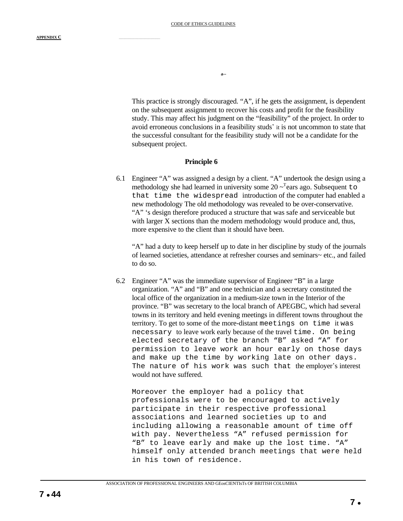**a--**

This practice is strongly discouraged. "A", if he gets the assignment, is dependent on the subsequent assignment to recover his costs and profit for the feasibility study. This may affect his judgment on the "feasibility" of the project. In order to avoid erroneous conclusions in a feasibility studs' it is not uncommon to state that the successful consultant for the feasibility study will not be a candidate for the subsequent project.

#### **Principle 6**

6.1 Engineer "A" was assigned a design by a client. "A" undertook the design using a methodology she had learned in university some  $20 \sim$ <sup>T</sup>ears ago. Subsequent to that time the widespread introduction of the computer had enabled a new methodology The old methodology was revealed to be over-conservative. "A" 's design therefore produced a structure that was safe and serviceable but with larger X sections than the modern methodology would produce and, thus, more expensive to the client than it should have been.

"A" had a duty to keep herself up to date in her discipline by study of the journals of learned societies, attendance at refresher courses and seminars~ etc., and failed to do so.

6.2 Engineer "A" was the immediate supervisor of Engineer "B" in a large organization. "A" and "B" and one technician and a secretary constituted the local office of the organization in a medium-size town in the Interior of the province. "B" was secretary to the local branch of APEGBC, which had several towns in its territory and held evening meetings in different towns throughout the territory. To get to some of the more-distant meetings on time it was necessary to leave work early because of the travel time. On being elected secretary of the branch "B" asked "A" for permission to leave work an hour early on those days and make up the time by working late on other days. The nature of his work was such that the employer's interest would not have suffered.

Moreover the employer had a policy that professionals were to be encouraged to actively participate in their respective professional associations and learned societies up to and including allowing a reasonable amount of time off with pay. Nevertheless "A" refused permission for "B" to leave early and make up the lost time. "A" himself only attended branch meetings that were held in his town of residence.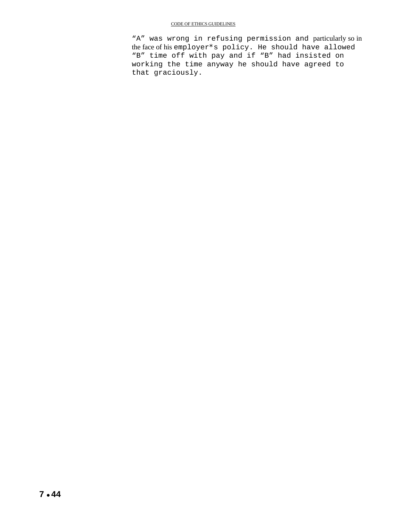"A" was wrong in refusing permission and particularly so in the face of his employer\*s policy. He should have allowed "B" time off with pay and if "B" had insisted on working the time anyway he should have agreed to that graciously.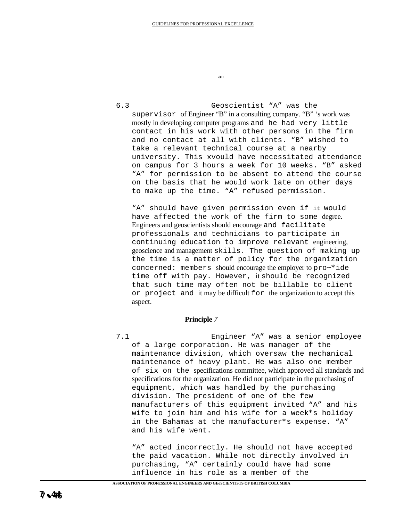**a--**

6.3 Geoscientist "A" was the supervisor of Engineer "B" in a consulting company. "B" 's work was mostly in developing computer programs and he had very little contact in his work with other persons in the firm and no contact at all with clients. "B" wished to take a relevant technical course at a nearby university. This xvould have necessitated attendance on campus for 3 hours a week for 10 weeks. "B" asked "A" for permission to be absent to attend the course on the basis that he would work late on other days to make up the time. "A" refused permission.

"A" should have given permission even if it would have affected the work of the firm to some degree. Engineers and geoscientists should encourage and facilitate professionals and technicians to participate in continuing education to improve relevant engineering, geoscience and management skills. The question of making up the time is a matter of policy for the organization concerned: members should encourage the employer to pro~\*ide time off with pay. However, it should be recognized that such time may often not be billable to client or project and it may be difficult for the organization to accept this aspect.

#### **Principle** *7*

7.1 Engineer "A" was a senior employee of a large corporation. He was manager of the maintenance division, which oversaw the mechanical maintenance of heavy plant. He was also one member of six on the specifications committee, which approved all standards and specifications for the organization. He did not participate in the purchasing of equipment, which was handled by the purchasing division. The president of one of the few manufacturers of this equipment invited "A" and his wife to join him and his wife for a week\*s holiday in the Bahamas at the manufacturer\*s expense. "A" and his wife went.

"A" acted incorrectly. He should not have accepted the paid vacation. While not directly involved in purchasing, "A" certainly could have had some influence in his role as a member of the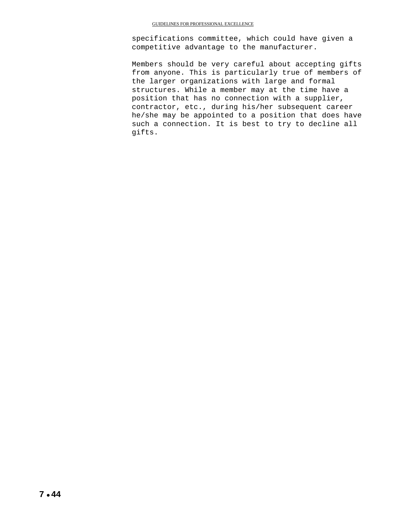specifications committee, which could have given a competitive advantage to the manufacturer.

Members should be very careful about accepting gifts from anyone. This is particularly true of members of the larger organizations with large and formal structures. While a member may at the time have a position that has no connection with a supplier, contractor, etc., during his/her subsequent career he/she may be appointed to a position that does have such a connection. It is best to try to decline all gifts.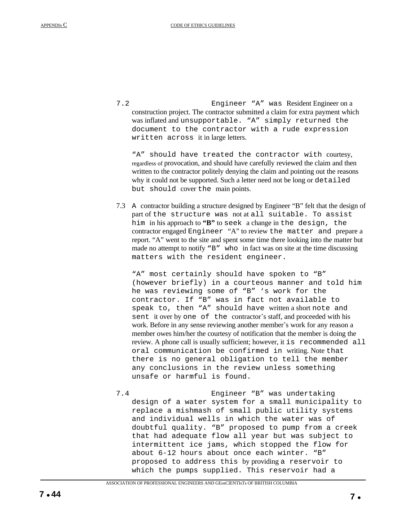7.2 Engineer "A" was Resident Engineer on a construction project. The contractor submitted a claim for extra payment which was inflated and unsupportable. "A" simply returned the document to the contractor with a rude expression written across it in large letters.

"A" should have treated the contractor with courtesy, regardless of provocation, and should have carefully reviewed the claim and then written to the contractor politely denying the claim and pointing out the reasons why it could not be supported. Such a letter need not be long or detailed but should cover the main points.

7.3 A contractor building a structure designed by Engineer "B" felt that the design of part of the structure was not at all suitable. To assist him in his approach to **"B"** to seek a change in the design, the contractor engaged Engineer "A" to review the matter and prepare a report. "A" went to the site and spent some time there looking into the matter but made no attempt to notify "B" who in fact was on site at the time discussing matters with the resident engineer.

"A" most certainly should have spoken to "B" (however briefly) in a courteous manner and told him he was reviewing some of "B" 's work for the contractor. If "B" was in fact not available to speak to, then "A" should have written a short note and sent it over by one of the contractor's staff, and proceeded with his work. Before in any sense reviewing another member's work for any reason a member owes him/her the courtesy of notification that the member is doing the review. A phone call is usually sufficient; however, it is recommended all oral communication be confirmed in writing. Note that there is no general obligation to tell the member any conclusions in the review unless something unsafe or harmful is found.

7.4 Engineer "B" was undertaking design of a water system for a small municipality to replace a mishmash of small public utility systems and individual wells in which the water was of doubtful quality. "B" proposed to pump from a creek that had adequate flow all year but was subject to intermittent ice jams, which stopped the flow for about 6-12 hours about once each winter. "B" proposed to address this by providing a reservoir to which the pumps supplied. This reservoir had a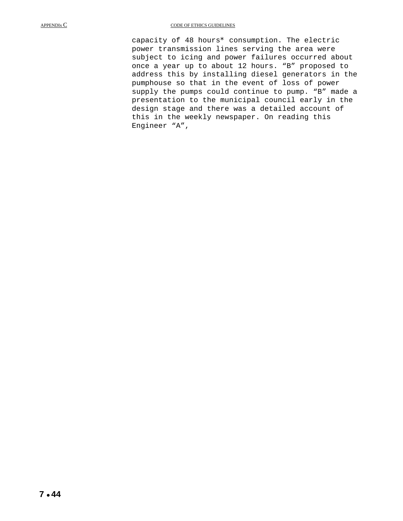# APPENDIx C CODE OF ETHICS GUIDELINES

capacity of 48 hours\* consumption. The electric power transmission lines serving the area were subject to icing and power failures occurred about once a year up to about 12 hours. "B" proposed to address this by installing diesel generators in the pumphouse so that in the event of loss of power supply the pumps could continue to pump. "B" made a presentation to the municipal council early in the design stage and there was a detailed account of this in the weekly newspaper. On reading this Engineer "A",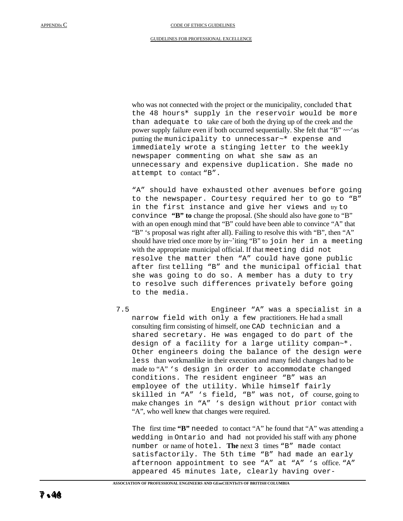#### GUIDELINES FOR PROFESSIONAL EXCELLENCE

who was not connected with the project or the municipality, concluded that the 48 hours\* supply in the reservoir would be more than adequate to take care of both the drying up of the creek and the power supply failure even if both occurred sequentially. She felt that "B" ~~'as putting the municipality to unnecessar~\* expense and immediately wrote a stinging letter to the weekly newspaper commenting on what she saw as an unnecessary and expensive duplication. She made no attempt to contact "B".

"A" should have exhausted other avenues before going to the newspaper. Courtesy required her to go to "B" in the first instance and give her views and try to convince **"B" to** change the proposal. (She should also have gone to "B" with an open enough mind that "B" could have been able to convince "A" that "B" 's proposal was right after all). Failing to resolve this with "B", then "A" should have tried once more by in~\*iting "B" to join her in a meeting with the appropriate municipal official. If that meeting did not resolve the matter then "A" could have gone public after first telling "B" and the municipal official that she was going to do so. A member has a duty to try to resolve such differences privately before going to the media.

7.5 Engineer "A" was a specialist in a narrow field with only a few practitioners. He had a small consulting firm consisting of himself, one CAD technician and a shared secretary. He was engaged to do part of the design of a facility for a large utility compan~\*. Other engineers doing the balance of the design were less than workmanlike in their execution and many field changes had to be made to "A" 's design in order to accommodate changed conditions. The resident engineer "B" was an employee of the utility. While himself fairly skilled in "A" 's field, "B" was not, of course, going to make changes in "A" 's design without prior contact with "A", who well knew that changes were required.

The first time **"B"** needed to contact "A" he found that "A" was attending a wedding in Ontario and had not provided his staff with any phone number or name of hotel. **The** next 3 times "B" made contact satisfactorily. The 5th time "B" had made an early afternoon appointment to see "A" at "A" 's office. "A" appeared 45 minutes late, clearly having over-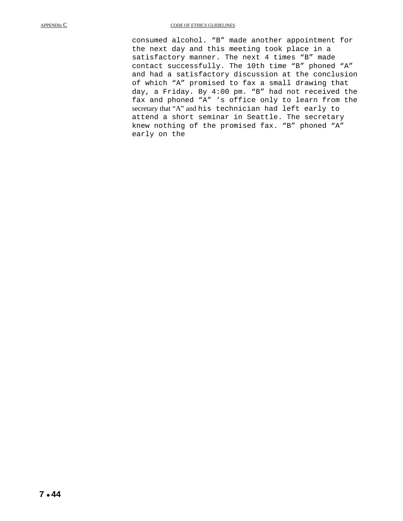#### APPENDIx C CODE OF ETHICS GUIDELINES

consumed alcohol. "B" made another appointment for the next day and this meeting took place in a satisfactory manner. The next 4 times "B" made contact successfully. The 10th time "B" phoned "A" and had a satisfactory discussion at the conclusion of which "A" promised to fax a small drawing that day, a Friday. By 4:00 pm. "B" had not received the fax and phoned "A" 's office only to learn from the secretary that "A" and his technician had left early to attend a short seminar in Seattle. The secretary knew nothing of the promised fax. "B" phoned "A" early on the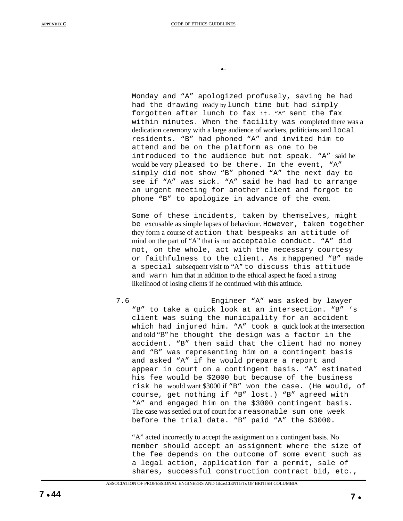**a--**

Monday and "A" apologized profusely, saving he had had the drawing ready by lunch time but had simply forgotten after lunch to fax it. "A" sent the fax within minutes. When the facility was completed there was a dedication ceremony with a large audience of workers, politicians and local residents. "B" had phoned "A" and invited him to attend and be on the platform as one to be introduced to the audience but not speak. "A" said he would be very pleased to be there. In the event, "A" simply did not show "B" phoned "A" the next day to see if "A" was sick. "A" said he had had to arrange an urgent meeting for another client and forgot to phone "B" to apologize in advance of the event.

Some of these incidents, taken by themselves, might be excusable as simple lapses of behaviour. However, taken together they form a course of action that bespeaks an attitude of mind on the part of "A" that is not acceptable conduct. "A" did not, on the whole, act with the necessary courtesy or faithfulness to the client. As it happened "B" made a special subsequent visit to "A" to discuss this attitude and warn him that in addition to the ethical aspect he faced a strong likelihood of losing clients if he continued with this attitude.

7.6 Engineer "A" was asked by lawyer "B" to take a quick look at an intersection. "B" 's client was suing the municipality for an accident which had injured him. "A" took a quick look at the intersection and told "B" he thought the design was a factor in the accident. "B" then said that the client had no money and "B" was representing him on a contingent basis and asked "A" if he would prepare a report and appear in court on a contingent basis. "A" estimated his fee would be \$2000 but because of the business risk he would want \$3000 if "B" won the case. (He would, of course, get nothing if "B" lost.) "B" agreed with "A" and engaged him on the \$3000 contingent basis. The case was settled out of court for a reasonable sum one week before the trial date. "B" paid "A" the \$3000.

"A" acted incorrectly to accept the assignment on a contingent basis. No member should accept an assignment where the size of the fee depends on the outcome of some event such as a legal action, application for a permit, sale of shares, successful construction contract bid, etc.,

ASSOCIATION OF PROFESSIONAL ENGINEERS AND GEosCIENTIsTs OF BRITISH COLUMBIA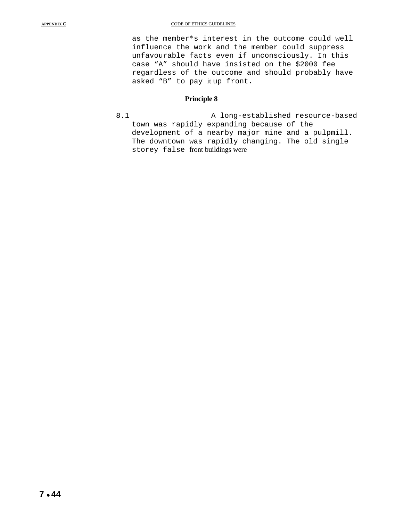#### **APPENDIX C** CODE OF ETHICS GUIDELINES

as the member\*s interest in the outcome could well influence the work and the member could suppress unfavourable facts even if unconsciously. In this case "A" should have insisted on the \$2000 fee regardless of the outcome and should probably have asked "B" to pay it up front.

# **Principle 8**

8.1 A long-established resource-based town was rapidly expanding because of the development of a nearby major mine and a pulpmill. The downtown was rapidly changing. The old single storey false front buildings were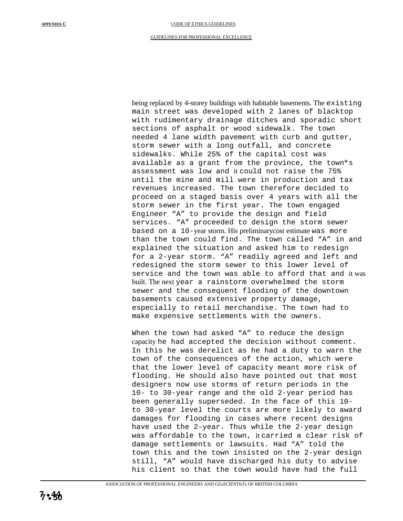being replaced by 4-storey buildings with habitable basements. The existing main street was developed with 2 lanes of blacktop with rudimentary drainage ditches and sporadic short sections of asphalt or wood sidewalk. The town needed 4 lane width pavement with curb and gutter, storm sewer with a long outfall, and concrete sidewalks. While 25% of the capital cost was available as a grant from the province, the town\*s assessment was low and it could not raise the 75% until the mine and mill were in production and tax revenues increased. The town therefore decided to proceed on a staged basis over 4 years with all the storm sewer in the first year. The town engaged Engineer "A" to provide the design and field services. "A" proceeded to design the storm sewer based on a 10-year storm. His preliminarycost estimate was more than the town could find. The town called "A" in and explained the situation and asked him to redesign for a 2-year storm. "A" readily agreed and left and redesigned the storm sewer to this lower level of service and the town was able to afford that and it was built. The next year a rainstorm overwhelmed the storm sewer and the consequent flooding of the downtown basements caused extensive property damage, especially to retail merchandise. The town had to make expensive settlements with the owners.

When the town had asked "A" to reduce the design capacity he had accepted the decision without comment. In this he was derelict as he had a duty to warn the town of the consequences of the action, which were that the lower level of capacity meant more risk of flooding. He should also have pointed out that most designers now use storms of return periods in the 10- to 30-year range and the old 2-year period has been generally superseded. In the face of this 10 to 30-year level the courts are more likely to award damages for flooding in cases where recent designs have used the 2-year. Thus while the 2-year design was affordable to the town, it carried a clear risk of damage settlements or lawsuits. Had "A" told the town this and the town insisted on the 2-year design still, "A" would have discharged his duty to advise his client so that the town would have had the full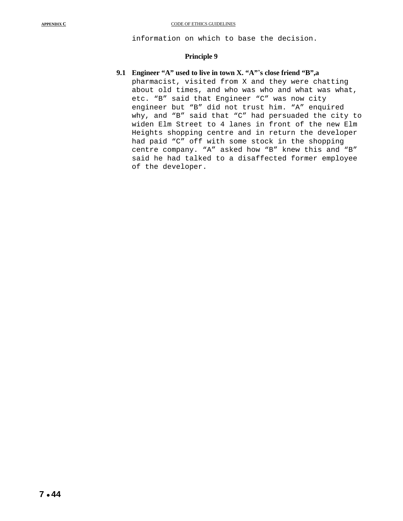information on which to base the decision.

# **Principle 9**

# **9.1 Engineer "A" used to live in town X. "A"**\***s close friend "B",a**

pharmacist, visited from X and they were chatting about old times, and who was who and what was what, etc. "B" said that Engineer "C" was now city engineer but "B" did not trust him. "A" enquired why, and "B" said that "C" had persuaded the city to widen Elm Street to 4 lanes in front of the new Elm Heights shopping centre and in return the developer had paid "C" off with some stock in the shopping centre company. "A" asked how "B" knew this and "B" said he had talked to a disaffected former employee of the developer.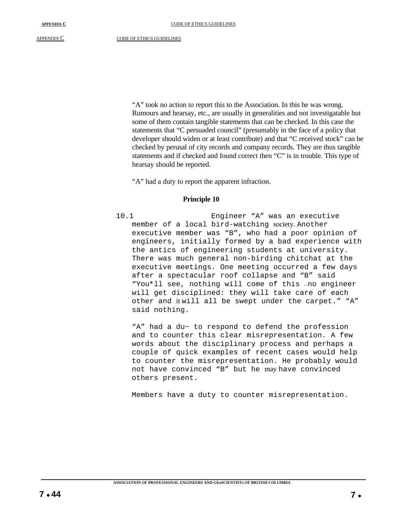"A" took no action to report this to the Association. In this he was wrong. Rumours and hearsay, etc., are usually in generalities and not investigatable but some of them contain tangible statements that can be checked. In this case the statements that "C persuaded council" (presumably in the face of a policy that developer should widen or at least contribute) and that "C received stock" can be checked by perusal of city records and company records. They are thus tangible statements and if checked and found correct then "C" is in trouble. This type of hearsay should be reported.

"A" had a duty to report the apparent infraction.

#### **Principle 10**

10.1 Engineer "A" was an executive member of a local bird-watching society. Another executive member was "B", who had a poor opinion of engineers, initially formed by a bad experience with the antics of engineering students at university. There was much general non-birding chitchat at the executive meetings. One meeting occurred a few days after a spectacular roof collapse and "B" said "You\*ll see, nothing will come of this **—** no engineer will get disciplined: they will take care of each other and it will all be swept under the carpet." "A" said nothing.

"A" had a du~ to respond to defend the profession and to counter this clear misrepresentation. A few words about the disciplinary process and perhaps a couple of quick examples of recent cases would help to counter the misrepresentation. He probably would not have convinced "B" but he may have convinced others present.

Members have a duty to counter misrepresentation.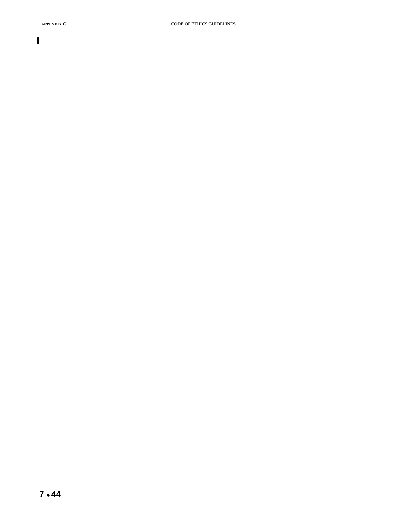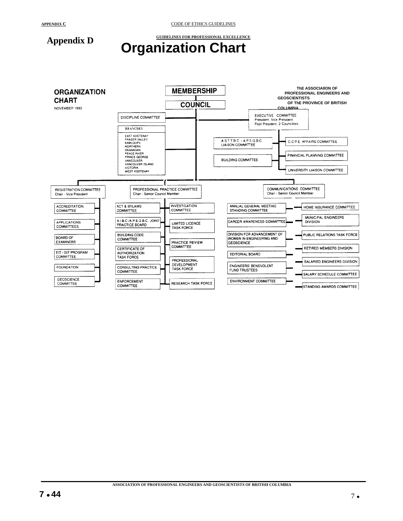**APPENDIX C** CODE OF ETHICS GUIDELINES

## **Appendix D GUIDELINES FOR PROFESSIONAL EXCELLENCE Organization Chart**

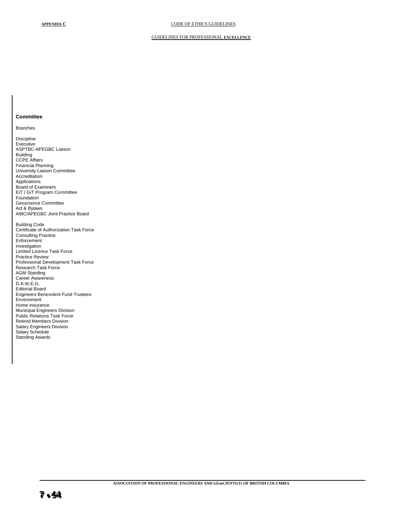#### GUIDELINES FOR PROFESSIONAL **EXCELLENCE**

#### **Committee**

Branches Discipline

**Executive** ASPTBC-APEGBC Liaison Building CCPE Affairs Financial Planning University Liaison Committee Accreditation Applications Board of Examiners EiT / GiT Program Committee Foundation Geoscience Committee Act & Bylaws AIBC/APEGBC Joint Practice Board

Building Code Certificate of Authorization Task Force Consulting Practice Enforcement Investigation Limited Licence Task Force Practice Review Professional Development Task Force Research Task Force AGM Standing Career Awareness D.A.W.E.G. Editorial Board Engineers Benevolent Fund Trustees Environment Home insurance Municipal Engineers Division Public Relations Task Force Retired Members Division Salary Engineers Division Salary Schedule Standing Awards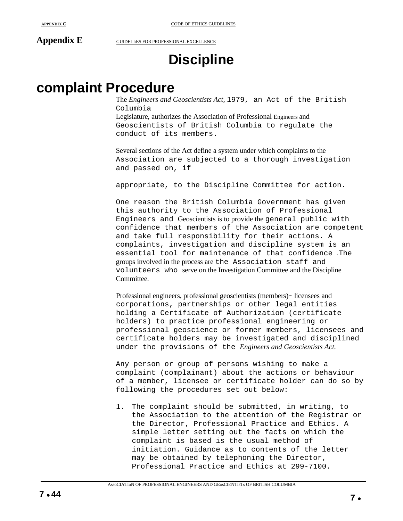**Appendix E** GUIDELIES FOR PROFESSIONAL EXCELLENCE

# **Discipline**

## **complaint Procedure**

The *Engineers and Geoscientists Act,* 1979, an Act of the British Columbia Legislature, authorizes the Association of Professional Engineers and Geoscientists of British Columbia to regulate the conduct of its members.

Several sections of the Act define a system under which complaints to the Association are subjected to a thorough investigation and passed on, if

appropriate, to the Discipline Committee for action.

One reason the British Columbia Government has given this authority to the Association of Professional Engineers and Geoscientists is to provide the general public with confidence that members of the Association are competent and take full responsibility for their actions. A complaints, investigation and discipline system is an essential tool for maintenance of that confidence The groups involved in the process are the Association staff and volunteers who serve on the Investigation Committee and the Discipline Committee.

Professional engineers, professional geoscientists (members)~ licensees and corporations, partnerships or other legal entities holding a Certificate of Authorization (certificate holders) to practice professional engineering or professional geoscience or former members, licensees and certificate holders may be investigated and disciplined under the provisions of the *Engineers and Geoscientists Act.*

Any person or group of persons wishing to make a complaint (complainant) about the actions or behaviour of a member, licensee or certificate holder can do so by following the procedures set out below:

1. The complaint should be submitted, in writing, to the Association to the attention of the Registrar or the Director, Professional Practice and Ethics. A simple letter setting out the facts on which the complaint is based is the usual method of initiation. Guidance as to contents of the letter may be obtained by telephoning the Director, Professional Practice and Ethics at 299-7100.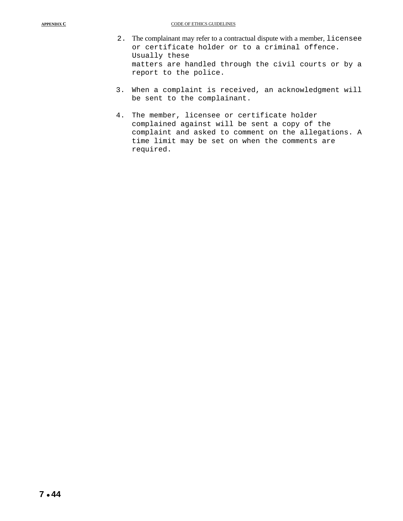#### **APPENDIX C** CODE OF ETHICS GUIDELINES

- 2. The complainant may refer to a contractual dispute with a member, licensee or certificate holder or to a criminal offence. Usually these matters are handled through the civil courts or by a report to the police.
- 3. When a complaint is received, an acknowledgment will be sent to the complainant.
- 4. The member, licensee or certificate holder complained against will be sent a copy of the complaint and asked to comment on the allegations. A time limit may be set on when the comments are required.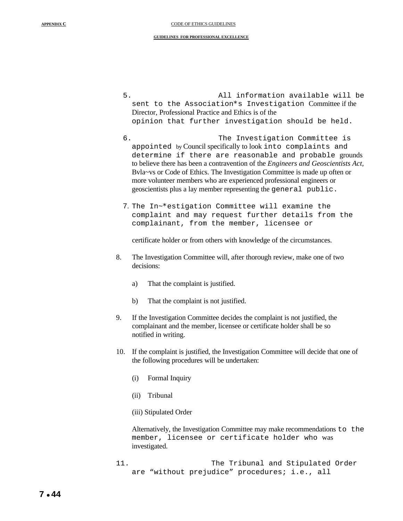#### **GUIDELINES FOR PROFESSIONAL EXCELLENCE**

- 5. All information available will be sent to the Association\*s Investigation Committee if the Director, Professional Practice and Ethics is of the opinion that further investigation should be held.
- 6. The Investigation Committee is appointed by Council specifically to look into complaints and determine if there are reasonable and probable grounds to believe there has been a contravention of the *Engineers and Geoscientists Act,* Bvla~vs or Code of Ethics. The Investigation Committee is made up often or more volunteer members who are experienced professional engineers or geoscientists plus a lay member representing the general public.
- 7. The In~\*estigation Committee will examine the complaint and may request further details from the complainant, from the member, licensee or

certificate holder or from others with knowledge of the circumstances.

- 8. The Investigation Committee will, after thorough review, make one of two decisions:
	- a) That the complaint is justified.
	- b) That the complaint is not justified.
- 9. If the Investigation Committee decides the complaint is not justified, the complainant and the member, licensee or certificate holder shall be so notified in writing.
- 10. If the complaint is justified, the Investigation Committee will decide that one of the following procedures will be undertaken:
	- (i) Formal Inquiry
	- (ii) Tribunal
	- (iii) Stipulated Order

Alternatively, the Investigation Committee may make recommendations to the member, licensee or certificate holder who was investigated.

11. The Tribunal and Stipulated Order are "without prejudice" procedures; i.e., all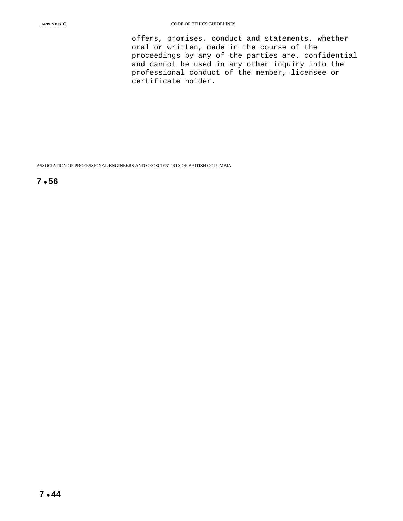#### **APPENDIX C** CODE OF ETHICS GUIDELINES

offers, promises, conduct and statements, whether oral or written, made in the course of the proceedings by any of the parties are. confidential and cannot be used in any other inquiry into the professional conduct of the member, licensee or certificate holder.

ASSOCIATION OF PROFESSIONAL ENGINEERS AND GEOSCIENTISTS OF BRITISH COLUMBIA

**7** ! **56**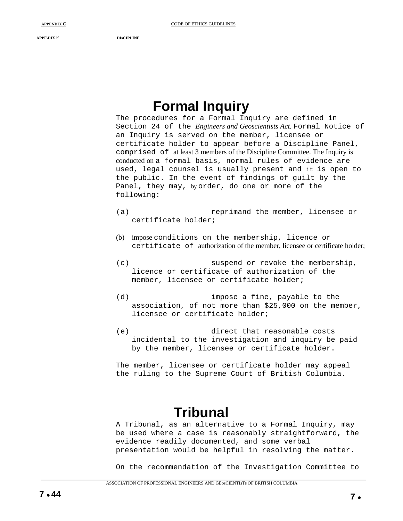## **Formal Inquiry**

The procedures for a Formal Inquiry are defined in Section 24 of the *Engineers and Geoscientists Act.* Formal Notice of an Inquiry is served on the member, licensee or certificate holder to appear before a Discipline Panel, comprised of at least 3 members of the Discipline Committee. The Inquiry is conducted on a formal basis, normal rules of evidence are used, legal counsel is usually present and it is open to the public. In the event of findings of guilt by the Panel, they may, by order, do one or more of the following:

- (a) reprimand the member, licensee or certificate holder;
- (b) impose conditions on the membership, licence or certificate of authorization of the member, licensee or certificate holder;
- (c) suspend or revoke the membership, licence or certificate of authorization of the member, licensee or certificate holder;
- (d) impose a fine, payable to the association, of not more than \$25,000 on the member, licensee or certificate holder;
- (e) direct that reasonable costs incidental to the investigation and inquiry be paid by the member, licensee or certificate holder.

The member, licensee or certificate holder may appeal the ruling to the Supreme Court of British Columbia.

## **Tribunal**

A Tribunal, as an alternative to a Formal Inquiry, may be used where a case is reasonably straightforward, the evidence readily documented, and some verbal presentation would be helpful in resolving the matter.

On the recommendation of the Investigation Committee to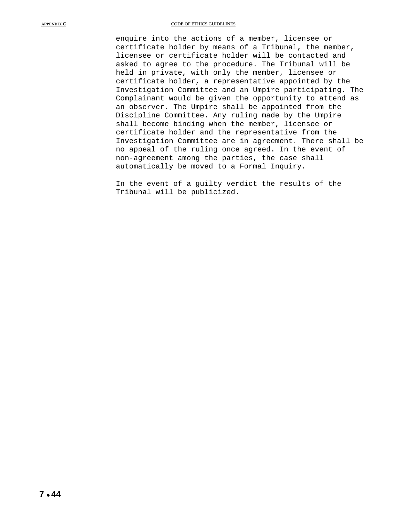#### **APPENDIX C** CODE OF ETHICS GUIDELINES

enquire into the actions of a member, licensee or certificate holder by means of a Tribunal, the member, licensee or certificate holder will be contacted and asked to agree to the procedure. The Tribunal will be held in private, with only the member, licensee or certificate holder, a representative appointed by the Investigation Committee and an Umpire participating. The Complainant would be given the opportunity to attend as an observer. The Umpire shall be appointed from the Discipline Committee. Any ruling made by the Umpire shall become binding when the member, licensee or certificate holder and the representative from the Investigation Committee are in agreement. There shall be no appeal of the ruling once agreed. In the event of non-agreement among the parties, the case shall automatically be moved to a Formal Inquiry.

In the event of a guilty verdict the results of the Tribunal will be publicized.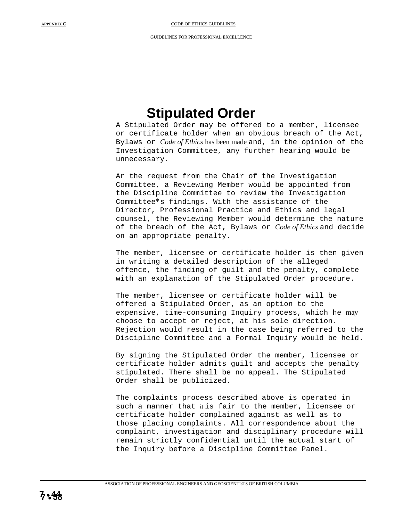## **Stipulated Order**

A Stipulated Order may be offered to a member, licensee or certificate holder when an obvious breach of the Act, Bylaws or *Code of Ethics* has been made and, in the opinion of the Investigation Committee, any further hearing would be unnecessary.

Ar the request from the Chair of the Investigation Committee, a Reviewing Member would be appointed from the Discipline Committee to review the Investigation Committee\*s findings. With the assistance of the Director, Professional Practice and Ethics and legal counsel, the Reviewing Member would determine the nature of the breach of the Act, Bylaws or *Code of Ethics* and decide on an appropriate penalty.

The member, licensee or certificate holder is then given in writing a detailed description of the alleged offence, the finding of guilt and the penalty, complete with an explanation of the Stipulated Order procedure.

The member, licensee or certificate holder will be offered a Stipulated Order, as an option to the expensive, time-consuming Inquiry process, which he may choose to accept or reject, at his sole direction. Rejection would result in the case being referred to the Discipline Committee and a Formal Inquiry would be held.

By signing the Stipulated Order the member, licensee or certificate holder admits guilt and accepts the penalty stipulated. There shall be no appeal. The Stipulated Order shall be publicized.

The complaints process described above is operated in such a manner that it is fair to the member, licensee or certificate holder complained against as well as to those placing complaints. All correspondence about the complaint, investigation and disciplinary procedure will remain strictly confidential until the actual start of the Inquiry before a Discipline Committee Panel.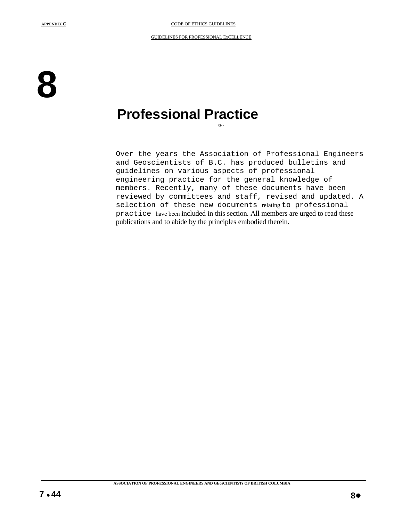# **8**

## **Professional Practice**

Over the years the Association of Professional Engineers and Geoscientists of B.C. has produced bulletins and guidelines on various aspects of professional engineering practice for the general knowledge of members. Recently, many of these documents have been reviewed by committees and staff, revised and updated. A selection of these new documents relating to professional practice have been included in this section. All members are urged to read these publications and to abide by the principles embodied therein.

**a--**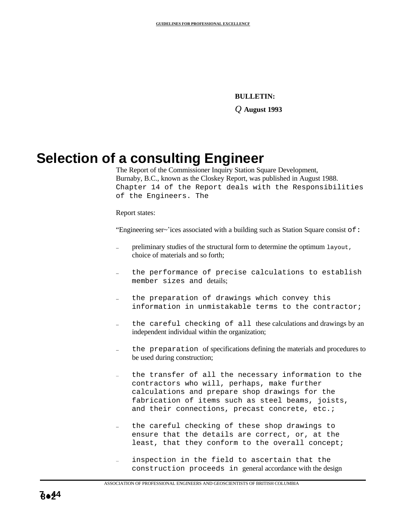**BULLETIN:** *Q* **August 1993**

## **Selection of a consulting Engineer**

The Report of the Commissioner Inquiry Station Square Development, Burnaby, B.C., known as the Closkey Report, was published in August 1988. Chapter 14 of the Report deals with the Responsibilities of the Engineers. The

#### Report states:

"Engineering ser~"ices associated with a building such as Station Square consist of:

- preliminary studies of the structural form to determine the optimum layout, choice of materials and so forth;
- **—** the performance of precise calculations to establish member sizes and details;
- the preparation of drawings which convey this information in unmistakable terms to the contractor;
- the careful checking of all these calculations and drawings by an independent individual within the organization;
- **—** the preparation of specifications defining the materials and procedures to be used during construction;
- the transfer of all the necessary information to the contractors who will, perhaps, make further calculations and prepare shop drawings for the fabrication of items such as steel beams, joists, and their connections, precast concrete, etc.;
- the careful checking of these shop drawings to ensure that the details are correct, or, at the least, that they conform to the overall concept;
- inspection in the field to ascertain that the construction proceeds in general accordance with the design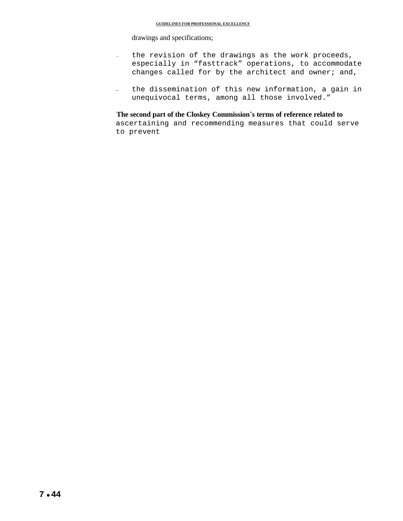drawings and specifications;

- the revision of the drawings as the work proceeds, especially in "fasttrack" operations, to accommodate changes called for by the architect and owner; and,
- **—** the dissemination of this new information, a gain in unequivocal terms, among all those involved."

**The second part of the Closkey Commission**\***s terms of reference related to** ascertaining and recommending measures that could serve to prevent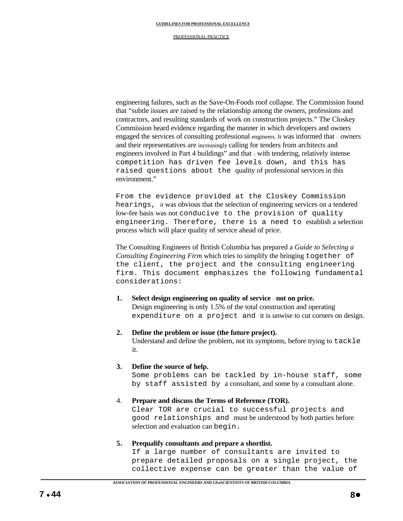#### PROFESSIONAL PRACTICE

engineering failures, such as the Save-On-Foods roof collapse. The Commission found that "subtle issues are raised by the relationship among the owners, professions and contractors, and resulting standards of work on construction projects." The Closkey Commission heard evidence regarding the manner in which developers and owners engaged the services of consulting professional engineers. It was informed that  $\sim$  owners and their representatives are increasingly calling for tenders from architects and engineers involved in Part 4 buildings" and that **"..** with tendering, relatively intense competition has driven fee levels down, and this has raised questions about the quality of professional services in this environment."

From the evidence provided at the Closkey Commission hearings, it was obvious that the selection of engineering services on a tendered low-fee basis was not conducive to the provision of quality engineering. Therefore, there is a need to establish a selection process which will place quality of service ahead of price.

The Consulting Engineers of British Columbia has prepared a *Guide to Selecting a Consulting Engineering Firm* which tries to simplify the bringing together of the client, the project and the consulting engineering firm. This document emphasizes the following fundamental considerations:

**1. Select design engineering on quality of service** — **not on price.** Design engineering is only 1.5% of the total construction and operating expenditure on a project and it is unwise to cut corners on design.

#### **2. Define the problem or issue (the future project).**

Understand and define the problem, not its symptoms, before trying to tackle it.

#### **3. Define the source of help.**

Some problems can be tackled by in-house staff, some by staff assisted by a consultant, and some by a consultant alone.

#### 4. **Prepare and discuss the Terms of Reference (TOR).**

Clear TOR are crucial to successful projects and good relationships and must be understood by both parties before selection and evaluation can begin.

#### **5. Prequalify consultants and prepare a shortlist.**

If a large number of consultants are invited to prepare detailed proposals on a single project, the collective expense can be greater than the value of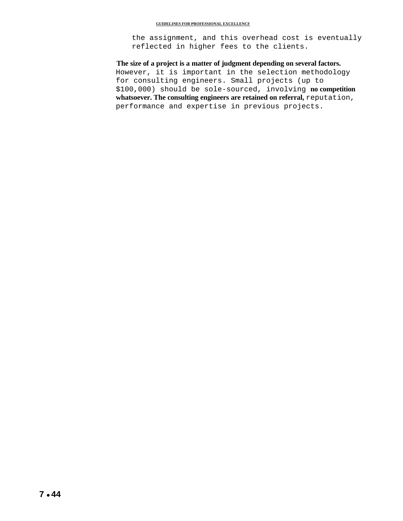the assignment, and this overhead cost is eventually reflected in higher fees to the clients.

#### **The size of a project is a matter of judgment depending on several factors.** However, it is important in the selection methodology for consulting engineers. Small projects (up to \$100,000) should be sole-sourced, involving **no competition** whatsoever. The consulting engineers are retained on referral, reputation, performance and expertise in previous projects.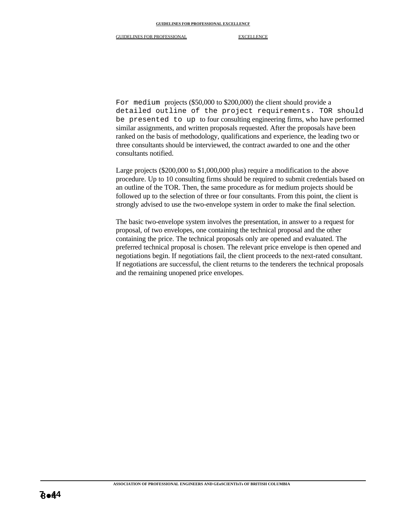GUIDELINES FOR PROFESSIONAL EXCELLENCE

For medium projects (\$50,000 to \$200,000) the client should provide a detailed outline of the project requirements. TOR should be presented to up to four consulting engineering firms, who have performed similar assignments, and written proposals requested. After the proposals have been ranked on the basis of methodology, qualifications and experience, the leading two or three consultants should be interviewed, the contract awarded to one and the other consultants notified.

Large projects (\$200,000 to \$1,000,000 plus) require a modification to the above procedure. Up to 10 consulting firms should be required to submit credentials based on an outline of the TOR. Then, the same procedure as for medium projects should be followed up to the selection of three or four consultants. From this point, the client is strongly advised to use the two-envelope system in order to make the final selection.

The basic two-envelope system involves the presentation, in answer to a request for proposal, of two envelopes, one containing the technical proposal and the other containing the price. The technical proposals only are opened and evaluated. The preferred technical proposal is chosen. The relevant price envelope is then opened and negotiations begin. If negotiations fail, the client proceeds to the next-rated consultant. If negotiations are successful, the client returns to the tenderers the technical proposals and the remaining unopened price envelopes.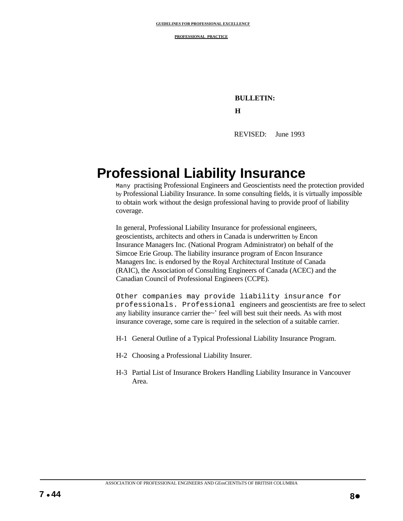#### **PROFESSIONAL PRACTICE**

**BULLETIN:**

**H**

REVISED: June 1993

## **Professional Liability Insurance**

Many practising Professional Engineers and Geoscientists need the protection provided by Professional Liability Insurance. In some consulting fields, it is virtually impossible to obtain work without the design professional having to provide proof of liability coverage.

In general, Professional Liability Insurance for professional engineers, geoscientists, architects and others in Canada is underwritten by Encon Insurance Managers Inc. (National Program Administrator) on behalf of the Simcoe Erie Group. The liability insurance program of Encon Insurance Managers Inc. is endorsed by the Royal Architectural Institute of Canada (RAIC), the Association of Consulting Engineers of Canada (ACEC) and the Canadian Council of Professional Engineers (CCPE).

Other companies may provide liability insurance for professionals. Professional engineers and geoscientists are free to select any liability insurance carrier the~' feel will best suit their needs. As with most insurance coverage, some care is required in the selection of a suitable carrier.

- H-1 General Outline of a Typical Professional Liability Insurance Program.
- H-2 Choosing a Professional Liability Insurer.
- H-3 Partial List of Insurance Brokers Handling Liability Insurance in Vancouver Area.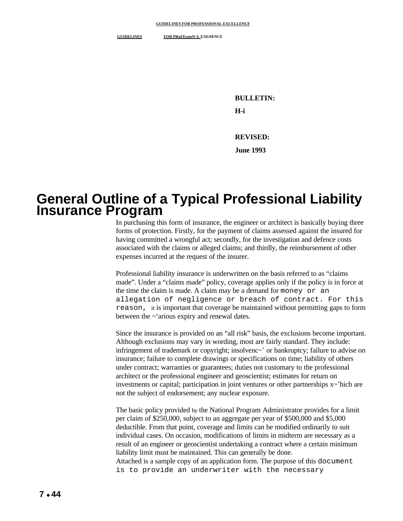**GUIDELINES FOR PRoFEsstoN~L EXEtIENCE**

**BULLETIN: H-i**

**REVISED:**

**June 1993**

## **General Outline of a Typical Professional Liability Insurance Program**

In purchasing this form of insurance, the engineer or architect is basically buying three forms of protection. Firstly, for the payment of claims assessed against the insured for having committed a wrongful act; secondly, for the investigation and defence costs associated with the claims or alleged claims; and thirdly, the reimbursement of other expenses incurred at the request of the insurer.

Professional liability insurance is underwritten on the basis referred to as "claims made". Under a "claims made" policy, coverage applies only if the policy is in force at the time the claim is made. A claim may be a demand for money or an allegation of negligence or breach of contract. For this reason, it is important that coverage be maintained without permitting gaps to form between the  $\sim$ 'arious expiry and renewal dates.

Since the insurance is provided on an "all risk" basis, the exclusions become important. Although exclusions may vary in wording, most are fairly standard. They include: infringement of trademark or copyright; insolvenc~' or bankruptcy; failure to advise on insurance; failure to complete drawings or specifications on time; liability of others under contract; warranties or guarantees; duties not customary to the professional architect or the professional engineer and geoscientist; estimates for return on investments or capital; participation in joint ventures or other partnerships  $x \sim$  hich are not the subject of endorsement; any nuclear exposure.

The basic policy provided by the National Program Administrator provides for a limit per claim of \$250,000, subject to an aggregate per year of \$500,000 and \$5,000 deductible. From that point, coverage and limits can be modified ordinarily to suit individual cases. On occasion, modifications of limits in midterm are necessary as a result of an engineer or geoscientist undertaking a contract where a certain minimum liability limit must be maintained. This can generally be done. Attached is a sample copy of an application form. The purpose of this document is to provide an underwriter with the necessary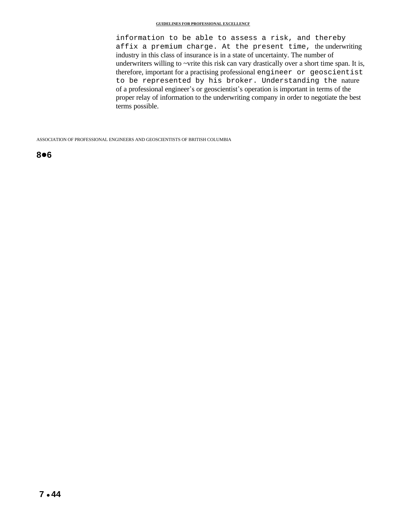#### **GUIDELINES FOR PROFESSIONAL EXCELLENCF**

information to be able to assess a risk, and thereby affix a premium charge. At the present time, the underwriting industry in this class of insurance is in a state of uncertainty. The number of underwriters willing to ~vrite this risk can vary drastically over a short time span. It is, therefore, important for a practising professional engineer or geoscientist to be represented by his broker. Understanding the nature of a professional engineer's or geoscientist's operation is important in terms of the proper relay of information to the underwriting company in order to negotiate the best terms possible.

ASSOCIATION OF PROFESSIONAL ENGINEERS AND GEOSCIENTISTS OF BRITISH COLUMBIA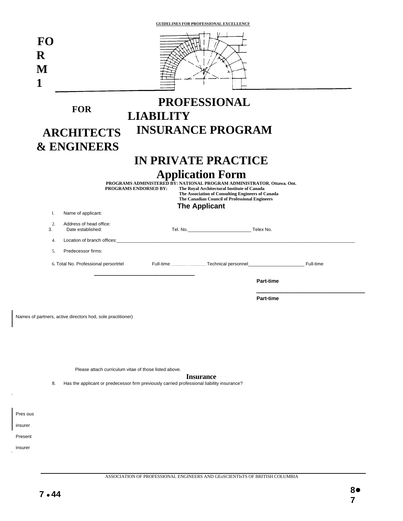|           |                                                             |                                                       | <b>GUIDELINES FOR PROFESSIONAL EXCELLENCE</b>                                                                         |                  |           |
|-----------|-------------------------------------------------------------|-------------------------------------------------------|-----------------------------------------------------------------------------------------------------------------------|------------------|-----------|
| <b>FO</b> |                                                             |                                                       |                                                                                                                       |                  |           |
| $\bf R$   |                                                             |                                                       |                                                                                                                       |                  |           |
| M         |                                                             |                                                       |                                                                                                                       |                  |           |
| 1         |                                                             |                                                       |                                                                                                                       |                  |           |
|           |                                                             |                                                       |                                                                                                                       |                  |           |
|           | <b>FOR</b>                                                  |                                                       | <b>PROFESSIONAL</b>                                                                                                   |                  |           |
|           | <b>LIABILITY</b>                                            |                                                       |                                                                                                                       |                  |           |
|           | <b>INSURANCE PROGRAM</b><br><b>ARCHITECTS</b>               |                                                       |                                                                                                                       |                  |           |
|           | <b>&amp; ENGINEERS</b>                                      |                                                       |                                                                                                                       |                  |           |
|           |                                                             |                                                       | <b>IN PRIVATE PRACTICE</b>                                                                                            |                  |           |
|           |                                                             |                                                       | <b>Application Form</b>                                                                                               |                  |           |
|           |                                                             | PROGRAMS ENDORSED BY:                                 | PROGRAMS ADMINISTERED BY: NATIONAL PROGRAM ADMINISTRATOR. Ottawa. Ont.<br>The Royal Architectural Institute of Canada |                  |           |
|           |                                                             |                                                       | The Association of Consulting Engineers of Canada<br>The Canadian Council of Professional Engineers                   |                  |           |
| Τ.        | Name of applicant:                                          |                                                       | <b>The Applicant</b>                                                                                                  |                  |           |
| 2.<br>3.  | Address of head office:<br>Date established:                |                                                       |                                                                                                                       |                  |           |
| 4.        | Location of branch offices:                                 |                                                       |                                                                                                                       |                  |           |
| 5.        | Predecessor firms:                                          |                                                       |                                                                                                                       |                  |           |
|           | 6. Total No. Professional persortrtel                       |                                                       | Full-time ________ _________Technical personnel_________________________________                                      |                  | Full-time |
|           |                                                             |                                                       |                                                                                                                       | Part-time        |           |
|           |                                                             |                                                       |                                                                                                                       | <b>Part-time</b> |           |
|           |                                                             |                                                       |                                                                                                                       |                  |           |
|           | Names of partners, active directors hod, sole practitioner) |                                                       |                                                                                                                       |                  |           |
|           |                                                             |                                                       |                                                                                                                       |                  |           |
|           |                                                             |                                                       |                                                                                                                       |                  |           |
|           |                                                             |                                                       |                                                                                                                       |                  |           |
|           |                                                             | Please attach curriculum vitae of those listed above. | <b>Insurance</b>                                                                                                      |                  |           |
| 8.        |                                                             |                                                       | Has the applicant or predecessor firm previously carried professional liability insurance?                            |                  |           |
|           |                                                             |                                                       |                                                                                                                       |                  |           |
| Pres ous  |                                                             |                                                       |                                                                                                                       |                  |           |
| insurer   |                                                             |                                                       |                                                                                                                       |                  |           |
| Present   |                                                             |                                                       |                                                                                                                       |                  |           |
| insurer   |                                                             |                                                       |                                                                                                                       |                  |           |
|           |                                                             |                                                       |                                                                                                                       |                  |           |

à.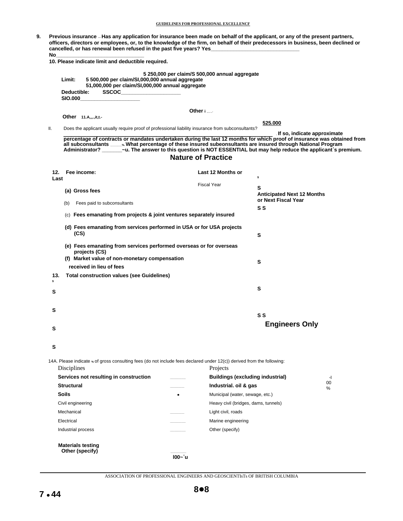| No        | officers, directors or employees, or, to the knowledge of the firm, on behalf of their predecessors in business, been declined or<br>cancelled, or has renewal been refused in the past five years? Yes_ |                                                |                                                               |
|-----------|----------------------------------------------------------------------------------------------------------------------------------------------------------------------------------------------------------|------------------------------------------------|---------------------------------------------------------------|
|           | 10. Please indicate limit and deductible required.                                                                                                                                                       |                                                |                                                               |
|           | 5 500,000 per claim/SI,000,000 annual aggregate<br>Limit:<br>51,000,000 per claim/SI,000,000 annual aggregate<br>Deductible:                                                                             | 5 250,000 per claim/S 500,000 annual aggregate |                                                               |
|           | <b>SIO.000</b>                                                                                                                                                                                           |                                                |                                                               |
|           |                                                                                                                                                                                                          | Other i                                        |                                                               |
|           | Other 11.A,,,.,it,t.-                                                                                                                                                                                    |                                                |                                                               |
| II.       | Does the applicant usually require proof of professional liability insurance from subconsultants?                                                                                                        |                                                | 525.000                                                       |
|           | percentage of contracts or mandates undertaken during the last 12 months for which proof of insurance was obtained from                                                                                  |                                                | If so, indicate approximate                                   |
|           |                                                                                                                                                                                                          | <b>Nature of Practice</b>                      |                                                               |
| 12.       | Fee income:                                                                                                                                                                                              | Last 12 Months or                              |                                                               |
| Last      |                                                                                                                                                                                                          |                                                | \$                                                            |
|           | (a) Gross fees                                                                                                                                                                                           | <b>Fiscal Year</b>                             | s<br><b>Anticipated Next 12 Months</b><br>or Next Fiscal Year |
|           | Fees paid to subconsultants<br>(b)                                                                                                                                                                       |                                                | S S                                                           |
|           | (c) Fees emanating from projects & joint ventures separately insured                                                                                                                                     |                                                |                                                               |
|           | (d) Fees emanating from services performed in USA or for USA projects<br>(CS)                                                                                                                            |                                                | s                                                             |
|           | (e) Fees emanating from services performed overseas or for overseas<br>projects (CS)<br>(f) Market value of non-monetary compensation                                                                    |                                                |                                                               |
|           | received in lieu of fees                                                                                                                                                                                 |                                                | s                                                             |
| 13.<br>\$ | <b>Total construction values (see Guidelines)</b>                                                                                                                                                        |                                                |                                                               |
| s         |                                                                                                                                                                                                          |                                                | s                                                             |
| s         |                                                                                                                                                                                                          |                                                | S S                                                           |
|           |                                                                                                                                                                                                          |                                                | <b>Engineers Only</b>                                         |
| s         |                                                                                                                                                                                                          |                                                |                                                               |
| S         |                                                                                                                                                                                                          |                                                |                                                               |
|           | 14A. Please indicate » of gross consulting fees (do not include fees declared under 12(c)) derived from the following:<br>Disciplines                                                                    | Projects                                       |                                                               |
|           | Services not resulting in construction                                                                                                                                                                   | <b>Buildings (excluding industrial)</b>        | -1                                                            |
|           | <b>Structural</b>                                                                                                                                                                                        | Industrial. oil & gas                          | 00<br>℅                                                       |
|           | <b>Soils</b>                                                                                                                                                                                             | Municipal (water, sewage, etc.)<br>$\bullet$   |                                                               |
|           | Civil engineering                                                                                                                                                                                        | Heavy civil (bridges, dams, tunnels)           |                                                               |
|           | Mechanical                                                                                                                                                                                               | Light civil, roads                             |                                                               |
|           | Electrical                                                                                                                                                                                               | Marine engineering                             |                                                               |
|           | Industrial process                                                                                                                                                                                       | Other (specify)                                |                                                               |

**Other (specify) \_\_\_\_\_\_\_\_\_\_\_**

ASSOCIATION OF PROFESSIONAL ENGINEERS AND GEOSCIENTIsTs OF BRITISH COLUMBIA

 **l00~**\***u**

**Materials testing**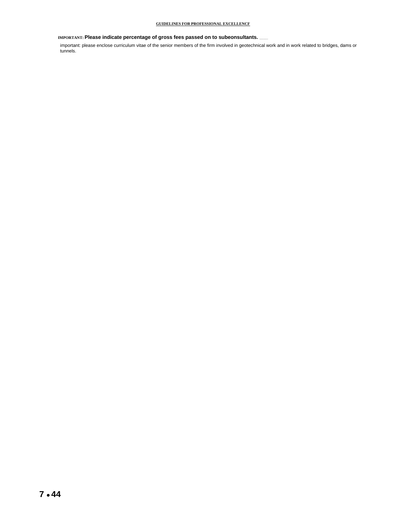#### **GUIDELINES FOR PROFESSIONAL EXCELLENCF**

#### **IMPORTANT: Please indicate percentage of gross fees passed on to subeonsultants. \_\_\_\_\_\_**

important: please enclose curriculum vitae of the senior members of the firm involved in geotechnical work and in work related to bridges, dams or tunnels.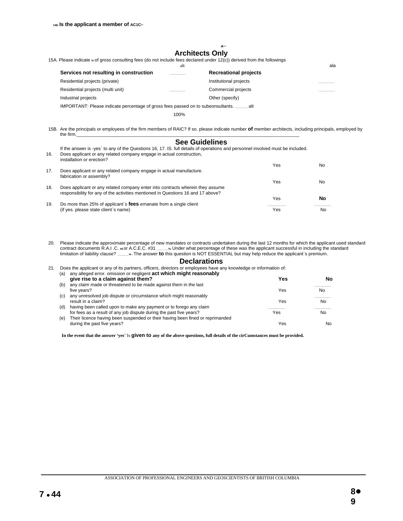#### **a-- Architects Only**

15A. Please indicate **%** of gross consulting fees (do not include fees declared under 12(c)) derived from the followings

| alt                                                                                     |                              | ala |  |  |
|-----------------------------------------------------------------------------------------|------------------------------|-----|--|--|
| Services not resulting in construction                                                  | <b>Recreational projects</b> |     |  |  |
| Residential projects (private)                                                          | Institutional projects       |     |  |  |
| Residential projects (multi unit)                                                       | Commercial projects          |     |  |  |
| Industrial projects                                                                     | Other (specify)              |     |  |  |
| IMPORTANT: Please indicate percentage of gross fees passed on to subeonsultants.<br>alt |                              |     |  |  |
| 100%                                                                                    |                              |     |  |  |

15B. Are the principals or employees of the firm members of RAIC? If so. please indicate number **of** member architects, including principals, employed by the firm.\_\_\_\_\_\_\_\_\_\_\_\_\_\_\_\_\_\_\_\_\_\_\_\_\_\_\_\_\_\_\_\_\_\_\_\_\_\_\_\_\_\_\_\_\_\_\_\_\_\_\_\_\_\_\_\_\_\_\_\_\_\_\_\_\_\_\_\_\_\_\_\_\_\_\_\_\_\_\_\_\_\_\_\_\_\_\_\_

| 16. | <b>See Guidelines</b><br>If the answer is -yes' to any of the Questions 16, 17. IS. full details of operations and personnel involved must be included.<br>Does applicant or any related company engage in actual construction. |     |     |
|-----|---------------------------------------------------------------------------------------------------------------------------------------------------------------------------------------------------------------------------------|-----|-----|
|     | installation or erection?                                                                                                                                                                                                       | Yes | No. |
| 17. | Does applicant or any related company engage in actual manufacture.<br>fabrication or assembly?                                                                                                                                 |     |     |
|     |                                                                                                                                                                                                                                 | Yes | No  |
| 18. | Does applicant or any related company enter into contracts wherein they assume<br>responsibility for any of the activities mentioned in Questions 16 and 17 above?                                                              |     |     |
|     |                                                                                                                                                                                                                                 | Yes | No  |
| 19. | Do more than 25% of applicant's fees emanate from a single client                                                                                                                                                               |     |     |
|     | (if yes. please state client's name)                                                                                                                                                                                            | Yes | No  |

20. Please indicate the approximate percentage of new mandates or contracts undertaken during the last 12 months for which the applicant used standard contract documents R.A.I .C. **#6** or A.C.E.C. #31 **\_\_\_\_\_\_\_\_%.** Under what percentage of these was the applicant successful in including the standard limitation of liability clause? \_\_\_\_\_\_ % - The answer **to** this question is NOT ESSENTIAL but may help reduce the applicant's premium.

|     | <b>Declarations</b>                                                                                                                              |                                                                                                                   |     |  |  |
|-----|--------------------------------------------------------------------------------------------------------------------------------------------------|-------------------------------------------------------------------------------------------------------------------|-----|--|--|
| 21. |                                                                                                                                                  | Does the applicant or any of its partners, officers, directors or employees have any knowledge or information of: |     |  |  |
|     | any alleged error. omission or negligent act which might reasonably<br>(a)<br>give rise to a claim against them?                                 | Yes                                                                                                               | No  |  |  |
|     | any claim made or threatened to be made against them in the last<br>(b)<br>five years?                                                           | Yes                                                                                                               | No. |  |  |
|     | any unresolved job dispute or circumstance which might reasonably<br>(c)<br>result in a claim?                                                   | Yes                                                                                                               | No  |  |  |
|     | having been called upon to make any payment or to forego any claim<br>(d)<br>for fees as a result of any job dispute during the past five years? | Yes                                                                                                               | No  |  |  |
|     | Their licence having been suspended or their having been fined or reprimanded<br>(e)<br>during the past five years?                              | Yes                                                                                                               | No  |  |  |

**In the event that the answer 'yes**\* Is **given to any of the above questions, full details of the cirCumstances must be provided.**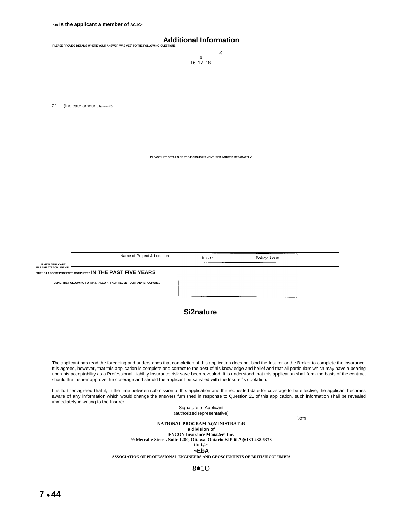**14B. Is the applicant a member of AC1C~**

#### **Additional Information**

**PLEASE PROVIDE DETAILS WHERE YOUR ANSWER WAS YES**\* **TO THE FOLLOWING QUESTIONS:**

0 16, 17, 18. **.0.--**

21. (Indicate amount **Iainn~,t5**

**PLEASE LIST DETAILS OF PROJECTS/JOINT VENTURES INSURED SEPARATELY:**

|                                                          | Name of Project & Location                                         | Insurer | Policy Term |  |
|----------------------------------------------------------|--------------------------------------------------------------------|---------|-------------|--|
| IF NEW APPLICANT,<br>PLEASE ATTACH LIST OF               |                                                                    |         |             |  |
| THE 10 LARGEST PROJECTS COMPLETED IN THE PAST FIVE YEARS |                                                                    |         |             |  |
|                                                          | USING THE FOLLOWING FORMAT. (ALSO ATTACH RECENT COMPANY BROCHURE). |         |             |  |
|                                                          |                                                                    |         |             |  |

#### **Si2nature**

The applicant has read the foregoing and understands that completion of this application does not bind the Insurer or the Broker to complete the insurance. It is agreed, however, that this application is complete and correct to the best of his knowledge and belief and that all particulars which may have a bearing upon his acceptability as a Professional Liability Insurance risk save been revealed. It is understood that this application shall form the basis of the contract should the Insurer approve the coserage and should the applicant be satisfied with the Insurer's quotation.

It is further agreed that if, in the time between submission of this application and the requested date for coverage to be effective, the applicant becomes aware of any information which would change the answers furnished in response to Question 21 of this application, such information shall be revealed immediately in writing to the Insurer.

Signature of Applicant (authorized representative)

Date

**NATIONAL PROGRAM At)MINISTRAToR a division of ENCON Insurance Mana2ers Inc.**

**99 Metcalfe Street. Suite 1200, Ottawa. Ontario KIP 6L7 (6131 238.6373**

t1q **1,1~ ~EbA**

**ASSOCIATION OF PROFESSIONAL ENGINEERS AND GEOSCIENTISTS OF BRITISH COLUMBIA**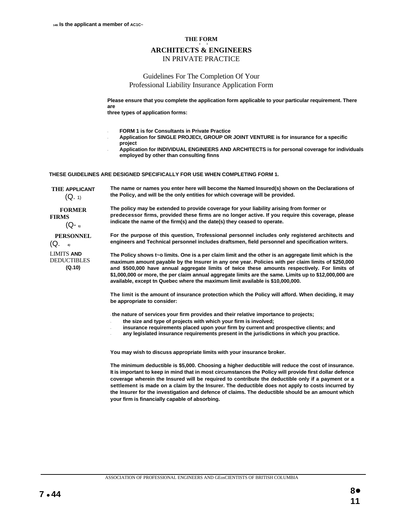#### **THE FORM I I**

### **ARCHITECTS & ENGINEERS**

#### IN PRIVATE PRACTICE

#### Guidelines For The Completion Of Your Professional Liability Insurance Application Form

**Please ensure that you complete the application form applicable to your particular requirement. There are**

**three types of application forms:**

- **FORM 1 is for Consultants in Private Practice**
- **Application for SINGLE PROJECt, GROUP OR JOINT VENTURE is for insurance for a specific project**
- **Application for INDIVIDUAL ENGINEERS AND ARCHITECTS is for personal coverage for individuals employed by other than consulting finns**

**THESE GUIDELINES ARE DESIGNED SPECIFICALLY FOR USE WHEN COMPLETING FORM 1.**

| THE APPLICANT<br>(Q. 1)                           | The name or names you enter here will become the Named Insured(s) shown on the Declarations of<br>the Policy, and will be the only entities for which coverage will be provided.                                                                                                                                                                                                                                                                                                                             |
|---------------------------------------------------|--------------------------------------------------------------------------------------------------------------------------------------------------------------------------------------------------------------------------------------------------------------------------------------------------------------------------------------------------------------------------------------------------------------------------------------------------------------------------------------------------------------|
| <b>FORMER</b><br><b>FIRMS</b><br>$(Q - 5)$        | The policy may be extended to provide coverage for your liability arising from former or<br>predecessor firms, provided these firms are no longer active. If you require this coverage, please<br>indicate the name of the firm(s) and the date(s) they ceased to operate.                                                                                                                                                                                                                                   |
| <b>PERSONNEL</b><br>(Q.<br>6)                     | For the purpose of this question, Trofessional personnel includes only registered architects and<br>engineers and Technical personnel includes draftsmen, field personnel and specification writers.                                                                                                                                                                                                                                                                                                         |
| <b>LIMITS AND</b><br><b>DEDUCTIBLES</b><br>(Q.10) | The Policy shows $t$ -o limits. One is a per claim limit and the other is an aggregate limit which is the<br>maximum amount payable by the Insurer in any one year. Policies with per claim limits of \$250,000<br>and \$500,000 have annual aggregate limits of twice these amounts respectively. For limits of<br>\$1,000,000 or more, the per claim annual aggregate limits are the same. Limits up to \$12,000,000 are<br>available, except tn Quebec where the maximum limit available is \$10,000,000. |
|                                                   | The limit is the amount of insurance protection which the Policy will afford. When deciding, it may<br>be appropriate to consider:                                                                                                                                                                                                                                                                                                                                                                           |
|                                                   | the nature of services your firm provides and their relative importance to projects;<br>the size and type of projects with which your firm is involved;<br>insurance requirements placed upon your firm by current and prospective clients; and<br>any legislated insurance requirements present in the jurisdictions in which you practice.                                                                                                                                                                 |
|                                                   | Marchaeologick in all Harris and accountage Holling cold, corrected accounts in the Lock                                                                                                                                                                                                                                                                                                                                                                                                                     |

**You may wish to discuss appropriate limits with your insurance broker.**

**The minimum deductible is \$5,000. Choosing a higher deductible will reduce the cost of insurance. It is important to keep in mind that in most circumstances the Policy will provide first dollar defence coverage wherein the Insured will be required to contribute the deductible only if a payment or a settlement is made on a claim by the Insurer. The deductible does not apply to costs incurred by the Insurer for the investigation and defence of claims. The deductible should be an amount which your firm is financially capable of absorbing.**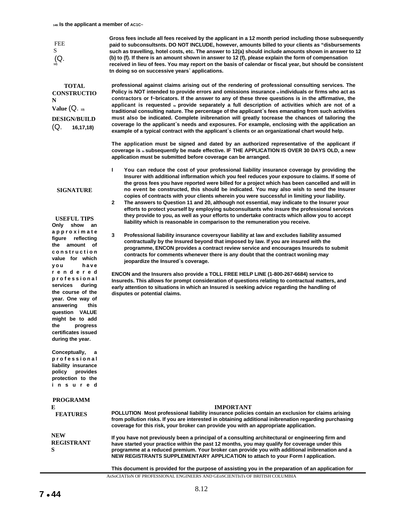FEE S (Q. **12)**

**Gross fees include all fees received by the applicant in a 12 month period including those subsequently paid to subconsultsnts. DO NOT INCLUDE, however, amounts billed to your clients as "disbursements such as travelling, hotel costs, etc. The answer to 12(a) should include amounts shown in answer to 12 (b) to (f). If there is an amount shown in answer to 12 (f), please explain the form of compensation received in lieu of fees. You may report on the basis of calendar or fiscal year, but should be consistent tn doing so on successive years**\* **applications.**

**TOTAL CONSTRUCTIO N Value** (Q. **13) DESIGN/BUILD** (Q. **16,17,18)**

**professional against claims arising out of the rendering of professional consulting services. The Policy is NOT intended to provide errors and omissions insurance to individuals or firms who act as contractors or f~bricators. If the answer to any of these three questions is in the affirmative, the applicant is requested to provide separately a full description of activities which are not of a traditional consulting nature. The percentage of the applicant**\***s fees emanating from such activities must also be indicated. Complete inibrenation will greatly tocrease the chances of tailoring the coverage lo the applicant**\***s needs and exposures. For example, enclosing with the application an example of a typical contract with the applicant**\***s clients or an organizational chart would help.**

**The application must be signed and dated by an authorized representative of the applicant if coverage is to subsequently be made effective. IF THE APPLICATION IS OVER 30 DAYS OLD, a new application must be submitted before coverage can be arranged.**

- **I You can reduce the cost of your professional liability insurance coverage by providing the Insurer with additional infbrmation which you feel reduces your exposure to claims. If some of the gross fees you have reported were billed for a project which has been cancelled and will in no event be constructed, this should be indicated. You may also wish to send the Insurer copies of contracts with your clients wherein you were successful in limiting your liability.**
- **2 The answers to Question 11 and 20, although not essential, may indicate to the Insurer your efforts to protect yourself by employing subconsultants who insure the professional services they provide to you, as well as your efforts to undertake contracts which allow you to accept liability which is reasonable in comparison to the remuneration you receive.**
- **3 Professional liability insurance coversyour liability at law and excludes liability assumed contractually by the Insured beyond that imposed by law. If you are insured with the programme, ENCON provides a contract review service and encourages Insureds to submit contracts for comments whenever there is any doubt that the contract woniing may jeopardize the Insured**\***s coverage.**

**ENCON and the Insurers also provide a TOLL FREE HELP LINE (1-800-267-6684) service to Insureds. This allows for prompt consideration of questions relating to contractual matters, and early attention to situations in which an Insured is seeking advice regarding the handling of disputes or potential claims.**

**PROGRAMM E IMPORTANT FEATURES NEW REGISTRANT S POLLUTION** - **Most professional liability insurance policies contain an exclusion for claims arising from pollution risks. If you are interested in obtaining additional inibrenation regarding purchasing coverage for this risk, your broker can provide you with an appropriate application. If you have not previously been a principal of a consulting architectural or engineering firm and have started your practice within the past 12 months, you may qualify for coverage under this programme at a reduced premium. Your broker can provide you with additional inibrenation and a NEW REGISTRANTS SUPPLEMENTARY APPLICATION to attach to your Form I application.**

> AsSoCIATIoN OF PROFESSIONAL ENGINEERS AND GEoSCIENTIsTs OF BRITISH COLUMBIA **This document is provided for the purpose of assisting you in the preparation of an application for**

**SIGNATURE**

**USEFUL TIPS Only show an a p proximat e figure reflecting the amount of constructio n value for which you hav e render e d prof essiona l services during the course of the year. One way of answering this question VALUE might be to add the progress certificates issued during the year.**

**Conceptually, a prof essiona l liability insurance policy provides protection to the insure d**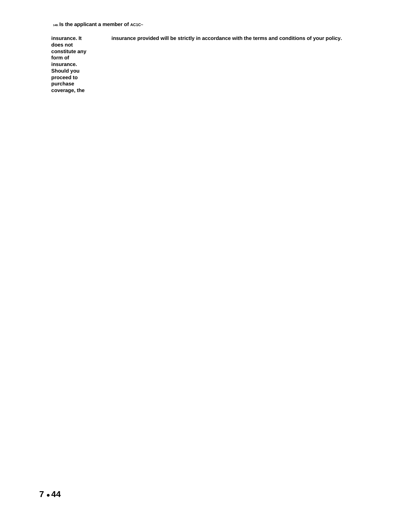**14B. Is the applicant a member of AC1C~**

**does not constitute any form of insurance. Should you proceed to purchase coverage, the**

**insurance. It insurance provided will be strictly in accordance with the terms and conditions of your policy.**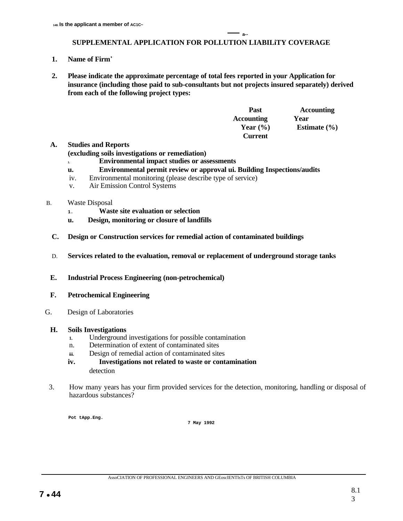#### **SUPPLEMENTAL APPLICATION FOR POLLUTION LIABILiTY COVERAGE**

- **1. Name of Firm**\*
- **2. Please indicate the approximate percentage of total fees reported in your Application for insurance (including those paid to sub-consultants but not projects insured separately) derived from each of the following project types:**

| Past              | <b>Accounting</b> |
|-------------------|-------------------|
| <b>Accounting</b> | Year              |
| Year $(\% )$      | Estimate $(\% )$  |
| <b>Current</b>    |                   |

#### **A. Studies and Reports**

**(excluding soils investigations or remediation)**

- **1. Environmental impact studies or assessments**
- **u. Environmental permit review or approval ui. Building Inspections/audits**
- iv. Environmental monitoring (please describe type of service)
- v. Air Emission Control Systems

#### B. Waste Disposal

- **1. Waste site evaluation or selection**
- **u. Design, monitoring or closure of landfills**
- **C. Design or Construction services for remedial action of contaminated buildings**
- D. **Services related to the evaluation, removal or replacement of underground storage tanks**
- **E. Industrial Process Engineering (non-petrochemical)**
- **F. Petrochemical Engineering**
- G. Design of Laboratories

#### **H. Soils Investigations**

- **1.** Underground investigations for possible contamination
- n. Determination of extent of contaminated sites
- **iii.** Design of remedial action of contaminated sites
- **iv. Investigations not related to waste or contamination** detection
- 3. How many years has your firm provided services for the detection, monitoring, handling or disposal of hazardous substances?

**Pot tApp.Eng.**

**7 May 1992**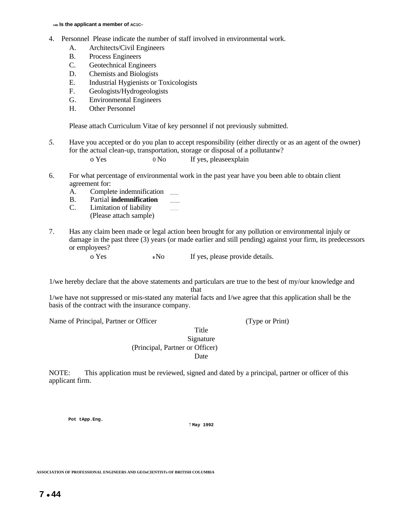- 4. Personnel Please indicate the number of staff involved in environmental work.
	- A. Architects/Civil Engineers
	- B. Process Engineers
	- C. Geotechnical Engineers
	- D. Chemists and Biologists
	- E. Industrial Hygienists or Toxicologists
	- F. Geologists/Hydrogeologists
	- G. Environmental Engineers
	- H. Other Personnel

Please attach Curriculum Vitae of key personnel if not previously submitted.

*5.* Have you accepted or do you plan to accept responsibility (either directly or as an agent of the owner) for the actual clean-up, transportation, storage or disposal of a pollutantw?

o Yes 0 No If yes, pleaseexplain

- 6. For what percentage of environmental work in the past year have you been able to obtain client agreement for:
	- A. Complete indemnification
	- B. Partial **indemnification**
	- C. Limitation of liability **\_\_\_\_\_\_** (Please attach sample)
- 7. Has any claim been made or legal action been brought for any pollution or environmental injuly or damage in the past three (3) years (or made earlier and still pending) against your firm, its predecessors or employees?
	- o Yes **<sup>0</sup>**No If yes, please provide details.

1/we hereby declare that the above statements and particulars are true to the best of my/our knowledge and that

1/we have not suppressed or mis-stated any material facts and I/we agree that this application shall be the basis of the contract with the insurance company.

Name of Principal, Partner or Officer (Type or Print)

Title Signature (Principal, Partner or Officer) Date

NOTE: This application must be reviewed, signed and dated by a principal, partner or officer of this applicant firm.

**Pot tApp.Eng.**

7 **May 1992**

**ASSOCIATION OF PROFESSIONAL ENGINEERS AND GEOsCIENTISTs OF BRITISH COLUMBIA**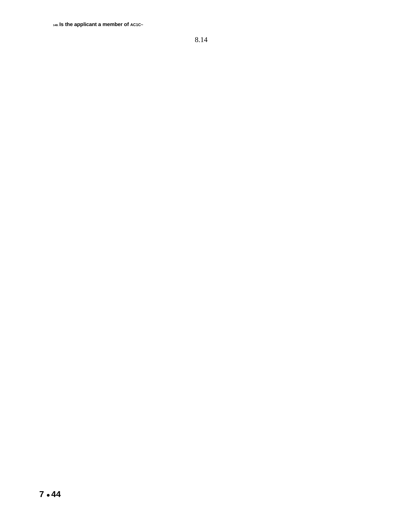**14B. Is the applicant a member of AC1C~**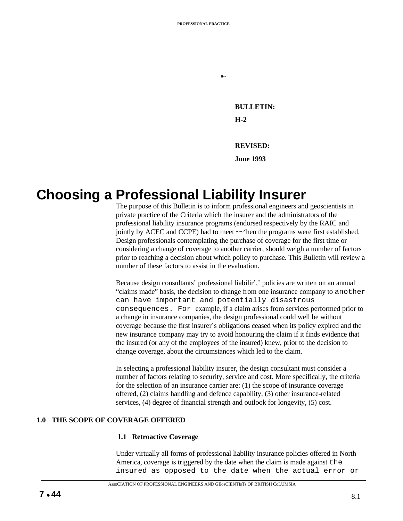**a--**

**BULLETIN: H-2**

#### **REVISED:**

**June 1993**

## **Choosing a Professional Liability Insurer**

The purpose of this Bulletin is to inform professional engineers and geoscientists in private practice of the Criteria which the insurer and the administrators of the professional liability insurance programs (endorsed respectively by the RAIC and jointly by ACEC and CCPE) had to meet ~~'hen the programs were first established. Design professionals contemplating the purchase of coverage for the first time or considering a change of coverage to another carrier, should weigh a number of factors prior to reaching a decision about which policy to purchase. This Bulletin will review a number of these factors to assist in the evaluation.

Because design consultants' professional liabilir',' policies are written on an annual "claims made" basis, the decision to change from one insurance company to another can have important and potentially disastrous consequences. For example, if a claim arises from services performed prior to a change in insurance companies, the design professional could well be without coverage because the first insurer's obligations ceased when its policy expired and the new insurance company may try to avoid honouring the claim if it finds evidence that the insured (or any of the employees of the insured) knew, prior to the decision to change coverage, about the circumstances which led to the claim.

In selecting a professional liability insurer, the design consultant must consider a number of factors relating to security, service and cost. More specifically, the criteria for the selection of an insurance carrier are: (1) the scope of insurance coverage offered, (2) claims handling and defence capability, (3) other insurance-related services, (4) degree of financial strength and outlook for longevity, (5) cost.

#### **1.0 THE SCOPE OF COVERAGE OFFERED**

#### **1.1 Retroactive Coverage**

Under virtually all forms of professional liability insurance policies offered in North America, coverage is triggered by the date when the claim is made against the insured as opposed to the date when the actual error or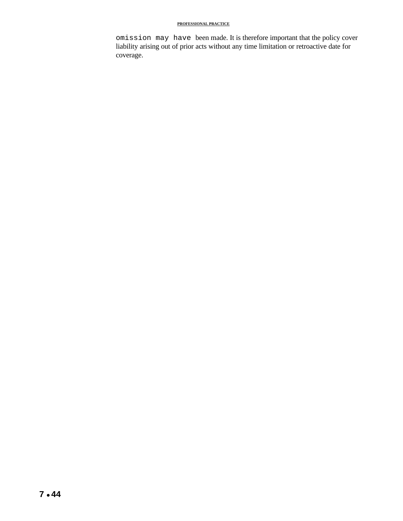#### **PROFESSIONAL PRACTICE**

omission may have been made. It is therefore important that the policy cover liability arising out of prior acts without any time limitation or retroactive date for coverage.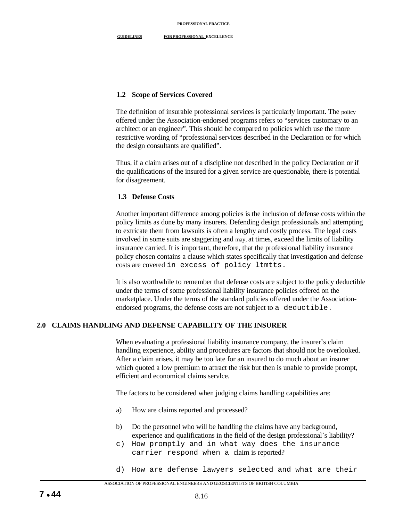#### **1.2 Scope of Services Covered**

The definition of insurable professional services is particularly important. The policy offered under the Association-endorsed programs refers to "services customary to an architect or an engineer". This should be compared to policies which use the more restrictive wording of "professional services described in the Declaration or for which the design consultants are qualified".

Thus, if a claim arises out of a discipline not described in the policy Declaration or if the qualifications of the insured for a given service are questionable, there is potential for disagreement.

#### **1.3 Defense Costs**

Another important difference among policies is the inclusion of defense costs within the policy limits as done by many insurers. Defending design professionals and attempting to extricate them from lawsuits is often a lengthy and costly process. The legal costs involved in some suits are staggering and may, at times, exceed the limits of liability insurance carried. It is important, therefore, that the professional liability insurance policy chosen contains a clause which states specifically that investigation and defense costs are covered in excess of policy ltmtts.

It is also worthwhile to remember that defense costs are subject to the policy deductible under the terms of some professional liability insurance policies offered on the marketplace. Under the terms of the standard policies offered under the Associationendorsed programs, the defense costs are not subject to a deductible.

#### **2.0 CLAIMS HANDLING AND DEFENSE CAPABILITY OF THE INSURER**

When evaluating a professional liability insurance company, the insurer's claim handling experience, ability and procedures are factors that should not be overlooked. After a claim arises, it may be too late for an insured to do much about an insurer which quoted a low premium to attract the risk but then is unable to provide prompt, efficient and economical claims servlce.

The factors to be considered when judging claims handling capabilities are:

- a) How are claims reported and processed?
- b) Do the personnel who will be handling the claims have any background, experience and qualifications in the field of the design professional's liability?
- c) How promptly and in what way does the insurance carrier respond when a claim is reported?
- d) How are defense lawyers selected and what are their

ASSOCIATION OF PROFESSIONAL ENGINEERS AND GEOSCIENTIsTS OF BRITISH COLUMBIA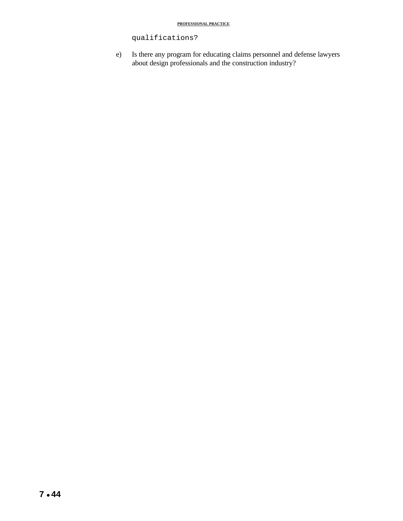#### **PROFESSIONAL PRACTICE**

qualifications?

e) Is there any program for educating claims personnel and defense lawyers about design professionals and the construction industry?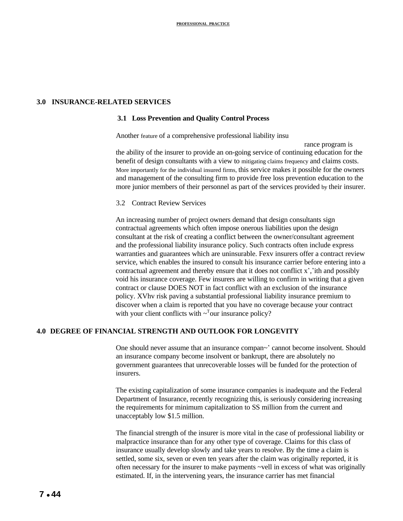#### **3.0 INSURANCE-RELATED SERVICES**

#### **3.1 Loss Prevention and Quality Control Process**

Another feature of a comprehensive professional liability insu

rance program is the ability of the insurer to provide an on-going service of continuing education for the benefit of design consultants with a view to mitigating claims frequency and claims costs. More importantly for the individual insured firms, this service makes it possible for the owners and management of the consulting firm to provide free loss prevention education to the more junior members of their personnel as part of the services provided by their insurer.

#### 3.2 Contract Review Services

An increasing number of project owners demand that design consultants sign contractual agreements which often impose onerous liabilities upon the design consultant at the risk of creating a conflict between the owner/consultant agreement and the professional liability insurance policy. Such contracts often include express warranties and guarantees which are uninsurable. Fexv insurers offer a contract review service, which enables the insured to consult his insurance carrier before entering into a contractual agreement and thereby ensure that it does not conflict  $x^*$ , ith and possibly void his insurance coverage. Few insurers are willing to confirm in writing that a given contract or clause DOES NOT in fact conflict with an exclusion of the insurance policy. XVhv risk paving a substantial professional liability insurance premium to discover when a claim is reported that you have no coverage because your contract with your client conflicts with  $\sim$ <sup>T</sup>our insurance policy?

#### **4.0 DEGREE OF FINANCIAL STRENGTH AND OUTLOOK FOR LONGEVITY**

One should never assume that an insurance compan~\* cannot become insolvent. Should an insurance company become insolvent or bankrupt, there are absolutely no government guarantees that unrecoverable losses will be funded for the protection of insurers.

The existing capitalization of some insurance companies is inadequate and the Federal Department of Insurance, recently recognizing this, is seriously considering increasing the requirements for minimum capitalization to SS million from the current and unacceptably low \$1.5 million.

The financial strength of the insurer is more vital in the case of professional liability or malpractice insurance than for any other type of coverage. Claims for this class of insurance usually develop slowly and take years to resolve. By the time a claim is settled, some six, seven or even ten years after the claim was originally reported, it is often necessary for the insurer to make payments ~vell in excess of what was originally estimated. If, in the intervening years, the insurance carrier has met financial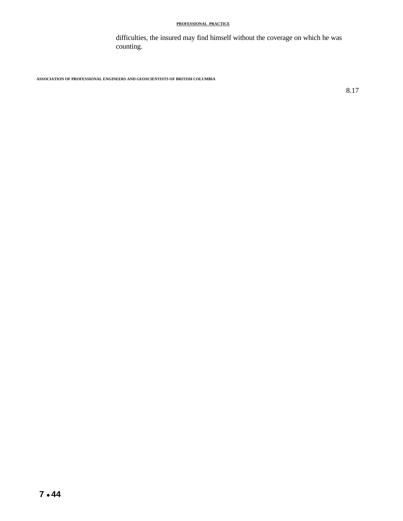#### **PROFESSIONAL PRACTICE**

difficulties, the insured may find himself without the coverage on which he was counting.

**ASSOCIATION OF PROFESSIONAL ENGINEERS AND GEOSCIENTISTS OF BRITISH COLUMBIA**

8.17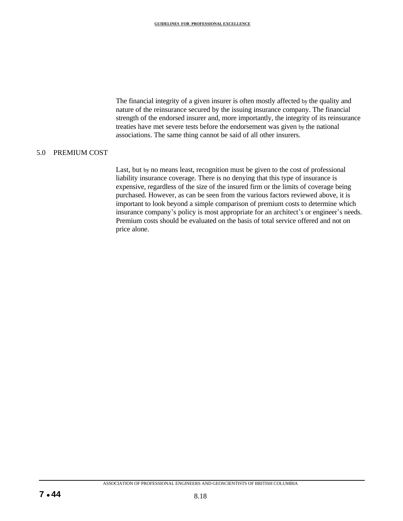The financial integrity of a given insurer is often mostly affected by the quality and nature of the reinsurance secured by the issuing insurance company. The financial strength of the endorsed insurer and, more importantly, the integrity of its reinsurance treaties have met severe tests before the endorsement was given by the national associations. The same thing cannot be said of all other insurers.

#### 5.0 PREMIUM COST

Last, but by no means least, recognition must be given to the cost of professional liability insurance coverage. There is no denying that this type of insurance is expensive, regardless of the size of the insured firm or the limits of coverage being purchased. However, as can be seen from the various factors reviewed above, it is important to look beyond a simple comparison of premium costs to determine which insurance company's policy is most appropriate for an architect's or engineer's needs. Premium costs should be evaluated on the basis of total service offered and not on price alone.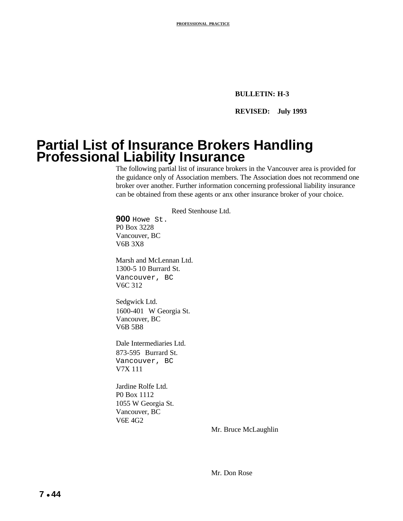#### **BULLETIN: H-3**

**REVISED: July 1993**

# **Partial List of Insurance Brokers Handling Professional Liability Insurance**

The following partial list of insurance brokers in the Vancouver area is provided for the guidance only of Association members. The Association does not recommend one broker over another. Further information concerning professional liability insurance can be obtained from these agents or anx other insurance broker of your choice.

Reed Stenhouse Ltd.

**900** Howe St. P0 Box 3228 Vancouver, BC V6B 3X8

Marsh and McLennan Ltd. 1300-5 10 Burrard St. Vancouver, BC V6C 312

Sedgwick Ltd. 1600-401 W Georgia St. Vancouver, BC V6B 5B8

Dale Intermediaries Ltd. 873-595 Burrard St. Vancouver, BC V7X 111

Jardine Rolfe Ltd. P0 Box 1112 1055 W Georgia St. Vancouver, BC V6E 4G2

Mr. Bruce McLaughlin

Mr. Don Rose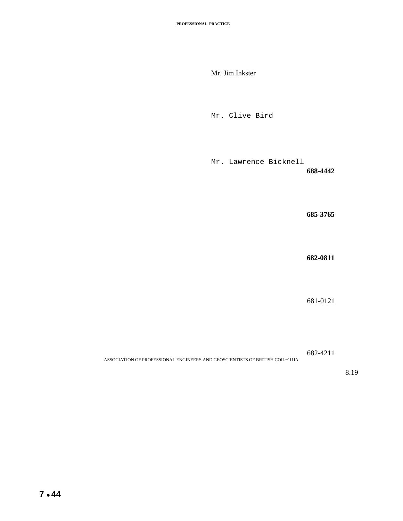Mr. Jim Inkster

Mr. Clive Bird

Mr. Lawrence Bicknell **688-4442**

**685-3765**

**682-0811**

681-0121

682-4211 ASSOCIATION OF PROFESSIONAL ENGINEERS AND GEOSCIENTISTS OF BRITISH COIL~1I1IA

8.19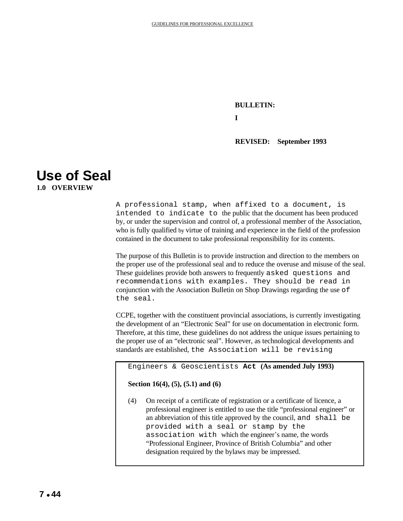**BULLETIN:**

**I**

#### **REVISED: September 1993**

**Use of Seal**

**1.0 OVERVIEW**

A professional stamp, when affixed to a document, is intended to indicate to the public that the document has been produced by, or under the supervision and control of, a professional member of the Association, who is fully qualified by virtue of training and experience in the field of the profession contained in the document to take professional responsibility for its contents.

The purpose of this Bulletin is to provide instruction and direction to the members on the proper use of the professional seal and to reduce the overuse and misuse of the seal. These guidelines provide both answers to frequently asked questions and recommendations with examples. They should be read in conjunction with the Association Bulletin on Shop Drawings regarding the use of the seal.

CCPE, together with the constituent provincial associations, is currently investigating the development of an "Electronic Seal" for use on documentation in electronic form. Therefore, at this time, these guidelines do not address the unique issues pertaining to the proper use of an "electronic seal". However, as technological developments and standards are established, the Association will be revising

#### Engineers & Geoscientists **Act (As amended July 1993)**

**Section 16(4), (5), (5.1) and (6)**

(4) On receipt of a certificate of registration or a certificate of licence, a professional engineer is entitled to use the title "professional engineer" or an abbreviation of this title approved by the council, and shall be provided with a seal or stamp by the association with which the engineer's name, the words "Professional Engineer, Province of British Columbia" and other designation required by the bylaws may be impressed.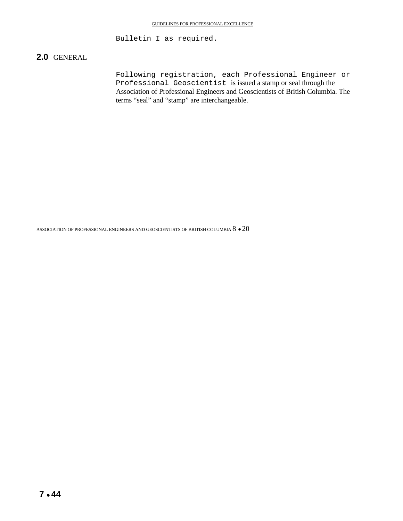#### GUIDELINES FOR PROFESSIONAL EXCELLENCE

Bulletin I as required.

# **2.0** GENERAL

Following registration, each Professional Engineer or Professional Geoscientist is issued a stamp or seal through the Association of Professional Engineers and Geoscientists of British Columbia. The terms "seal" and "stamp" are interchangeable.

ASSOCIATION OF PROFESSIONAL ENGINEERS AND GEOSCIENTISTS OF BRITISH COLUMBIA  $8 \cdot 20$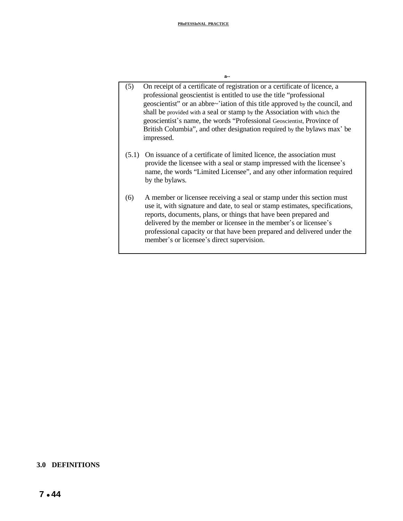(5) On receipt of a certificate of registration or a certificate of licence, a professional geoscientist is entitled to use the title "professional geoscientist" or an abbre~\*iation of this title approved by the council, and shall be provided with a seal or stamp by the Association with which the geoscientist's name, the words "Professional Geoscientist, Province of British Columbia", and other designation required by the bylaws max' be impressed. (5.1) On issuance of a certificate of limited licence, the association must

**a--**

- provide the licensee with a seal or stamp impressed with the licensee's name, the words "Limited Licensee", and any other information required by the bylaws.
- (6) A member or licensee receiving a seal or stamp under this section must use it, with signature and date, to seal or stamp estimates, specifications, reports, documents, plans, or things that have been prepared and delivered by the member or licensee in the member's or licensee's professional capacity or that have been prepared and delivered under the member's or licensee's direct supervision.

#### **3.0 DEFINITIONS**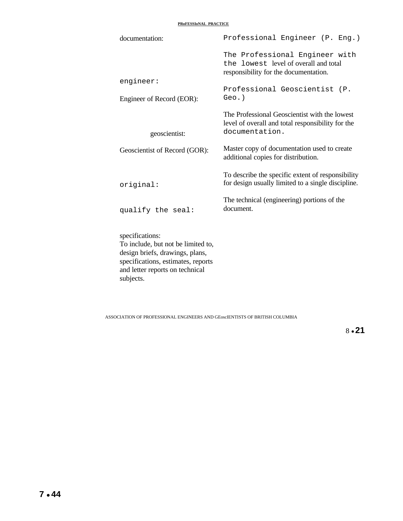#### **PRoFESSIoNAL PRACTICE**

| documentation:                                                                                                                                                                 | Professional Engineer (P. Eng.)                                                                                      |
|--------------------------------------------------------------------------------------------------------------------------------------------------------------------------------|----------------------------------------------------------------------------------------------------------------------|
|                                                                                                                                                                                | The Professional Engineer with<br>the lowest level of overall and total<br>responsibility for the documentation.     |
| engineer:                                                                                                                                                                      |                                                                                                                      |
| Engineer of Record (EOR):                                                                                                                                                      | Professional Geoscientist (P.<br>Geo.)                                                                               |
| geoscientist:                                                                                                                                                                  | The Professional Geoscientist with the lowest<br>level of overall and total responsibility for the<br>documentation. |
| Geoscientist of Record (GOR):                                                                                                                                                  | Master copy of documentation used to create<br>additional copies for distribution.                                   |
| original:                                                                                                                                                                      | To describe the specific extent of responsibility<br>for design usually limited to a single discipline.              |
| qualify the seal:                                                                                                                                                              | The technical (engineering) portions of the<br>document.                                                             |
| specifications:<br>To include, but not be limited to,<br>design briefs, drawings, plans,<br>specifications, estimates, reports<br>and letter reports on technical<br>subjects. |                                                                                                                      |

ASSOCIATION OF PROFESSIONAL ENGINEERS AND GEoscIENTISTS OF BRITISH COLUMBIA

8 ! **21**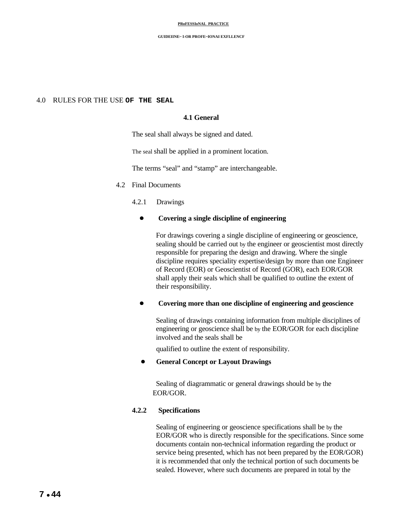#### 4.0 RULES FOR THE USE **OF THE SEAL**

# **4.1 General**

The seal shall always be signed and dated.

The seal shall be applied in a prominent location.

The terms "seal" and "stamp" are interchangeable.

#### 4.2 Final Documents

#### 4.2.1 Drawings

#### ! **Covering a single discipline of engineering**

For drawings covering a single discipline of engineering or geoscience, sealing should be carried out by the engineer or geoscientist most directly responsible for preparing the design and drawing. Where the single discipline requires speciality expertise/design by more than one Engineer of Record (EOR) or Geoscientist of Record (GOR), each EOR/GOR shall apply their seals which shall be qualified to outline the extent of their responsibility.

# ! **Covering more than one discipline of engineering and geoscience**

Sealing of drawings containing information from multiple disciplines of engineering or geoscience shall be by the EOR/GOR for each discipline involved and the seals shall be

qualified to outline the extent of responsibility.

# ! **General Concept or Layout Drawings**

Sealing of diagrammatic or general drawings should be by the EOR/GOR.

# **4.2.2 Specifications**

Sealing of engineering or geoscience specifications shall be by the EOR/GOR who is directly responsible for the specifications. Since some documents contain non-technical information regarding the product or service being presented, which has not been prepared by the EOR/GOR) it is recommended that only the technical portion of such documents be sealed. However, where such documents are prepared in total by the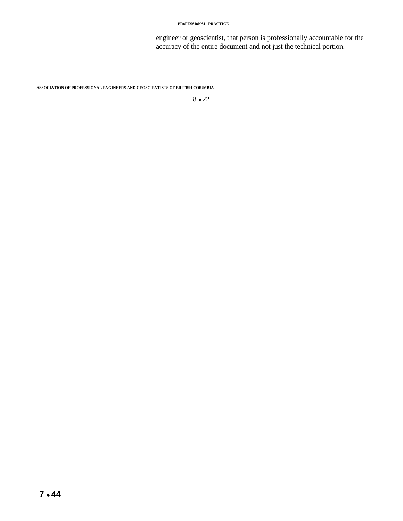#### **PRoFESSIoNAL PRACTICE**

engineer or geoscientist, that person is professionally accountable for the accuracy of the entire document and not just the technical portion.

**ASSOCIATION OF PROFESSIONAL ENGINEERS AND GEOSCIENTISTS OF BRITISH COlUMBIA**

 $8 \cdot 22$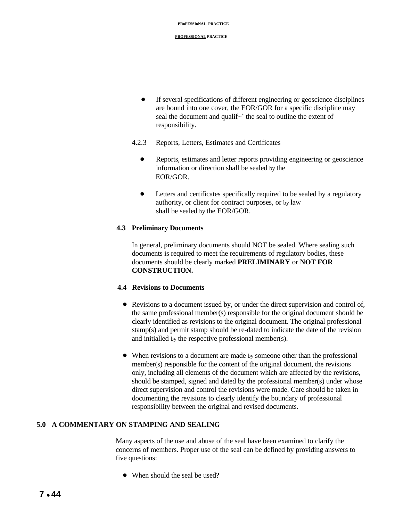- ! If several specifications of different engineering or geoscience disciplines are bound into one cover, the EOR/GOR for a specific discipline may seal the document and qualif~' the seal to outline the extent of responsibility.
- 4.2.3 Reports, Letters, Estimates and Certificates
	- ! Reports, estimates and letter reports providing engineering or geoscience information or direction shall be sealed by the EOR/GOR.
	- Letters and certificates specifically required to be sealed by a regulatory authority, or client for contract purposes, or by law shall be sealed by the EOR/GOR.

# **4.3 Preliminary Documents**

In general, preliminary documents should NOT be sealed. Where sealing such documents is required to meet the requirements of regulatory bodies, these documents should be clearly marked **PRELIMINARY** or **NOT FOR CONSTRUCTION.**

#### **4.4 Revisions to Documents**

- ! Revisions to a document issued by, or under the direct supervision and control of, the same professional member(s) responsible for the original document should be clearly identified as revisions to the original document. The original professional stamp(s) and permit stamp should be re-dated to indicate the date of the revision and initialled by the respective professional member(s).
- ! When revisions to a document are made by someone other than the professional member(s) responsible for the content of the original document, the revisions only, including all elements of the document which are affected by the revisions, should be stamped, signed and dated by the professional member(s) under whose direct supervision and control the revisions were made. Care should be taken in documenting the revisions to clearly identify the boundary of professional responsibility between the original and revised documents.

# **5.0 A COMMENTARY ON STAMPING AND SEALING**

Many aspects of the use and abuse of the seal have been examined to clarify the concerns of members. Proper use of the seal can be defined by providing answers to five questions:

• When should the seal be used?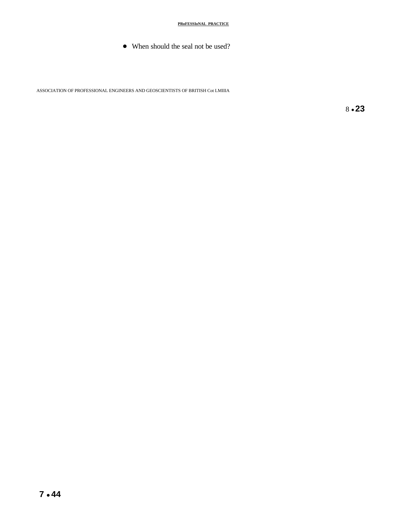• When should the seal not be used?

ASSOCIATION OF PROFESSIONAL ENGINEERS AND GEOSCIENTISTS OF BRITISH Cot LMIIIA

8 ! **23**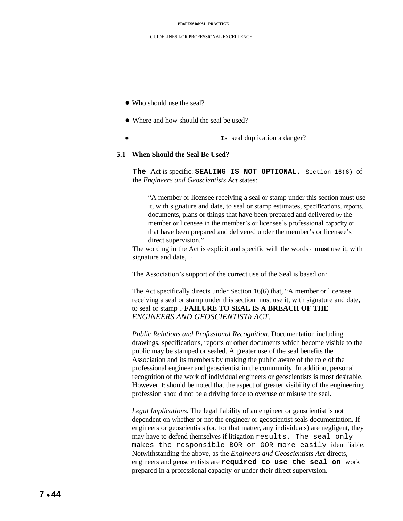- Who should use the seal?
- Where and how should the seal be used?
- Is seal duplication a danger?

#### **5.1 When Should the Seal Be Used?**

**The** Act is specific: **SEALING IS NOT OPTIONAL.** Section 16(6) of the *Enqineers and Geoscientists Act* states:

"A member or licensee receiving a seal or stamp under this section must use it, with signature and date, to seal or stamp estimates, specifications, reports, documents, plans or things that have been prepared and delivered by the member or licensee in the member's or licensee's professional capacity or that have been prepared and delivered under the member's or licensee's direct supervision."

The wording in the Act is explicit and specific with the words "... **must** use it, with signature and date,  $\therefore$ 

The Association's support of the correct use of the Seal is based on:

The Act specifically directs under Section 16(6) that, "A member or licensee receiving a seal or stamp under this section must use it, with signature and date, to seal or stamp ...". **FAILURE TO SEAL IS A BREACH OF THE** *ENGINEERS AND GEOSCIENTISTh ACT.*

*Pnblic Relations and Proftssional Recognition.* Documentation including drawings, specifications, reports or other documents which become visible to the public may be stamped or sealed. A greater use of the seal benefits the Association and its members by making the public aware of the role of the professional engineer and geoscientist in the community. In addition, personal recognition of the work of individual engineers or geoscientists is most desirable. However, it should be noted that the aspect of greater visibility of the engineering profession should not be a driving force to overuse or misuse the seal.

*Legal Implications.* The legal liability of an engineer or geoscientist is not dependent on whether or not the engineer or geoscientist seals documentation. If engineers or geoscientists (or, for that matter, any individuals) are negligent, they may have to defend themselves if litigation results. The seal only makes the responsible BOR or GOR more easily identifiable. Notwithstanding the above, as the *Engineers and Geoscientists Act* directs, engineers and geoscientists are **required to use the seal on** work prepared in a professional capacity or under their direct supervtslon.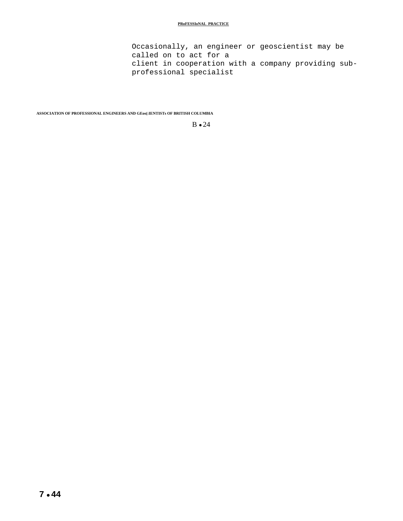Occasionally, an engineer or geoscientist may be called on to act for a client in cooperation with a company providing subprofessional specialist

**ASSOCIATION OF PROFESSIONAL ENGINEERS AND GEos(:IENTISTs OF BRITISH COLUMBIA**

 $B \cdot 24$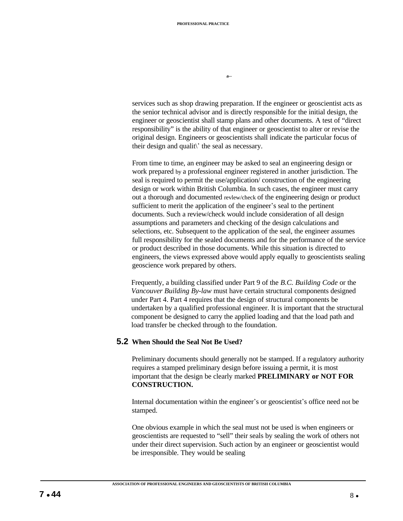services such as shop drawing preparation. If the engineer or geoscientist acts as the senior technical advisor and is directly responsible for the initial design, the engineer or geoscientist shall stamp plans and other documents. A test of "direct responsibility" is the ability of that engineer or geoscientist to alter or revise the original design. Engineers or geoscientists shall indicate the particular focus of their design and qualit\\* the seal as necessary.

**a--**

From time to time, an engineer may be asked to seal an engineering design or work prepared by a professional engineer registered in another jurisdiction. The seal is required to permit the use/application/ construction of the engineering design or work within British Columbia. In such cases, the engineer must carry out a thorough and documented revlew/check of the engineering design or product sufficient to merit the application of the engineer's seal to the pertinent documents. Such a review/check would include consideration of all design assumptions and parameters and checking of the design calculations and selections, etc. Subsequent to the application of the seal, the engineer assumes full responsibility for the sealed documents and for the performance of the service or product described in those documents. While this situation is directed to engineers, the views expressed above would apply equally to geoscientists sealing geoscience work prepared by others.

Frequently, a building classified under Part 9 of the *B.C. Building Code* or the *Vancouver Building By-law* must have certain structural components designed under Part 4. Part 4 requires that the design of structural components be undertaken by a qualified professional engineer. It is important that the structural component be designed to carry the applied loading and that the load path and load transfer be checked through to the foundation.

# **5.2 When Should the Seal Not Be Used?**

Preliminary documents should generally not be stamped. If a regulatory authority requires a stamped preliminary design before issuing a permit, it is most important that the design be clearly marked **PRELIMINARY or NOT FOR CONSTRUCTION.**

Internal documentation within the engineer's or geoscientist's office need not be stamped.

One obvious example in which the seal must not be used is when engineers or geoscientists are requested to "sell" their seals by sealing the work of others not under their direct supervision. Such action by an engineer or geoscientist would be irresponsible. They would be sealing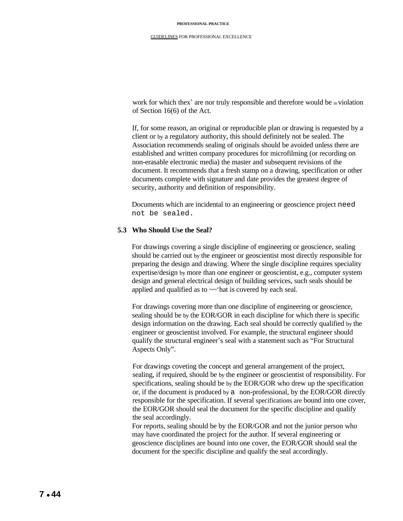work for which thex' are nor truly responsible and therefore would be in violation of Section 16(6) of the Act.

If, for some reason, an original or reproducible plan or drawing is requested by a client or by a regulatory authority, this should definitely not be sealed. The Association recommends sealing of originals should be avoided unless there are established and written company procedures for microfilming (or recording on non-erasable electronic media) the master and subsequent revisions of the document. It recommends that a fresh stamp on a drawing, specification or other documents complete with signature and date provides the greatest degree of security, authority and definition of responsibility.

Documents which are incidental to an engineering or geoscience project need not be sealed.

#### **5.3 Who Should Use the Seal?**

For drawings covering a single discipline of engineering or geoscience, sealing should be carried out by the engineer or geoscientist most directly responsible for preparing the design and drawing. Where the single discipline requires speciality expertise/design by more than one engineer or geoscientist, e.g., computer system design and general electrical design of building services, such seals should be applied and qualified as to ~~'hat is covered by each seal.

For drawings covering more than one discipline of engineering or geoscience, sealing should be by the EOR/GOR in each discipline for which there is specific design information on the drawing. Each seal should be correctly qualified by the engineer or geoscientist involved. For example, the structural engineer should qualify the structural engineer's seal with a statement such as "For Structural" Aspects Only".

For drawings coveting the concept and general arrangement of the project, sealing, if required, should be by the engineer or geoscientist of responsibility. For specifications, sealing should be by the EOR/GOR who drew up the specification or, if the document is produced by a non-professional, by the EOR/GOR directly responsible for the specification. If several specifications are bound into one cover, the EOR/GOR should seal the document for the specific discipline and qualify the seal accordingly.

For reports, sealing should be by the EOR/GOR and not the junior person who may have coordinated the project for the author. If several engineering or geoscience disciplines are bound into one cover, the EOR/GOR should seal the document for the specific discipline and qualify the seal accordingly.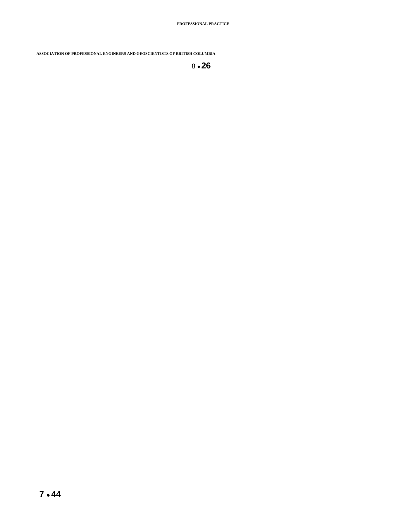**ASSOCIATION OF PROFESSIONAL ENGINEERS AND GEOSCIENTISTS OF BRITISH COLUMBIA**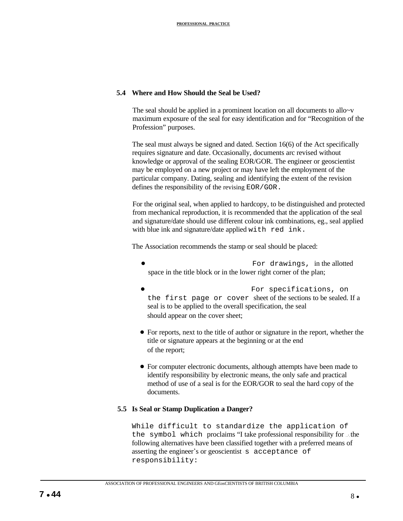# **5.4 Where and How Should the Seal be Used?**

The seal should be applied in a prominent location on all documents to allo~v maximum exposure of the seal for easy identification and for "Recognition of the Profession" purposes.

The seal must always be signed and dated. Section 16(6) of the Act specifically requires signature and date. Occasionally, documents arc revised without knowledge or approval of the sealing EOR/GOR. The engineer or geoscientist may be employed on a new project or may have left the employment of the particular company. Dating, sealing and identifying the extent of the revision defines the responsibility of the revising EOR/GOR.

For the original seal, when applied to hardcopy, to be distinguished and protected from mechanical reproduction, it is recommended that the application of the seal and signature/date should use different colour ink combinations, eg., seal applied with blue ink and signature/date applied with red ink.

The Association recommends the stamp or seal should be placed:

- For drawings, in the allotted space in the title block or in the lower right corner of the plan;
- For specifications, on the first page or cover sheet of the sections to be sealed. If a seal is to be applied to the overall specification, the seal should appear on the cover sheet;
- ! For reports, next to the title of author or signature in the report, whether the title or signature appears at the beginning or at the end of the report;
- ! For computer electronic documents, although attempts have been made to identify responsibility by electronic means, the only safe and practical method of use of a seal is for the EOR/GOR to seal the hard copy of the documents.

# **5.5 Is Seal or Stamp Duplication a Danger?**

While difficult to standardize the application of the symbol which proclaims "I take professional responsibility for  $\mathbb{R}$ , the following alternatives have been classified together with a preferred means of asserting the engineer's or geoscientist is acceptance of responsibility: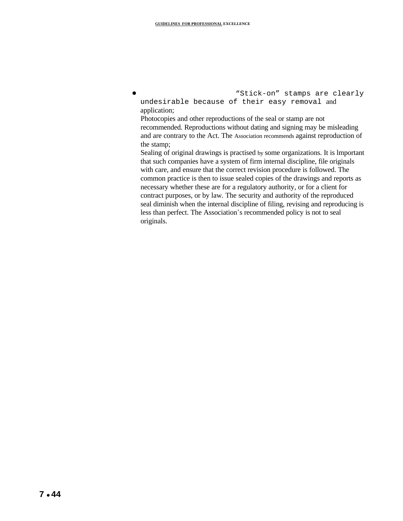"Stick-on" stamps are clearly undesirable because of their easy removal and application;

Photocopies and other reproductions of the seal or stamp are not recommended. Reproductions without dating and signing may be misleading and are contrary to the Act. The Association recommends against reproduction of the stamp;

Sealing of original drawings is practised by some organizations. It is lmportant that such companies have a system of firm internal discipline, file originals with care, and ensure that the correct revision procedure is followed. The common practice is then to issue sealed copies of the drawings and reports as necessary whether these are for a regulatory authority, or for a client for contract purposes, or by law. The security and authority of the reproduced seal diminish when the internal discipline of filing, revising and reproducing is less than perfect. The Association's recommended policy is not to seal originals.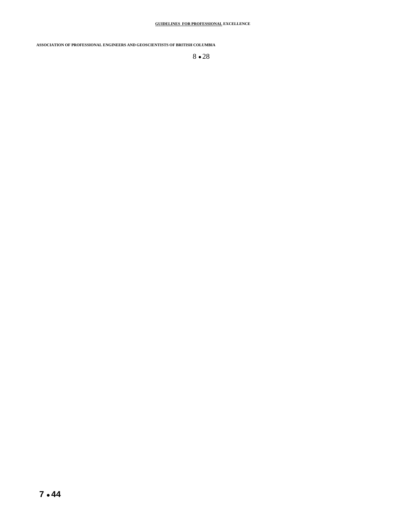**ASSOCIATION OF PROFESSIONAL ENGINEERS AND GEOSCIENTISTS OF BRITISH COLUMBIA**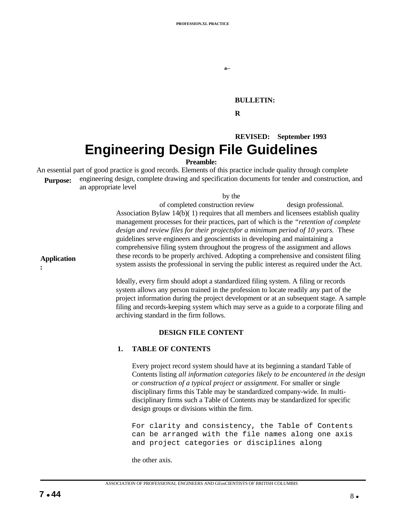**BULLETIN:**

**R**

**a--**

# **REVISED: September 1993 Engineering Design File Guidelines**

#### **Preamble:**

An essential part of good practice is good records. Elements of this practice include quality through complete

**Purpose:** engineering design, complete drawing and specification documents for tender and construction, and an appropriate level

by the

of completed construction review design professional. Association Bylaw 14(b)( 1) requires that all members and licensees establish quality management processes for their practices, part of which is the *"retention of complete design and review files for their projectsfor a minimum period of 10 years.* " These guidelines serve engineers and geoscientists in developing and maintaining a comprehensive filing system throughout the progress of the assignment and allows these records to be properly archived. Adopting a comprehensive and consistent filing system assists the professional in serving the public interest as required under the Act.

Ideally, every firm should adopt a standardized filing system. A filing or records system allows any person trained in the profession to locate readily any part of the project information during the project development or at an subsequent stage. A sample filing and records-keeping system which may serve as a guide to a corporate filing and archiving standard in the firm follows.

# **DESIGN FILE CONTENT**

# **1. TABLE OF CONTENTS**

Every project record system should have at its beginning a standard Table of Contents listing *all information categories likely to be encountered in the design or construction of a typical project or assignment.* For smaller or single disciplinary firms this Table may be standardized company-wide. In multidisciplinary firms such a Table of Contents may be standardized for specific design groups or divisions within the firm.

For clarity and consistency, the Table of Contents can be arranged with the file names along one axis and project categories or disciplines along

the other axis.

ASSOCIATION OF PROFESSIONAL ENGINEERS AND GEosCIENTISTS OF BRITISH COLUMBIS

**Application**

**:**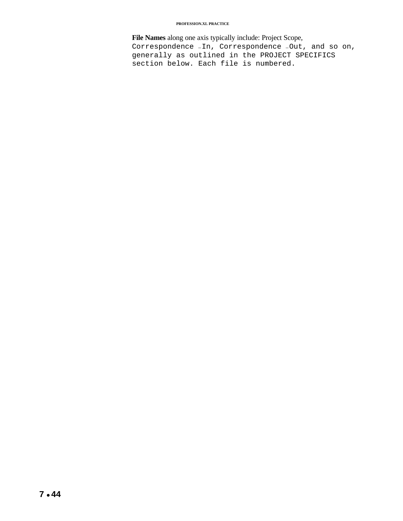#### **PROFESSION.XL PRACTICE**

**File Names** along one axis typically include: Project Scope, Correspondence - In, Correspondence - Out, and so on, generally as outlined in the PROJECT SPECIFICS section below. Each file is numbered.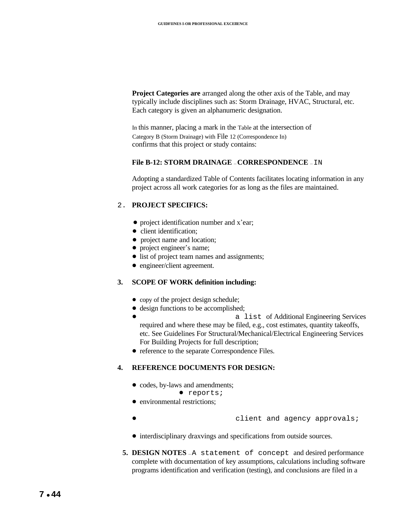**Project Categories are** arranged along the other axis of the Table, and may typically include disciplines such as: Storm Drainage, HVAC, Structural, etc. Each category is given an alphanumeric designation.

In this manner, placing a mark in the Table at the intersection of Category B (Storm Drainage) with File 12 (Correspondence In) confirms that this project or study contains:

#### **File B-12: STORM DRAINAGE** — **CORRESPONDENCE** — IN

Adopting a standardized Table of Contents facilitates locating information in any project across all work categories for as long as the files are maintained.

# 2. **PROJECT SPECIFICS:**

- project identification number and x'ear;
- client identification;
- project name and location;
- project engineer's name;
- list of project team names and assignments;
- engineer/client agreement.

# **3. SCOPE OF WORK definition including:**

- copy of the project design schedule;
- $\bullet$  design functions to be accomplished;
- a list of Additional Engineering Services required and where these may be filed, e.g., cost estimates, quantity takeoffs, etc. See Guidelines For Structural/Mechanical/Electrical Engineering Services For Building Projects for full description;
- reference to the separate Correspondence Files.

# **4. REFERENCE DOCUMENTS FOR DESIGN:**

- codes, by-laws and amendments;
	- $\bullet$  reports;
- environmental restrictions:
- client and agency approvals;
- ! interdisciplinary draxvings and specifications from outside sources.
- **5. DESIGN NOTES**  A statement of concept and desired performance complete with documentation of key assumptions, calculations including software programs identification and verification (testing), and conclusions are filed in a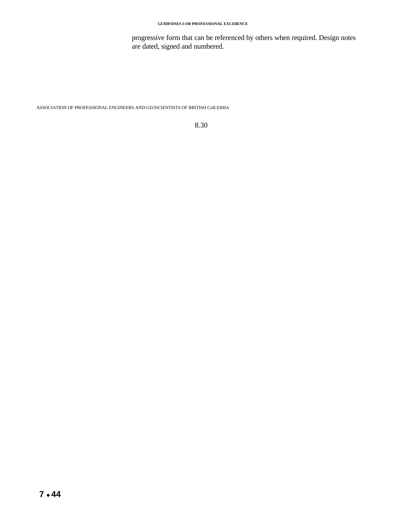**GUIDFIINES I-OR PROFESSIONAL EXCEllENCE**

progressive form that can be referenced by others when required. Design notes are dated, signed and numbered.

ASSOCIATION OF PROFESSIONAL ENGINEERS AND GEOSCIENTISTS OF BRITISH CoILEIHIA

8.30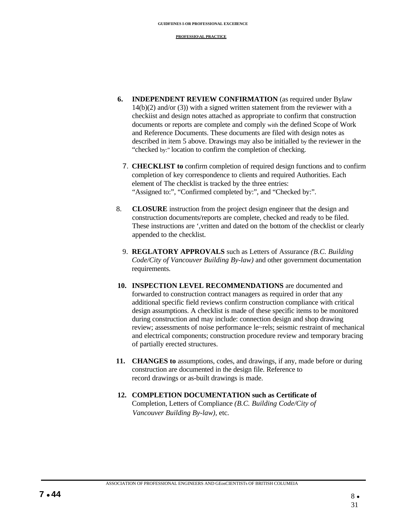#### **PROFESSIO\AL PRACTICE**

- **6. INDEPENDENT REVIEW CONFIRMATION** (as required under Bylaw 14(b)(2) and/or (3)) with a signed written statement from the reviewer with a checkiist and design notes attached as appropriate to confirm that construction documents or reports are complete and comply with the defined Scope of Work and Reference Documents. These documents are filed with design notes as described in item 5 above. Drawings may also be initialled by the reviewer in the "checked by:" location to confirm the completion of checking.
	- 7. **CHECKLIST to** confirm completion of required design functions and to confirm completion of key correspondence to clients and required Authorities. Each element of The checklist is tracked by the three entries: "Assigned to:", "Confirmed completed by:", and "Checked by:".
- 8. **CLOSURE** instruction from the project design engineer that the design and construction documents/reports are complete, checked and ready to be filed. These instructions are ',vritten and dated on the bottom of the checklist or clearly appended to the checklist.
	- 9. **REGLATORY APPROVALS** such as Letters of Assurance *(B.C. Building Code/City of Vancouver Building By-law)* and other government documentation requirements.
- **10. INSPECTION LEVEL RECOMMENDATIONS** are documented and forwarded to construction contract managers as required in order that any additional specific field reviews confirm construction compliance with critical design assumptions. A checklist is made of these specific items to be monitored during construction and may include: connection design and shop drawing review; assessments of noise performance le~rels; seismic restraint of mechanical and electrical components; construction procedure review and temporary bracing of partially erected structures.
- **11. CHANGES to** assumptions, codes, and drawings, if any, made before or during construction are documented in the design file. Reference to record drawings or as-built drawings is made.
- **12. COMPLETION DOCUMENTATION such as Certificate of** Completion, Letters of Compliance *(B.C. Building Code/City of Vancouver Building By-law),* etc.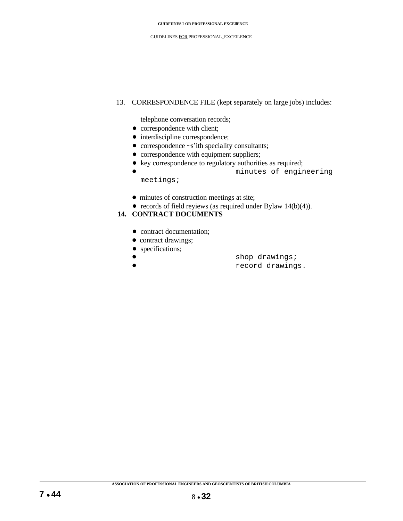#### 13. CORRESPONDENCE FILE (kept separately on large jobs) includes:

telephone conversation records;

- correspondence with client;
- $\bullet$  interdiscipline correspondence;
- $\bullet$  correspondence  $\sim$ s' ith speciality consultants;
- $\bullet$  correspondence with equipment suppliers;
- ! key correspondence to regulatory authorities as required;
- minutes of engineering

meetings;

- minutes of construction meetings at site;
- $\bullet$  records of field reyiews (as required under Bylaw 14(b)(4)).

# **14. CONTRACT DOCUMENTS**

- contract documentation;
- contract drawings;
- specifications;
- 
- shop drawings;
- record drawings.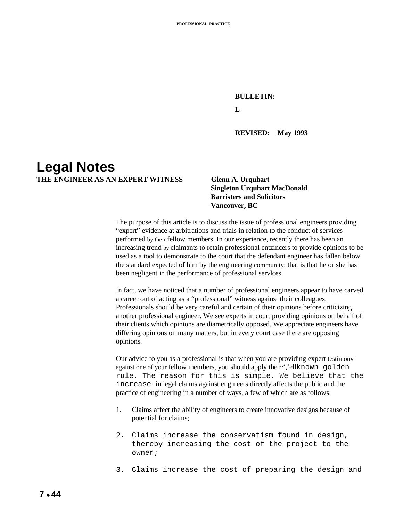**BULLETIN:**

 $\mathbf{L}$ 

**REVISED: May 1993**

# **Legal Notes THE ENGINEER AS AN EXPERT WITNESS Glenn A. Urquhart**

**Singleton Urquhart MacDonald Barristers and Solicitors Vancouver, BC**

The purpose of this article is to discuss the issue of professional engineers providing "expert" evidence at arbitrations and trials in relation to the conduct of services performed by their fellow members. In our experience, recently there has been an increasing trend by claimants to retain professional entzincers to provide opinions to be used as a tool to demonstrate to the court that the defendant engineer has fallen below the standard expected of him by the engineering community; that is that he or she has been negligent in the performance of professional servlces.

In fact, we have noticed that a number of professional engineers appear to have carved a career out of acting as a "professional" witness against their colleagues. Professionals should be very careful and certain of their opinions before criticizing another professional engineer. We see experts in court providing opinions on behalf of their clients which opinions are diametrically opposed. We appreciate engineers have differing opinions on many matters, but in every court case there are opposing opinions.

Our advice to you as a professional is that when you are providing expert testimony against one of your fellow members, you should apply the ~','ellknown golden rule. The reason for this is simple. We believe that the increase in legal claims against engineers directly affects the public and the practice of engineering in a number of ways, a few of which are as follows:

- 1. Claims affect the ability of engineers to create innovative designs because of potential for claims;
- 2. Claims increase the conservatism found in design, thereby increasing the cost of the project to the owner;
- 3. Claims increase the cost of preparing the design and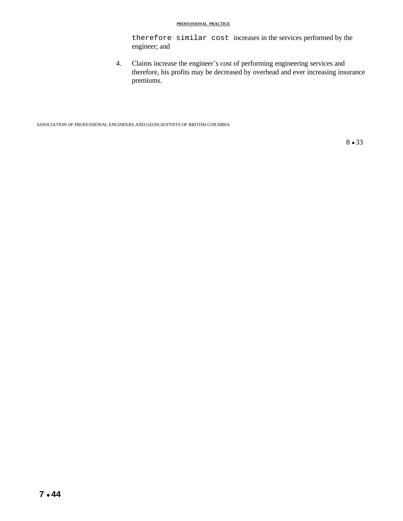#### **PROFESSIONAL PRACTICE**

therefore similar cost increases in the services performed by the engineer; and

4. Claims increase the engineer's cost of performing engineering services and therefore, his profits may be decreased by overhead and ever increasing insurance premiums.

ASSOCIATION OF PROFESSIONAL ENGINEERS AND GEOSCIENTISTS OF BRITISH COlUMBIA

 $8 \cdot 33$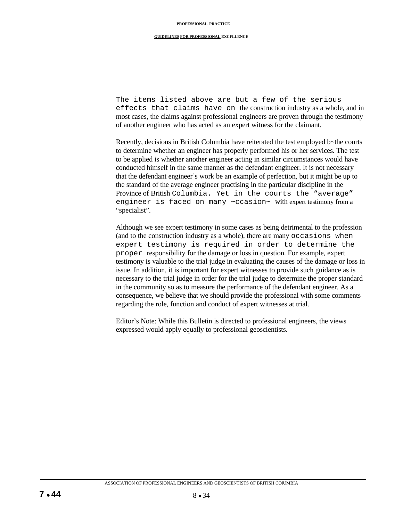#### **PROFESSIONAL PRACTICE**

#### **GUIDELINES FOR PROFESSIONAL EXCFLLENCE**

The items listed above are but a few of the serious effects that claims have on the construction industry as a whole, and in most cases, the claims against professional engineers are proven through the testimony of another engineer who has acted as an expert witness for the claimant.

Recently, decisions in British Columbia have reiterated the test employed b~the courts to determine whether an engineer has properly performed his or her services. The test to be applied is whether another engineer acting in similar circumstances would have conducted himself in the same manner as the defendant engineer. It is not necessary that the defendant engineer's work be an example of perfection, but it might be up to the standard of the average engineer practising in the particular discipline in the Province of British Columbia. Yet in the courts the "average" engineer is faced on many ~ccasion~ with expert testimony from a "specialist".

Although we see expert testimony in some cases as being detrimental to the profession (and to the construction industry as a whole), there are many occasions when expert testimony is required in order to determine the proper responsibility for the damage or loss in question. For example, expert testimony is valuable to the trial judge in evaluating the causes of the damage or loss in issue. In addition, it is important for expert witnesses to provide such guidance as is necessary to the trial judge in order for the trial judge to determine the proper standard in the community so as to measure the performance of the defendant engineer. As a consequence, we believe that we should provide the professional with some comments regarding the role, function and conduct of expert witnesses at trial.

Editor's Note: While this Bulletin is directed to professional engineers, the views expressed would apply equally to professional geoscientists.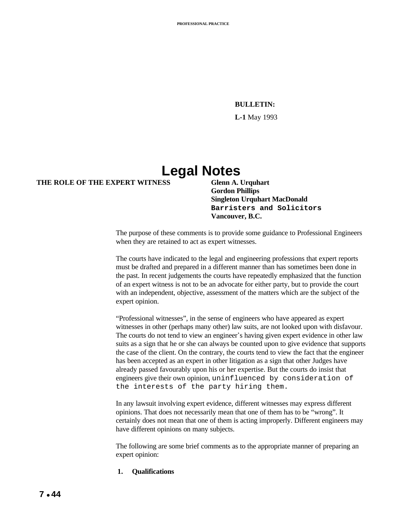**BULLETIN:**

**L-1** May 1993

# **Legal Notes**

**THE ROLE OF THE EXPERT WITNESS Glenn A. Urquhart**

# **Gordon Phillips Singleton Urquhart MacDonald Barristers and Solicitors Vancouver, B.C.**

The purpose of these comments is to provide some guidance to Professional Engineers when they are retained to act as expert witnesses.

The courts have indicated to the legal and engineering professions that expert reports must be drafted and prepared in a different manner than has sometimes been done in the past. In recent judgements the courts have repeatedly emphasized that the function of an expert witness is not to be an advocate for either party, but to provide the court with an independent, objective, assessment of the matters which are the subject of the expert opinion.

"Professional witnesses", in the sense of engineers who have appeared as expert witnesses in other (perhaps many other) law suits, are not looked upon with disfavour. The courts do not tend to view an engineer's having given expert evidence in other law suits as a sign that he or she can always be counted upon to give evidence that supports the case of the client. On the contrary, the courts tend to view the fact that the engineer has been accepted as an expert in other litigation as a sign that other Judges have already passed favourably upon his or her expertise. But the courts do insist that engineers give their own opinion, uninfluenced by consideration of the interests of the party hiring them.

In any lawsuit involving expert evidence, different witnesses may express different opinions. That does not necessarily mean that one of them has to be "wrong". It certainly does not mean that one of them is acting improperly. Different engineers may have different opinions on many subjects.

The following are some brief comments as to the appropriate manner of preparing an expert opinion:

#### **1. Qualifications**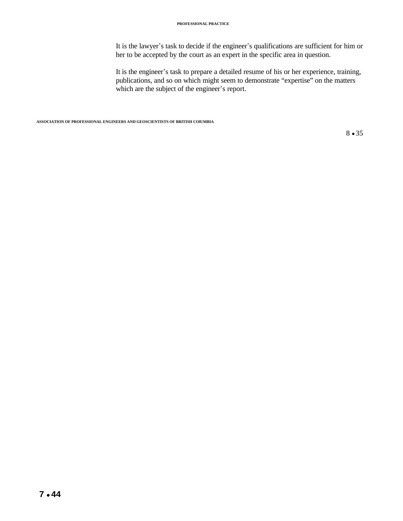It is the lawyer's task to decide if the engineer's qualifications are sufficient for him or her to be accepted by the court as an expert in the specific area in question.

It is the engineer's task to prepare a detailed resume of his or her experience, training, publications, and so on which might seem to demonstrate "expertise" on the matters which are the subject of the engineer's report.

**ASSOCIATION OF PROFESSIONAL ENGINEERS AND GEOSCIENTISTS OF BRITISH COlUMBIA**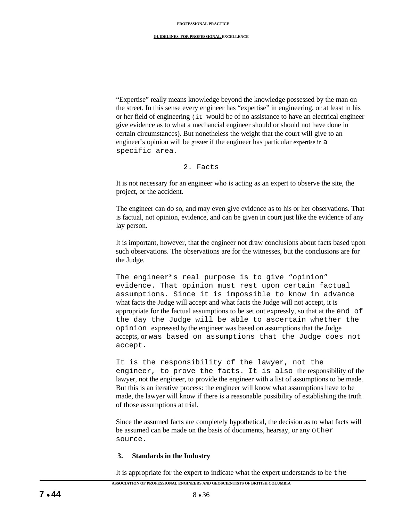"Expertise" really means knowledge beyond the knowledge possessed by the man on the street. In this sense every engineer has "expertise" in engineering, or at least in his or her field of engineering (it would be of no assistance to have an electrical engineer give evidence as to what a mechancial engineer should or should not have done in certain circumstances). But nonetheless the weight that the court will give to an engineer's opinion will be greater if the engineer has particular expertise in a specific area.

#### 2. Facts

It is not necessary for an engineer who is acting as an expert to observe the site, the project, or the accident.

The engineer can do so, and may even give evidence as to his or her observations. That is factual, not opinion, evidence, and can be given in court just like the evidence of any lay person.

It is important, however, that the engineer not draw conclusions about facts based upon such observations. The observations are for the witnesses, but the conclusions are for the Judge.

The engineer\*s real purpose is to give "opinion" evidence. That opinion must rest upon certain factual assumptions. Since it is impossible to know in advance what facts the Judge will accept and what facts the Judge will not accept, it is appropriate for the factual assumptions to be set out expressly, so that at the end of the day the Judge will be able to ascertain whether the opinion expressed by the engineer was based on assumptions that the Judge accepts, or was based on assumptions that the Judge does not accept.

It is the responsibility of the lawyer, not the engineer, to prove the facts. It is also the responsibility of the lawyer, not the engineer, to provide the engineer with a list of assumptions to be made. But this is an iterative process: the engineer will know what assumptions have to be made, the lawyer will know if there is a reasonable possibility of establishing the truth of those assumptions at trial.

Since the assumed facts are completely hypothetical, the decision as to what facts will be assumed can be made on the basis of documents, hearsay, or any other source.

# **3. Standards in the Industry**

It is appropriate for the expert to indicate what the expert understands to be the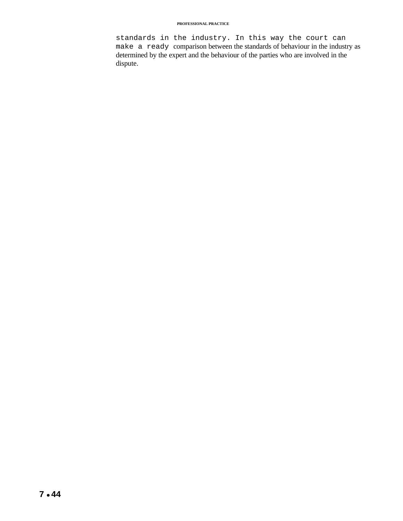#### **PROFESSIONAL PRACTICE**

standards in the industry. In this way the court can make a ready comparison between the standards of behaviour in the industry as determined by the expert and the behaviour of the parties who are involved in the dispute.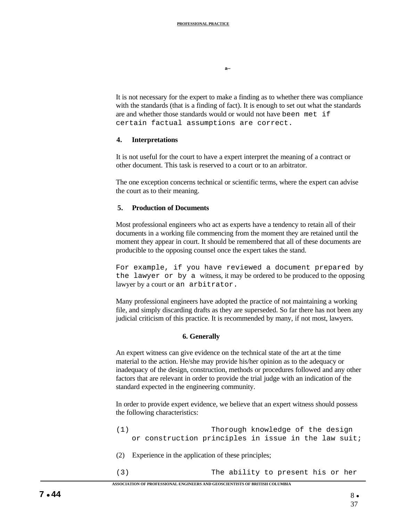**a--**

It is not necessary for the expert to make a finding as to whether there was compliance with the standards (that is a finding of fact). It is enough to set out what the standards are and whether those standards would or would not have been met if certain factual assumptions are correct.

#### **4. Interpretations**

It is not useful for the court to have a expert interpret the meaning of a contract or other document. This task is reserved to a court or to an arbitrator.

The one exception concerns technical or scientific terms, where the expert can advise the court as to their meaning.

#### **5. Production of Documents**

Most professional engineers who act as experts have a tendency to retain all of their documents in a working file commencing from the moment they are retained until the moment they appear in court. It should be remembered that all of these documents are producible to the opposing counsel once the expert takes the stand.

For example, if you have reviewed a document prepared by the lawyer or by a witness, it may be ordered to be produced to the opposing lawyer by a court or an arbitrator.

Many professional engineers have adopted the practice of not maintaining a working file, and simply discarding drafts as they are superseded. So far there has not been any judicial criticism of this practice. It is recommended by many, if not most, lawyers.

#### **6. Generally**

An expert witness can give evidence on the technical state of the art at the time material to the action. He/she may provide his/her opinion as to the adequacy or inadequacy of the design, construction, methods or procedures followed and any other factors that are relevant in order to provide the trial judge with an indication of the standard expected in the engineering community.

In order to provide expert evidence, we believe that an expert witness should possess the following characteristics:

- (1) Thorough knowledge of the design or construction principles in issue in the law suit;
- (2) Experience in the application of these principles;
- (3) The ability to present his or her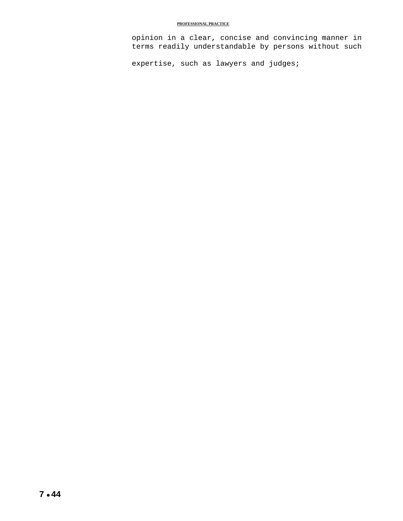#### **PROFESSIONAL PRACTICE**

opinion in a clear, concise and convincing manner in terms readily understandable by persons without such

expertise, such as lawyers and judges;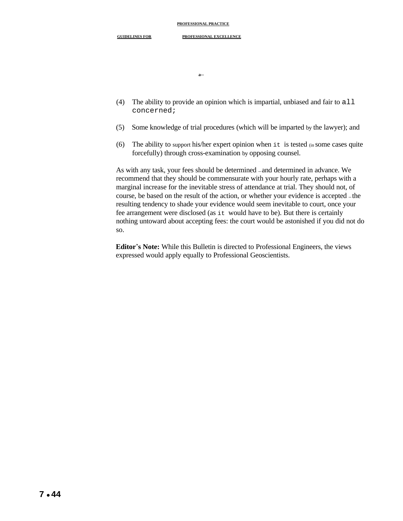**a--**

- (4) The ability to provide an opinion which is impartial, unbiased and fair to all concerned;
- (5) Some knowledge of trial procedures (which will be imparted by the lawyer); and
- (6) The ability to support his/her expert opinion when it is tested (in some cases quite forcefully) through cross-examination by opposing counsel.

As with any task, your fees should be determined **—** and determined in advance. We recommend that they should be commensurate with your hourly rate, perhaps with a marginal increase for the inevitable stress of attendance at trial. They should not, of course, be based on the result of the action, or whether your evidence is accepted **—** the resulting tendency to shade your evidence would seem inevitable to court, once your fee arrangement were disclosed (as it would have to be). But there is certainly nothing untoward about accepting fees: the court would be astonished if you did not do so.

**Editor**\***s Note:** While this Bulletin is directed to Professional Engineers, the views expressed would apply equally to Professional Geoscientists.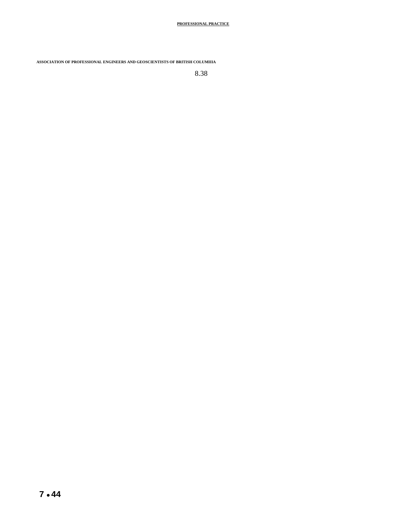**ASSOCIATION OF PROFESSIONAL ENGINEERS AND GEOSCIENTISTS OF BRITISH COLUMIIIA**

8.38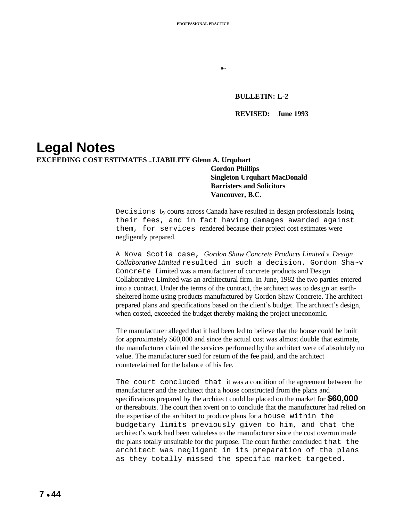**a--**

#### **BULLETIN: L-2**

# **REVISED: June 1993**

# **Legal Notes**

# **EXCEEDING COST ESTIMATES — LIABILITY Glenn A. Urquhart**

# **Gordon Phillips Singleton Urquhart MacDonald Barristers and Solicitors Vancouver, B.C.**

Decisions by courts across Canada have resulted in design professionals losing their fees, and in fact having damages awarded against them, for services rendered because their project cost estimates were negligently prepared.

A Nova Scotia case, *Gordon Shaw Concrete Products Limited* v. *Design Collaborative Limited* resulted in such a decision. Gordon Sha~v Concrete Limited was a manufacturer of concrete products and Design Collaborative Limited was an architectural firm. In June, 1982 the two parties entered into a contract. Under the terms of the contract, the architect was to design an earthsheltered home using products manufactured by Gordon Shaw Concrete. The architect prepared plans and specifications based on the client's budget. The architect's design, when costed, exceeded the budget thereby making the project uneconomic.

The manufacturer alleged that it had been led to believe that the house could be built for approximately \$60,000 and since the actual cost was almost double that estimate, the manufacturer claimed the services performed by the architect were of absolutely no value. The manufacturer sued for return of the fee paid, and the architect counterelaimed for the balance of his fee.

The court concluded that it was a condition of the agreement between the manufacturer and the architect that a house constructed from the plans and specifications prepared by the architect could be placed on the market for **\$60,000** or thereabouts. The court then xvent on to conclude that the manufacturer had relied on the expertise of the architect to produce plans for a house within the budgetary limits previously given to him, and that the architect's work had been valueless to the manufacturer since the cost overrun made the plans totally unsuitable for the purpose. The court further concluded that the architect was negligent in its preparation of the plans as they totally missed the specific market targeted.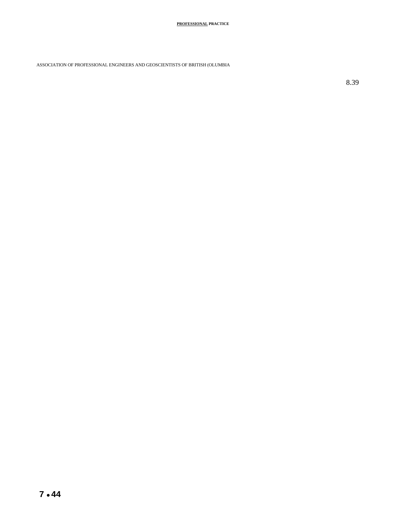$\,$  ASSOCIATION OF PROFESSIONAL ENGINEERS AND GEOSCIENTISTS OF BRITISH (OLUMBIA

8.39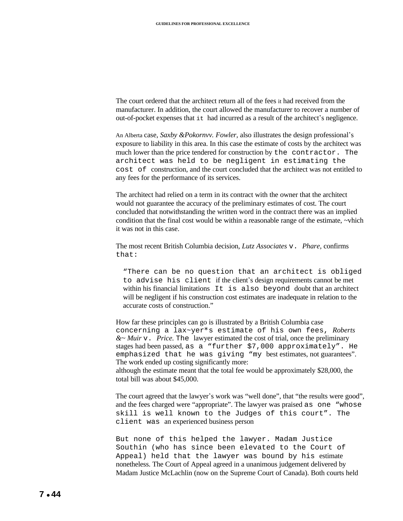The court ordered that the architect return all of the fees it had received from the manufacturer. In addition, the court allowed the manufacturer to recover a number of out-of-pocket expenses that  $i \, t$  had incurred as a result of the architect's negligence.

An Alberta case, *Saxby &Pokornvv. Fowler,* also illustrates the design professional\*s exposure to liability in this area. In this case the estimate of costs by the architect was much lower than the price tendered for construction by the contractor. The architect was held to be negligent in estimating the cost of construction, and the court concluded that the architect was not entitled to any fees for the performance of its services.

The architect had relied on a term in its contract with the owner that the architect would not guarantee the accuracy of the preliminary estimates of cost. The court concluded that notwithstanding the written word in the contract there was an implied condition that the final cost would be within a reasonable range of the estimate, ~vhich it was not in this case.

The most recent British Columbia decision, *Lutz Associates* v. *Phare,* confirms that:

"There can be no question that an architect is obliged to advise his client if the client's design requirements cannot be met within his financial limitations Lt is also beyond doubt that an architect will be negligent if his construction cost estimates are inadequate in relation to the accurate costs of construction."

How far these principles can go is illustrated by a British Columbia case concerning a lax~yer\*s estimate of his own fees, *Roberts &~ Muir* v. *Price.* The lawyer estimated the cost of trial, once the preliminary stages had been passed, as a "further \$7,000 approximately". He emphasized that he was giving "my best estimates, not guarantees". The work ended up costing significantly more: although the estimate meant that the total fee would be approximately \$28,000, the total bill was about \$45,000.

The court agreed that the lawyer's work was "well done", that "the results were good", and the fees charged were "appropriate". The lawyer was praised as one "whose skill is well known to the Judges of this court". The client was an experienced business person

But none of this helped the lawyer. Madam Justice Southin (who has since been elevated to the Court of Appeal) held that the lawyer was bound by his estimate nonetheless. The Court of Appeal agreed in a unanimous judgement delivered by Madam Justice McLachlin (now on the Supreme Court of Canada). Both courts held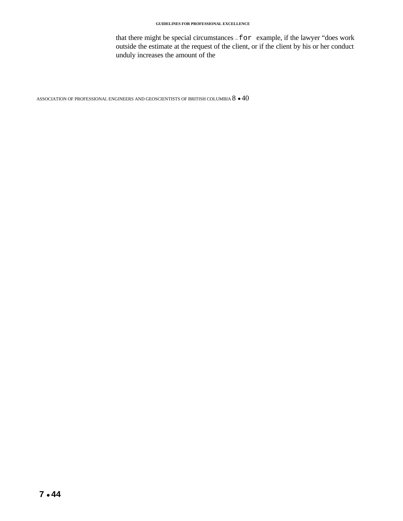that there might be special circumstances **—** for example, if the lawyer "does work outside the estimate at the request of the client, or if the client by his or her conduct unduly increases the amount of the

ASSOCIATION OF PROFESSIONAL ENGINEERS AND GEOSCIENTISTS OF BRITISH COLUMBIA  $8 \bullet 40$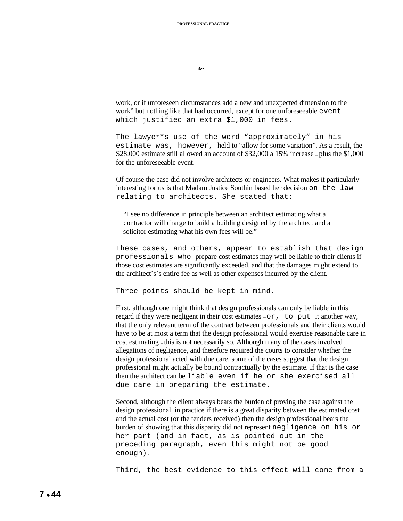**a--**

work, or if unforeseen circumstances add a new and unexpected dimension to the work" but nothing like that had occurred, except for one unforeseeable event which justified an extra \$1,000 in fees.

The lawyer\*s use of the word "approximately" in his estimate was, however, held to "allow for some variation". As a result, the S28,000 estimate still allowed an account of \$32,000 a 15% increase **—** plus the \$1,000 for the unforeseeable event.

Of course the case did not involve architects or engineers. What makes it particularly interesting for us is that Madam Justice Southin based her decision on the law relating to architects. She stated that:

"I see no difference in principle between an architect estimating what a contractor will charge to build a building designed by the architect and a solicitor estimating what his own fees will be."

These cases, and others, appear to establish that design professionals who prepare cost estimates may well be liable to their clients if those cost estimates are significantly exceeded, and that the damages might extend to the architect's's entire fee as well as other expenses incurred by the client.

Three points should be kept in mind.

First, although one might think that design professionals can only be liable in this regard if they were negligent in their cost estimates  $-\text{or}$ , to put it another way, that the only relevant term of the contract between professionals and their clients would have to be at most a term that the design professional would exercise reasonable care in cost estimating **—** this is not necessarily so. Although many of the cases involved allegations of negligence, and therefore required the courts to consider whether the design professional acted with due care, some of the cases suggest that the design professional might actually be bound contractually by the estimate. If that is the case then the architect can be liable even if he or she exercised all due care in preparing the estimate.

Second, although the client always bears the burden of proving the case against the design professional, in practice if there is a great disparity between the estimated cost and the actual cost (or the tenders received) then the design professional bears the burden of showing that this disparity did not represent negligence on his or her part (and in fact, as is pointed out in the preceding paragraph, even this might not be good enough).

Third, the best evidence to this effect will come from a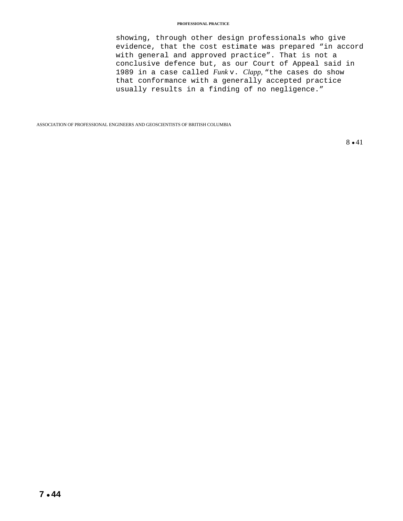showing, through other design professionals who give evidence, that the cost estimate was prepared "in accord with general and approved practice". That is not a conclusive defence but, as our Court of Appeal said in 1989 in a case called *Funk* v. *Clapp,* "the cases do show that conformance with a generally accepted practice usually results in a finding of no negligence."

ASSOCIATION OF PROFESSIONAL ENGINEERS AND GEOSCIENTISTS OF BRITISH COLUMBIA

 $8 \cdot 41$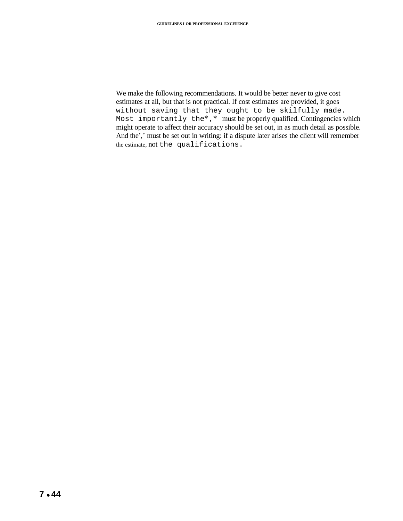We make the following recommendations. It would be better never to give cost estimates at all, but that is not practical. If cost estimates are provided, it goes without saving that they ought to be skilfully made. Most importantly the\*,\* must be properly qualified. Contingencies which might operate to affect their accuracy should be set out, in as much detail as possible. And the',' must be set out in writing: if a dispute later arises the client will remember the estimate, not the qualifications.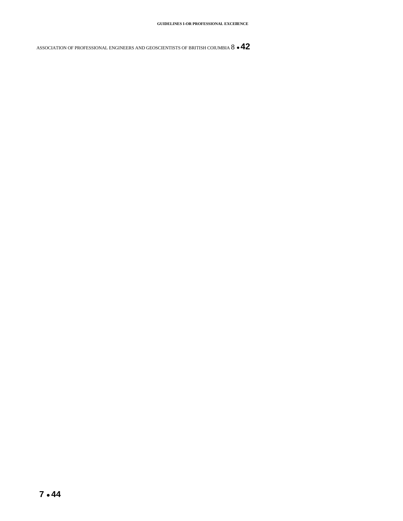ASSOCIATION OF PROFESSIONAL ENGINEERS AND GEOSCIENTISTS OF BRITISH COIUMBIA  $8 \cdot 42$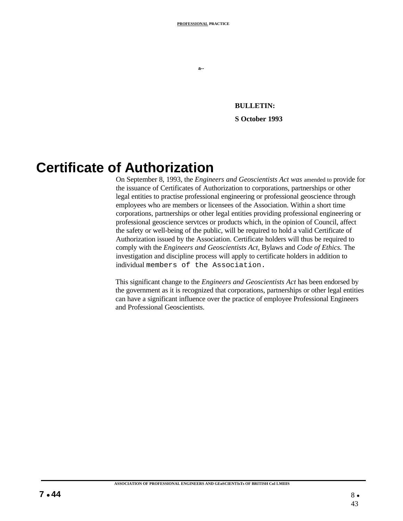**a--**

**BULLETIN: S October 1993**

## **Certificate of Authorization**

On September 8, 1993, the *Engineers and Geoscientists Act was* amended to provide for the issuance of Certificates of Authorization to corporations, partnerships or other legal entities to practise professional engineering or professional geoscience through employees who are members or licensees of the Association. Within a short time corporations, partnerships or other legal entities providing professional engineering or professional geoscience servtces or products which, in the opinion of Council, affect the safety or well-being of the public, will be required to hold a valid Certificate of Authorization issued by the Association. Certificate holders will thus be required to comply with the *Engineers and Geoscientists Act,* Bylaws and *Code of Ethics.* The investigation and discipline process will apply to certificate holders in addition to individual members of the Association.

This significant change to the *Engineers and Geoscientists Act* has been endorsed by the government as it is recognized that corporations, partnerships or other legal entities can have a significant influence over the practice of employee Professional Engineers and Professional Geoscientists.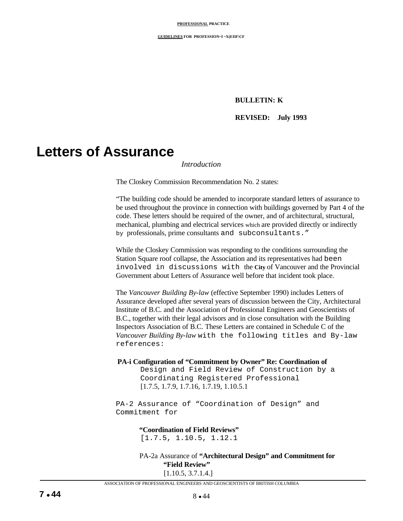#### **BULLETIN: K**

**REVISED: July 1993**

### **Letters of Assurance**

*Introduction*

The Closkey Commission Recommendation No. 2 states:

"The building code should be amended to incorporate standard letters of assurance to be used throughout the province in connection with buildings governed by Part 4 of the code. These letters should be required of the owner, and of architectural, structural, mechanical, plumbing and electrical services which are provided directly or indirectly by professionals, prime consultants and subconsultants."

While the Closkey Commission was responding to the conditions surrounding the Station Square roof collapse, the Association and its representatives had been involved in discussions with the **City** of Vancouver and the Provincial Government about Letters of Assurance well before that incident took place.

The *Vancouver Building By-law* (effective September 1990) includes Letters of Assurance developed after several years of discussion between the City, Architectural Institute of B.C. and the Association of Professional Engineers and Geoscientists of B.C., together with their legal advisors and in close consultation with the Building Inspectors Association of B.C. These Letters are contained in Schedule C of the *Vancouver Building By-law* with the following titles and By-law references:

#### **PA-i Configuration of "Commitment by Owner" Re: Coordination of**

Design and Field Review of Construction by a Coordinating Registered Professional [1.7.5, 1.7.9, 1.7.16, 1.7.19, 1.10.5.1

PA-2 Assurance of "Coordination of Design" and Commitment for

> **"Coordination of Field Reviews"** [1.7.5, 1.10.5, 1.12.1

PA-2a Assurance of **"Architectural Design" and Commitment for "Field Review"** [1.10.5, 3.7.1.4.]

ASSOCIATION OF PROFESSIONAL ENGINEERS AND GEOSCIENTISTS OF BRITISH COLUMBIA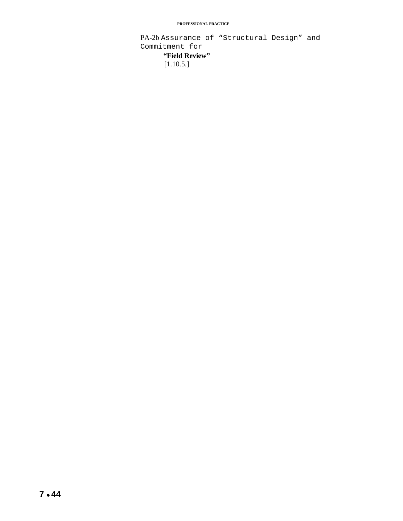PA-2b Assurance of "Structural Design" and Commitment for **"Field Review"** [1.10.5.]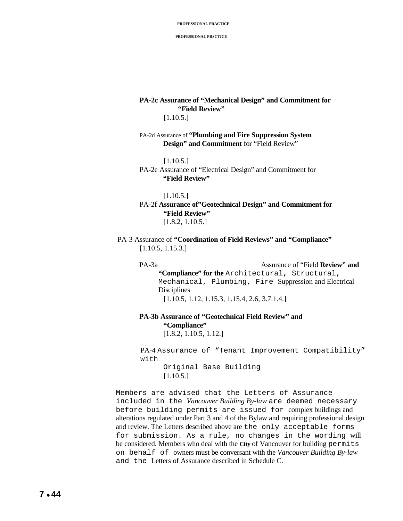**PROFESSIONAL PRSCTICE**

#### **PA-2c Assurance of "Mechanical Design" and Commitment for "Field Review"**

#### [1.10.5.]

PA-2d Assurance of **"Plumbing and Fire Suppression System Design" and Commitment** for "Field Review"

#### [1.10.5.]

PA-2e Assurance of "Electrical Design" and Commitment for **"Field Review"**

#### $[1.10.5.]$

PA-2f **Assurance of"Geotechnical Design" and Commitment for "Field Review"** [1.8.2, 1.10.5.]

#### PA-3 Assurance of **"Coordination of Field Reviews" and "Compliance"** [1.10.5, 1.15.3.]

PA-3a Assurance of "Field **Review" and**

**"Compliance" for the** Architectural, Structural, Mechanical, Plumbing, Fire Suppression and Electrical **Disciplines** 

[1.10.5, 1.12, 1.15.3, 1.15.4, 2.6, 3.7.1.4.]

#### **PA-3b Assurance of "Geotechnical Field Review" and "Compliance"**

[1.8.2, 1.10.5, 1.12.]

PA-4 Assurance of "Tenant Improvement Compatibility" with Original Base Building

[1.10.5.]

Members are advised that the Letters of Assurance included in the *Vancouver Building By-law* are deemed necessary before building permits are issued for complex buildings and alterations regulated under Part 3 and 4 of the Bylaw and requiring professional design and review. The Letters described above are the only acceptable forms for submission. As a rule, no changes in the wording will be considered. Members who deal with the **City** of Vancouver for building permits on behalf of owners must be conversant with the *Vancouver Building By-law* and the Letters of Assurance described in Schedule C.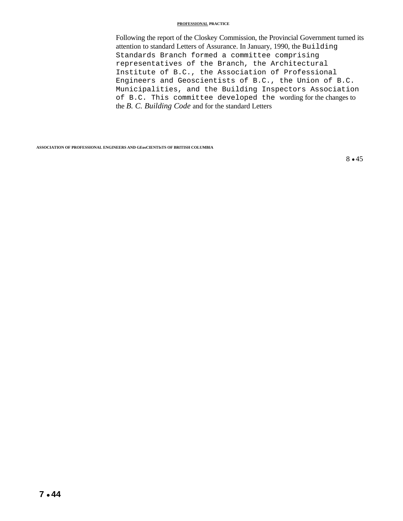Following the report of the Closkey Commission, the Provincial Government turned its attention to standard Letters of Assurance. In January, 1990, the Building Standards Branch formed a committee comprising representatives of the Branch, the Architectural Institute of B.C., the Association of Professional Engineers and Geoscientists of B.C., the Union of B.C. Municipalities, and the Building Inspectors Association of B.C. This committee developed the wording for the changes to the *B. C. Building Code* and for the standard Letters

**ASSOCIATION OF PROFESSIONAL ENGINEERS AND GEosCIENTIsTS OF BRITISH COLUMBIA**

 $8 \cdot 45$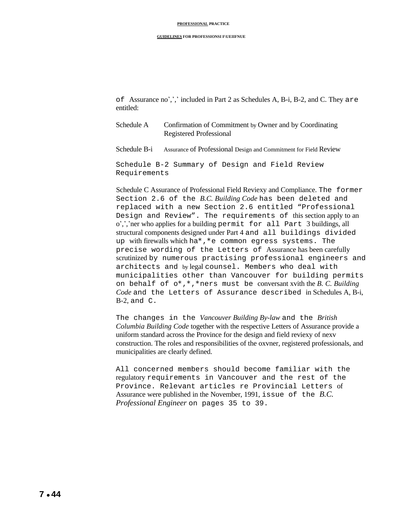#### **GUIDELINES FOR PROFESSIONSI F\UEIIFNUE**

of Assurance no',',' included in Part 2 as Schedules A, B-i, B-2, and C. They are entitled:

Schedule A Confirmation of Commitment by Owner and by Coordinating Registered Professional

Schedule B-i Assurance of Professional Design and Commitment for Field Review

Schedule B-2 Summary of Design and Field Review Requirements

Schedule C Assurance of Professional Field Reviexy and Compliance. The former Section 2.6 of the *B.C. Building Code* has been deleted and replaced with a new Section 2.6 entitled "Professional Design and Review". The requirements of this section apply to an o',','ner who applies for a building permit for all Part 3 buildings, all structural components designed under Part 4 and all buildings divided up with firewalls which ha\*,\*e common egress systems. The precise wording of the Letters of Assurance has been carefully scrutinized by numerous practising professional engineers and architects and by legal counsel. Members who deal with municipalities other than Vancouver for building permits on behalf of o\*,\*,\*ners must be conversant xvith the *B. C. Building Code* and the Letters of Assurance described in Schedules A, B-i, B-2, and C.

The changes in the *Vancouver Building By-law* and the *British Columbia Building Code* together with the respective Letters of Assurance provide a uniform standard across the Province for the design and field reviexy of nexv construction. The roles and responsibilities of the oxvner, registered professionals, and municipalities are clearly defined.

All concerned members should become familiar with the regulatory requirements in Vancouver and the rest of the Province. Relevant articles re Provincial Letters of Assurance were published in the November, 1991, issue of the *B.C. Professional Engineer* on pages 35 to 39.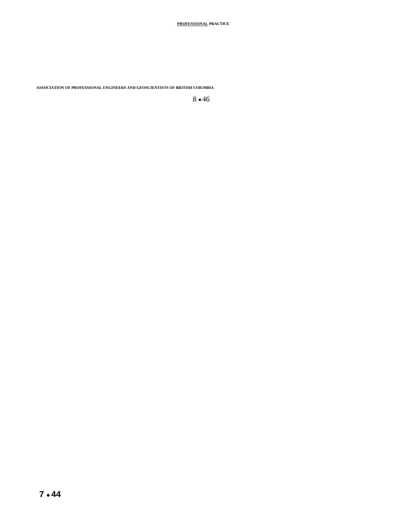**ASSOCIATION OF PROFESSIONAL ENGINEERS AND GEOSCIENTISTS OF BRITISH COlUMBIA**

 $8 \cdot 46$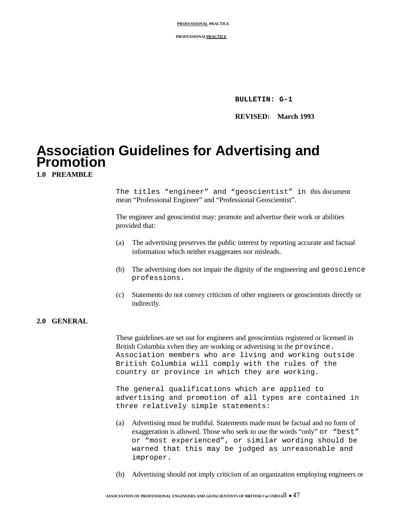**PROFESSIONAl PRACTICE**

**BULLETIN: G-1**

**REVISED: March 1993**

## **Association Guidelines for Advertising and Promotion**

**1.0 PREAMBLE**

The titles "engineer" and "geoscientist" in this document mean "Professional Engineer" and "Professional Geoscientist".

The engineer and geoscientist may: promote and advertise their work or abilities provided that:

- (a) The advertising preserves the public interest by reporting accurate and factual information which neither exaggerates nor misleads.
- (b) The advertising does not impair the dignity of the engineering and geoscience professions.
- (c) Statements do not convey criticism of other engineers or geoscientists directly or indirectly.

#### **2.0 GENERAL**

These guidelines are set out for engineers and geoscientists registered or licensed in British Columbia xvhen they are working or advertising in the province. Association members who are living and working outside British Columbia will comply with the rules of the country or province in which they are working.

The general qualifications which are applied to advertising and promotion of all types are contained in three relatively simple statements:

- (a) Advertising must be truthful. Statements made must be factual and no form of exaggeration is allowed. Those who seek to use the words "only" or "best" or "most experienced", or similar wording should be warned that this may be judged as unreasonable and improper.
- (b) Advertising should not imply criticism of an organization employing engineers or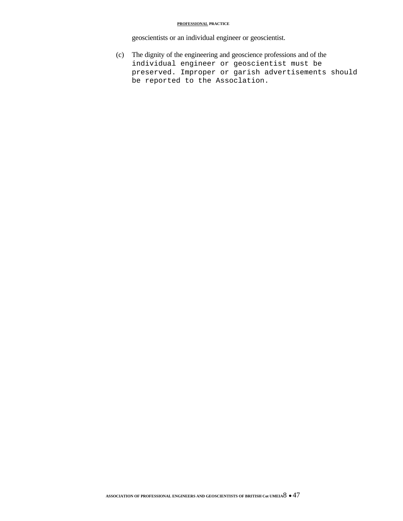geoscientists or an individual engineer or geoscientist.

(c) The dignity of the engineering and geoscience professions and of the individual engineer or geoscientist must be preserved. Improper or garish advertisements should be reported to the Assoclation.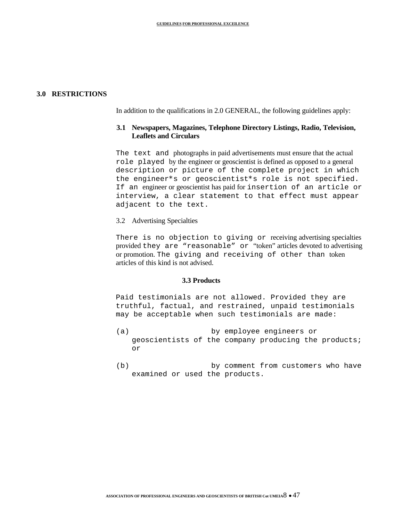#### **3.0 RESTRICTIONS**

In addition to the qualifications in 2.0 GENERAL, the following guidelines apply:

#### **3.1 Newspapers, Magazines, Telephone Directory Listings, Radio, Television, Leaflets and Circulars**

The text and photographs in paid advertisements must ensure that the actual role played by the engineer or geoscientist is defined as opposed to a general description or picture of the complete project in which the engineer\*s or geoscientist\*s role is not specified. If an engineer or geoscientist has paid for insertion of an article or interview, a clear statement to that effect must appear adjacent to the text.

#### 3.2 Advertising Specialties

There is no objection to giving or receiving advertising specialties provided they are "reasonable" or "token" articles devoted to advertising or promotion. The giving and receiving of other than token articles of this kind is not advised.

#### **3.3 Products**

Paid testimonials are not allowed. Provided they are truthful, factual, and restrained, unpaid testimonials may be acceptable when such testimonials are made:

- (a) by employee engineers or geoscientists of the company producing the products; or
- (b) by comment from customers who have examined or used the products.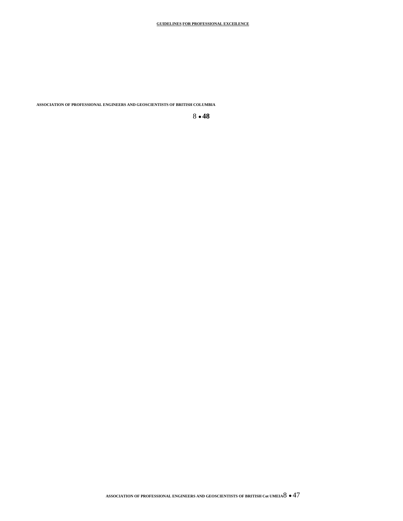**ASSOCIATION OF PROFESSIONAL ENGINEERS AND GEOSCIENTISTS OF BRITISH COLUMBIA**

8 ! **48**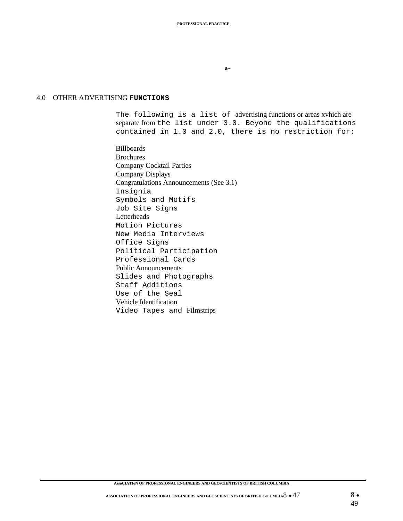**a--**

#### 4.0 OTHER ADVERTISING **FUNCTIONS**

The following is a list of advertising functions or areas xvhich are separate from the list under 3.0. Beyond the qualifications contained in 1.0 and 2.0, there is no restriction for:

Billboards **Brochures** Company Cocktail Parties Company Displays Congratulations Announcements (See 3.1) Insignia Symbols and Motifs Job Site Signs Letterheads Motion Pictures New Media Interviews Office Signs Political Participation Professional Cards Public Announcements Slides and Photographs Staff Additions Use of the Seal Vehicle Identification Video Tapes and Filmstrips

**AssoCIATIoN OF PROFESSIONAL ENGINEERS AND GEOsCIENTISTS OF BRITISH COLUMBIA**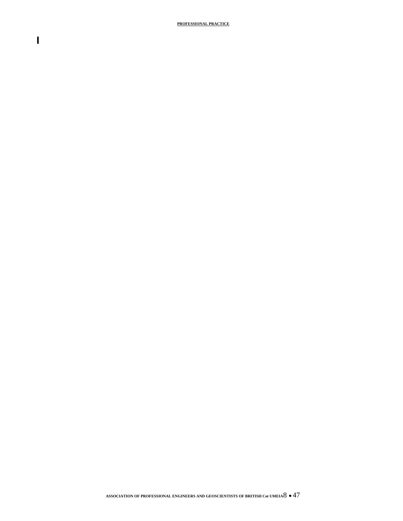$\overline{1}$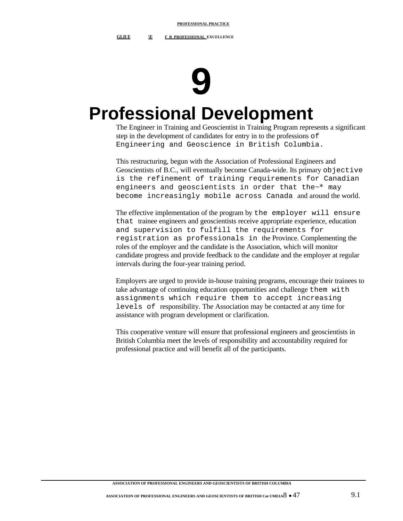# **9**

## **Professional Development**

The Engineer in Training and Geoscientist in Training Program represents a significant step in the development of candidates for entry in to the professions of Engineering and Geoscience in British Columbia.

This restructuring, begun with the Association of Professional Engineers and Geoscientists of B.C., will eventually become Canada-wide. Its primary objective is the refinement of training requirements for Canadian engineers and geoscientists in order that the~\* may become increasingly mobile across Canada and around the world.

The effective implementation of the program by the employer will ensure that trainee engineers and geoscientists receive appropriate experience, education and supervision to fulfill the requirements for registration as professionals in the Province. Complementing the roles of the employer and the candidate is the Association, which will monitor candidate progress and provide feedback to the candidate and the employer at regular intervals during the four-year training period.

Employers are urged to provide in-house training programs, encourage their trainees to take advantage of continuing education opportunities and challenge them with assignments which require them to accept increasing levels of responsibility. The Association may be contacted at any time for assistance with program development or clarification.

This cooperative venture will ensure that professional engineers and geoscientists in British Columbia meet the levels of responsibility and accountability required for professional practice and will benefit all of the participants.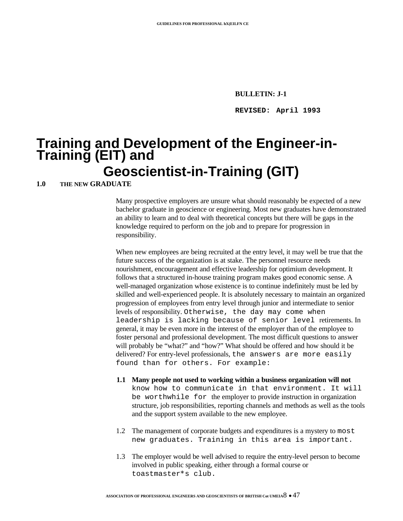#### **BULLETIN: J-1**

**REVISED: April 1993**

## **Training and Development of the Engineer-in-Training (EIT) and Geoscientist-in-Training (GIT)**

1.0 **THE NEW GRADUATE** 

Many prospective employers are unsure what should reasonably be expected of a new bachelor graduate in geoscience or engineering. Most new graduates have demonstrated an ability to learn and to deal with theoretical concepts but there will be gaps in the knowledge required to perform on the job and to prepare for progression in responsibility.

When new employees are being recruited at the entry level, it may well be true that the future success of the organization is at stake. The personnel resource needs nourishment, encouragement and effective leadership for optimium development. It follows that a structured in-house training program makes good economic sense. A well-managed organization whose existence is to continue indefinitely must be led by skilled and well-experienced people. It is absolutely necessary to maintain an organized progression of employees from entry level through junior and intermediate to senior levels of responsibility. Otherwise, the day may come when leadership is lacking because of senior level retirements. In general, it may be even more in the interest of the employer than of the employee to foster personal and professional development. The most difficult questions to answer will probably be "what?" and "how?" What should be offered and how should it be delivered? For entry-level professionals, the answers are more easily found than for others. For example:

- **1.1 Many people not used to working within a business organization will not** know how to communicate in that environment. It will be worthwhile for the employer to provide instruction in organization structure, job responsibilities, reporting channels and methods as well as the tools and the support system available to the new employee.
- 1.2 The management of corporate budgets and expenditures is a mystery to most new graduates. Training in this area is important.
- 1.3 The employer would be well advised to require the entry-level person to become involved in public speaking, either through a formal course or toastmaster\*s club.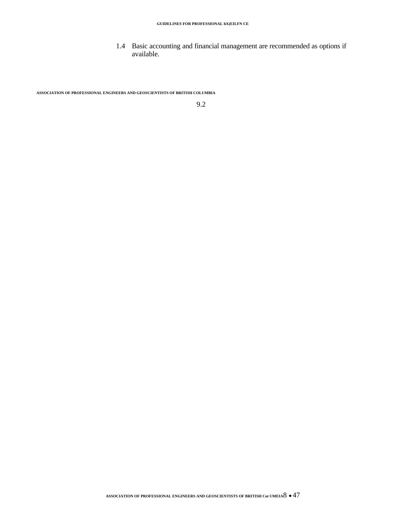1.4 Basic accounting and financial management are recommended as options if available.

ASSOCIATION OF PROFESSIONAL ENGINEERS AND GEOSCIENTISTS OF BRITISH COLUMBIA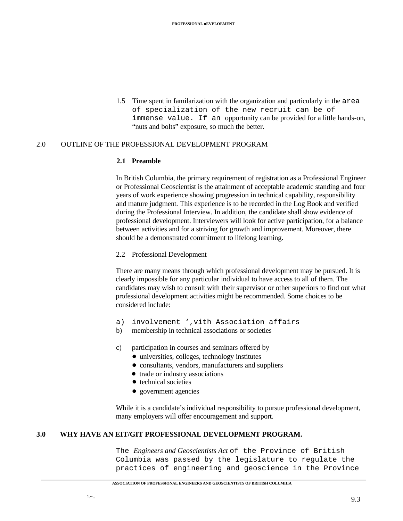1.5 Time spent in familarization with the organization and particularly in the area of specialization of the new recruit can be of immense value. If an opportunity can be provided for a little hands-on, "nuts and bolts" exposure, so much the better.

#### 2.0 OUTLINE OF THE PROFESSIONAL DEVELOPMENT PROGRAM

#### **2.1 Preamble**

In British Columbia, the primary requirement of registration as a Professional Engineer or Professional Geoscientist is the attainment of acceptable academic standing and four years of work experience showing progression in technical capability, responsibility and mature judgment. This experience is to be recorded in the Log Book and verified during the Professional Interview. In addition, the candidate shall show evidence of professional development. Interviewers will look for active participation, for a balance between activities and for a striving for growth and improvement. Moreover, there should be a demonstrated commitment to lifelong learning.

2.2 Professional Development

There are many means through which professional development may be pursued. It is clearly impossible for any particular individual to have access to all of them. The candidates may wish to consult with their supervisor or other superiors to find out what professional development activities might be recommended. Some choices to be considered include:

- a) involvement ',vith Association affairs
- b) membership in technical associations or societies
- c) participation in courses and seminars offered by
	- universities, colleges, technology institutes
	- ! consultants, vendors, manufacturers and suppliers
	- trade or industry associations
	- $\bullet$  technical societies
	- government agencies

While it is a candidate's individual responsibility to pursue professional development, many employers will offer encouragement and support.

#### **3.0 WHY HAVE AN EIT/GIT PROFESSIONAL DEVELOPMENT PROGRAM.**

The *Engineers and Geoscientists Act* of the Province of British Columbia was passed by the legislature to regulate the practices of engineering and geoscience in the Province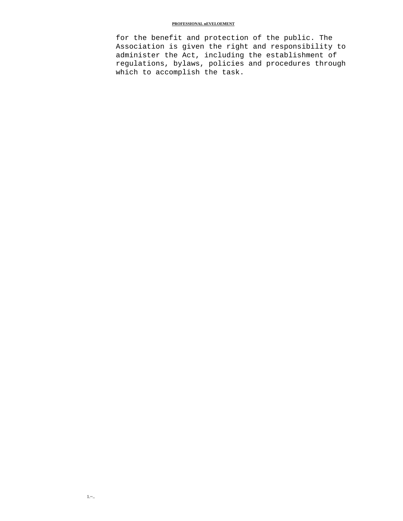#### **PROFESSIONAL nEVELOEMENT**

for the benefit and protection of the public. The Association is given the right and responsibility to administer the Act, including the establishment of regulations, bylaws, policies and procedures through which to accomplish the task.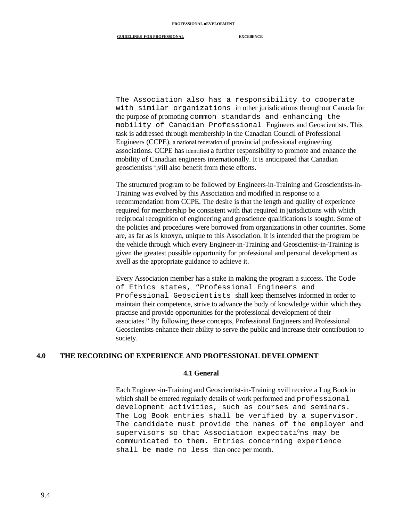**GUIDELINES FOR PROFESSIONAL EXCEllENCE**

The Association also has a responsibility to cooperate with similar organizations in other jurisdications throughout Canada for the purpose of promoting common standards and enhancing the mobility of Canadian Professional Engineers and Geoscientists. This task is addressed through membership in the Canadian Council of Professional Engineers (CCPE), a national federation of provincial professional engineering associations. CCPE has identified a further responsibility to promote and enhance the mobility of Canadian engineers internationally. It is anticipated that Canadian geoscientists ',vill also benefit from these efforts.

The structured program to be followed by Engineers-in-Training and Geoscientists-in-Training was evolved by this Association and modified in response to a recommendation from CCPE. The desire is that the length and quality of experience required for membership be consistent with that required in jurisdictions with which reciprocal recognition of engineering and geoscience qualifications is sought. Some of the policies and procedures were borrowed from organizations in other countries. Some are, as far as is knoxyn, unique to this Association. It is intended that the program be the vehicle through which every Engineer-in-Training and Geoscientist-in-Training is given the greatest possible opportunity for professional and personal development as xvell as the appropriate guidance to achieve it.

Every Association member has a stake in making the program a success. The Code of Ethics states, "Professional Engineers and Professional Geoscientists shall keep themselves informed in order to maintain their competence, strive to advance the body of knowledge within which they practise and provide opportunities for the professional development of their associates." By following these concepts, Professional Engineers and Professional Geoscientists enhance their ability to serve the public and increase their contribution to society.

#### **4.0 THE RECORDING OF EXPERIENCE AND PROFESSIONAL DEVELOPMENT**

#### **4.1 General**

Each Engineer-in-Training and Geoscientist-in-Training xvill receive a Log Book in which shall be entered regularly details of work performed and professional development activities, such as courses and seminars. The Log Book entries shall be verified by a supervisor. The candidate must provide the names of the employer and supervisors so that Association expectati<sup>8</sup>ns may be communicated to them. Entries concerning experience shall be made no less than once per month.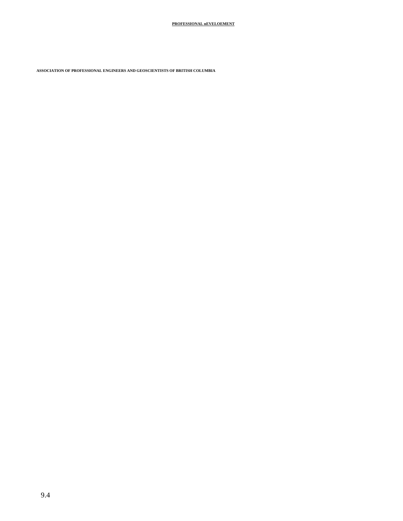**ASSOCIATION OF PROFESSIONAL ENGINEERS AND GEOSCIENTISTS OF BRITISH COLUMBIA**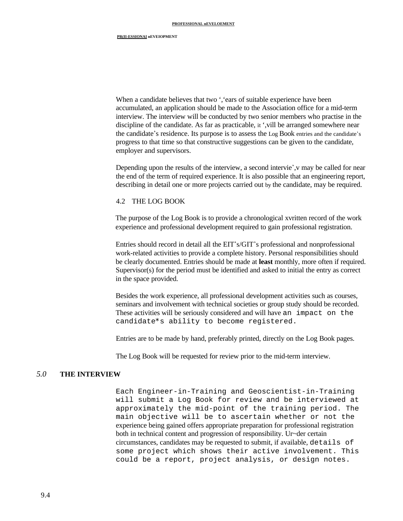When a candidate believes that two ', 'ears of suitable experience have been accumulated, an application should be made to the Association office for a mid-term interview. The interview will be conducted by two senior members who practise in the discipline of the candidate. As far as practicable, it ',vill be arranged somewhere near the candidate's residence. Its purpose is to assess the Log Book entries and the candidate's progress to that time so that constructive suggestions can be given to the candidate, employer and supervisors.

Depending upon the results of the interview, a second intervie, y may be called for near the end of the term of required experience. It is also possible that an engineering report, describing in detail one or more projects carried out by the candidate, may be required.

#### 4.2 THE LOG BOOK

The purpose of the Log Book is to provide a chronological xvritten record of the work experience and professional development required to gain professional registration.

Entries should record in detail all the EIT's/GIT's professional and nonprofessional work-related activities to provide a complete history. Personal responsibilities should be clearly documented. Entries should be made at **least** monthly, more often if required. Supervisor(s) for the period must be identified and asked to initial the entry as correct in the space provided.

Besides the work experience, all professional development activities such as courses, seminars and involvement with technical societies or group study should be recorded. These activities will be seriously considered and will have an impact on the candidate\*s ability to become registered.

Entries are to be made by hand, preferably printed, directly on the Log Book pages.

The Log Book will be requested for review prior to the mid-term interview.

#### *5.0* **THE INTERVIEW**

Each Engineer-in-Training and Geoscientist-in-Training will submit a Log Book for review and be interviewed at approximately the mid-point of the training period. The main objective will be to ascertain whether or not the experience being gained offers appropriate preparation for professional registration both in technical content and progression of responsibility. Ur~der certain circumstances, candidates may be requested to submit, if available, details of some project which shows their active involvement. This could be a report, project analysis, or design notes.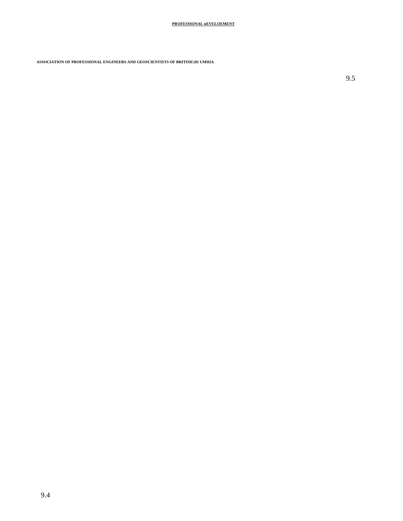ASSOCIATION OF PROFESSIONAL ENGINEERS AND GEOSCIENTISTS OF BRITISH (01 UMIIIA

9.5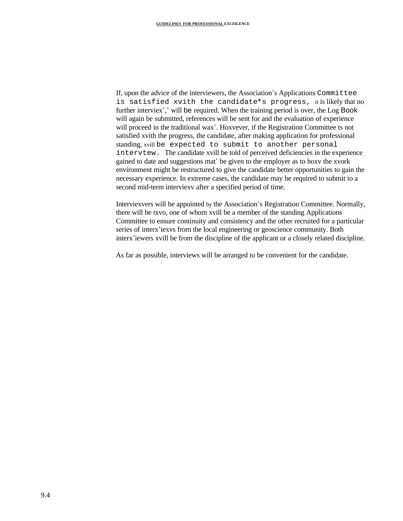If, upon the advice of the interviewers, the Association's Applications Committee is satisfied xvith the candidate\*s progress, it is likely that no further interviex',' will be required. When the training period is over, the Log Book will again be submitted, references will be sent for and the evaluation of experience will proceed in the traditional wax'. Hoxvever, if the Registration Committee ts not satisfied xvith the progress, the candidate, after making application for professional standing, xvill be expected to submit to another personal intervtew. The candidate xvill be told of perceived deficiencies in the experience gained to date and suggestions mat\* be given to the employer as to hoxv the xvork environment might be restructured to give the candidate better opportunities to gain the necessary experience. In extreme cases, the candidate may be required to submit to a second mid-term interviexv after a specified period of time.

Interviexvers will be appointed by the Association's Registration Committee. Normally, there will be txvo, one of whom xvill be a member of the standing Applications Committee to ensure continuity and consistency and the other recruited for a particular series of interx 'iexvs from the local engineering or geoscience community. Both interx *iewers* xvill be from the discipline of the applicant or a closely related discipline.

As far as possible, interviews will be arranged to be convenient for the candidate.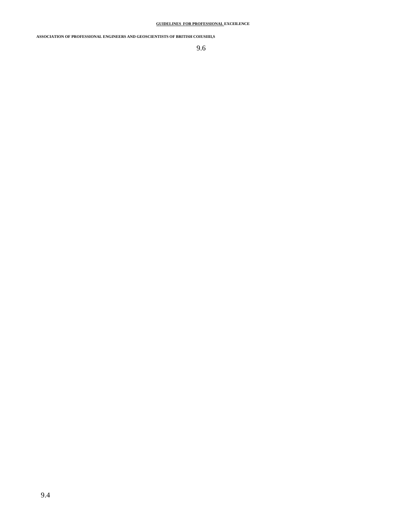**ASSOCIATION OF PROFESSIONAL ENGINEERS AND GEOSCIENTISTS OF BRITISH COIUSIIII,S**